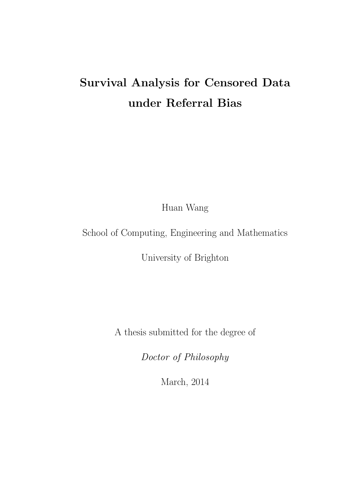# Survival Analysis for Censored Data under Referral Bias

Huan Wang

School of Computing, Engineering and Mathematics

University of Brighton

A thesis submitted for the degree of

Doctor of Philosophy

March, 2014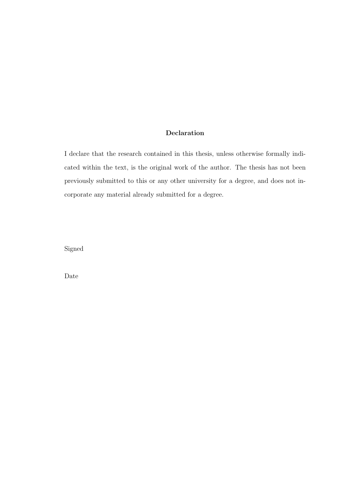### Declaration

I declare that the research contained in this thesis, unless otherwise formally indicated within the text, is the original work of the author. The thesis has not been previously submitted to this or any other university for a degree, and does not incorporate any material already submitted for a degree.

Signed

Date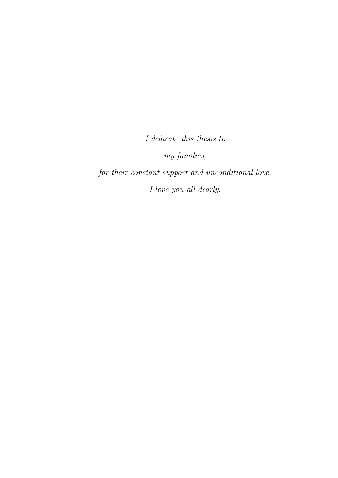I dedicate this thesis to

my families,

for their constant support and unconditional love. I love you all dearly.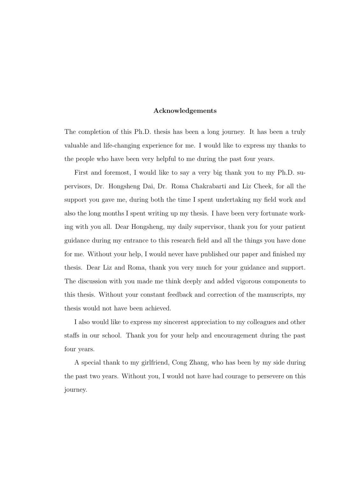#### Acknowledgements

The completion of this Ph.D. thesis has been a long journey. It has been a truly valuable and life-changing experience for me. I would like to express my thanks to the people who have been very helpful to me during the past four years.

First and foremost, I would like to say a very big thank you to my Ph.D. supervisors, Dr. Hongsheng Dai, Dr. Roma Chakrabarti and Liz Cheek, for all the support you gave me, during both the time I spent undertaking my field work and also the long months I spent writing up my thesis. I have been very fortunate working with you all. Dear Hongsheng, my daily supervisor, thank you for your patient guidance during my entrance to this research field and all the things you have done for me. Without your help, I would never have published our paper and finished my thesis. Dear Liz and Roma, thank you very much for your guidance and support. The discussion with you made me think deeply and added vigorous components to this thesis. Without your constant feedback and correction of the manuscripts, my thesis would not have been achieved.

I also would like to express my sincerest appreciation to my colleagues and other staffs in our school. Thank you for your help and encouragement during the past four years.

A special thank to my girlfriend, Cong Zhang, who has been by my side during the past two years. Without you, I would not have had courage to persevere on this journey.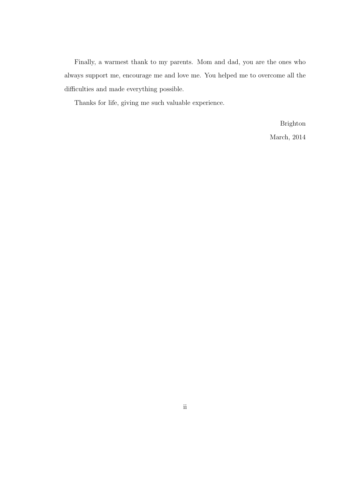Finally, a warmest thank to my parents. Mom and dad, you are the ones who always support me, encourage me and love me. You helped me to overcome all the difficulties and made everything possible.

Thanks for life, giving me such valuable experience.

Brighton March, 2014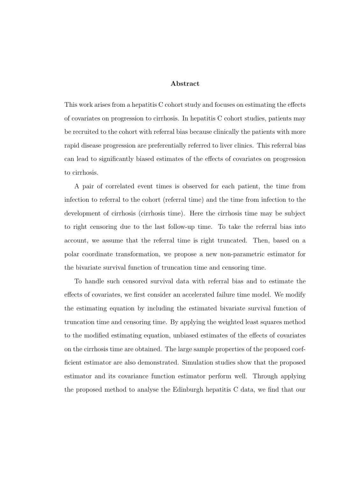#### Abstract

This work arises from a hepatitis C cohort study and focuses on estimating the effects of covariates on progression to cirrhosis. In hepatitis C cohort studies, patients may be recruited to the cohort with referral bias because clinically the patients with more rapid disease progression are preferentially referred to liver clinics. This referral bias can lead to significantly biased estimates of the effects of covariates on progression to cirrhosis.

A pair of correlated event times is observed for each patient, the time from infection to referral to the cohort (referral time) and the time from infection to the development of cirrhosis (cirrhosis time). Here the cirrhosis time may be subject to right censoring due to the last follow-up time. To take the referral bias into account, we assume that the referral time is right truncated. Then, based on a polar coordinate transformation, we propose a new non-parametric estimator for the bivariate survival function of truncation time and censoring time.

To handle such censored survival data with referral bias and to estimate the effects of covariates, we first consider an accelerated failure time model. We modify the estimating equation by including the estimated bivariate survival function of truncation time and censoring time. By applying the weighted least squares method to the modified estimating equation, unbiased estimates of the effects of covariates on the cirrhosis time are obtained. The large sample properties of the proposed coefficient estimator are also demonstrated. Simulation studies show that the proposed estimator and its covariance function estimator perform well. Through applying the proposed method to analyse the Edinburgh hepatitis C data, we find that our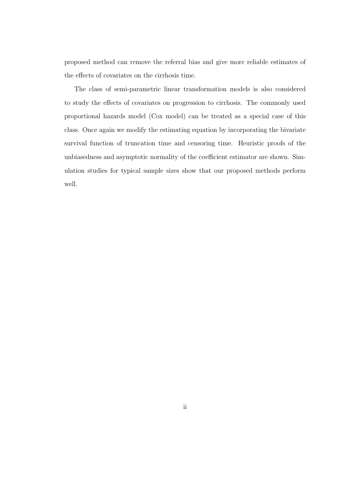proposed method can remove the referral bias and give more reliable estimates of the effects of covariates on the cirrhosis time.

The class of semi-parametric linear transformation models is also considered to study the effects of covariates on progression to cirrhosis. The commonly used proportional hazards model (Cox model) can be treated as a special case of this class. Once again we modify the estimating equation by incorporating the bivariate survival function of truncation time and censoring time. Heuristic proofs of the unbiasedness and asymptotic normality of the coefficient estimator are shown. Simulation studies for typical sample sizes show that our proposed methods perform well.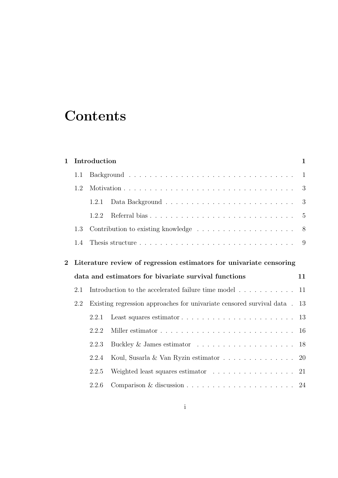# **Contents**

| $\mathbf 1$    |                                                                     | Introduction<br>$\mathbf{1}$ |                                                                                  |              |  |
|----------------|---------------------------------------------------------------------|------------------------------|----------------------------------------------------------------------------------|--------------|--|
|                | 1.1                                                                 |                              |                                                                                  | $\mathbf{1}$ |  |
|                | 1.2                                                                 |                              |                                                                                  | 3            |  |
|                |                                                                     | 1.2.1                        |                                                                                  | 3            |  |
|                |                                                                     | 1.2.2                        |                                                                                  | 5            |  |
|                | 1.3                                                                 |                              | Contribution to existing knowledge $\ldots \ldots \ldots \ldots \ldots$          |              |  |
|                | 1.4                                                                 |                              |                                                                                  | 9            |  |
| $\overline{2}$ | Literature review of regression estimators for univariate censoring |                              |                                                                                  |              |  |
|                |                                                                     |                              |                                                                                  |              |  |
|                |                                                                     |                              | data and estimators for bivariate survival functions                             | 11           |  |
|                | 2.1                                                                 |                              | Introduction to the accelerated failure time model $\ldots \ldots \ldots \ldots$ | 11           |  |
|                | 2.2                                                                 |                              | Existing regression approaches for univariate censored survival data.            | 13           |  |
|                |                                                                     | 2.2.1                        |                                                                                  | 13           |  |
|                |                                                                     | 2.2.2                        |                                                                                  | 16           |  |
|                |                                                                     | 2.2.3                        |                                                                                  | 18           |  |
|                |                                                                     | 2.2.4                        | Koul, Susarla & Van Ryzin estimator                                              | 20           |  |
|                |                                                                     | 2.2.5                        | Weighted least squares estimator                                                 | 21           |  |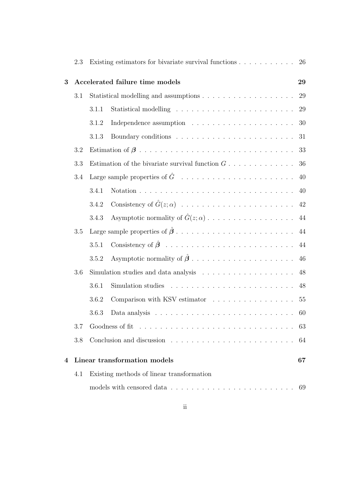|                  | 2.3 | 26                                                                                     |  |  |  |  |
|------------------|-----|----------------------------------------------------------------------------------------|--|--|--|--|
| 3                |     | Accelerated failure time models                                                        |  |  |  |  |
|                  | 3.1 |                                                                                        |  |  |  |  |
|                  |     | 29<br>3.1.1                                                                            |  |  |  |  |
|                  |     | 30<br>3.1.2                                                                            |  |  |  |  |
|                  |     | 31<br>3.1.3                                                                            |  |  |  |  |
|                  | 3.2 | 33                                                                                     |  |  |  |  |
|                  | 3.3 | Estimation of the bivariate survival function $G \ldots \ldots \ldots \ldots$<br>36    |  |  |  |  |
|                  | 3.4 | 40                                                                                     |  |  |  |  |
|                  |     | 3.4.1<br>40                                                                            |  |  |  |  |
|                  |     | 3.4.2                                                                                  |  |  |  |  |
|                  |     | 3.4.3                                                                                  |  |  |  |  |
|                  | 3.5 |                                                                                        |  |  |  |  |
|                  |     | 44<br>3.5.1                                                                            |  |  |  |  |
|                  |     | 3.5.2<br>46                                                                            |  |  |  |  |
|                  | 3.6 | Simulation studies and data analysis $\ldots \ldots \ldots \ldots \ldots \ldots$<br>48 |  |  |  |  |
|                  |     | 3.6.1<br>48                                                                            |  |  |  |  |
|                  |     | Comparison with KSV estimator 55<br>3.6.2                                              |  |  |  |  |
|                  |     | 3.6.3<br>60                                                                            |  |  |  |  |
|                  | 3.7 | 63                                                                                     |  |  |  |  |
|                  | 3.8 | 64                                                                                     |  |  |  |  |
| $\boldsymbol{4}$ |     | Linear transformation models<br>67                                                     |  |  |  |  |
|                  | 4.1 | Existing methods of linear transformation                                              |  |  |  |  |
|                  |     | -69                                                                                    |  |  |  |  |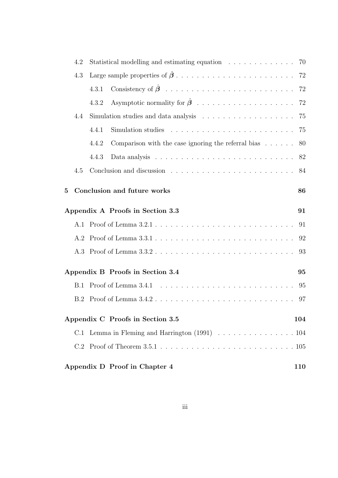|                | 4.2 | Statistical modelling and estimating equation 70                                               |    |
|----------------|-----|------------------------------------------------------------------------------------------------|----|
|                | 4.3 |                                                                                                |    |
|                |     | 4.3.1                                                                                          |    |
|                |     | 4.3.2                                                                                          |    |
|                | 4.4 | Simulation studies and data analysis $\ldots \ldots \ldots \ldots \ldots \ldots$ 75            |    |
|                |     | Simulation studies $\ldots \ldots \ldots \ldots \ldots \ldots \ldots \ldots \ldots$<br>4.4.1   |    |
|                |     | Comparison with the case ignoring the referral bias $\dots \dots$ 80<br>4.4.2                  |    |
|                |     | Data analysis $\ldots \ldots \ldots \ldots \ldots \ldots \ldots \ldots \ldots \ldots$<br>4.4.3 |    |
|                | 4.5 |                                                                                                |    |
| $\overline{5}$ |     | Conclusion and future works                                                                    | 86 |
|                |     | Appendix A Proofs in Section 3.3                                                               | 91 |
|                |     |                                                                                                | 91 |
|                |     |                                                                                                | 92 |
|                |     |                                                                                                | 93 |
|                |     | Appendix B Proofs in Section 3.4                                                               | 95 |
|                | B.1 |                                                                                                | 95 |
|                | B.2 |                                                                                                | 97 |
|                |     | Appendix C Proofs in Section 3.5<br>104                                                        |    |
|                |     | C.1 Lemma in Fleming and Harrington (1991) 104                                                 |    |
|                |     |                                                                                                |    |
|                |     | Appendix D Proof in Chapter 4<br><b>110</b>                                                    |    |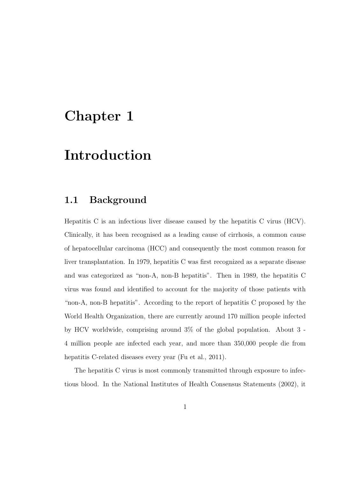### Chapter 1

### Introduction

### 1.1 Background

Hepatitis C is an infectious liver disease caused by the hepatitis C virus (HCV). Clinically, it has been recognised as a leading cause of cirrhosis, a common cause of hepatocellular carcinoma (HCC) and consequently the most common reason for liver transplantation. In 1979, hepatitis C was first recognized as a separate disease and was categorized as "non-A, non-B hepatitis". Then in 1989, the hepatitis C virus was found and identified to account for the majority of those patients with "non-A, non-B hepatitis". According to the report of hepatitis C proposed by the World Health Organization, there are currently around 170 million people infected by HCV worldwide, comprising around 3% of the global population. About 3 - 4 million people are infected each year, and more than 350,000 people die from hepatitis C-related diseases every year (Fu et al., 2011).

The hepatitis C virus is most commonly transmitted through exposure to infectious blood. In the National Institutes of Health Consensus Statements (2002), it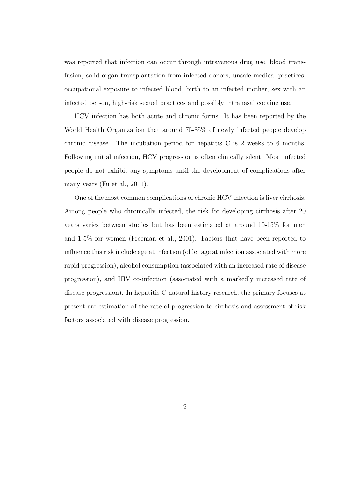was reported that infection can occur through intravenous drug use, blood transfusion, solid organ transplantation from infected donors, unsafe medical practices, occupational exposure to infected blood, birth to an infected mother, sex with an infected person, high-risk sexual practices and possibly intranasal cocaine use.

HCV infection has both acute and chronic forms. It has been reported by the World Health Organization that around 75-85% of newly infected people develop chronic disease. The incubation period for hepatitis C is 2 weeks to 6 months. Following initial infection, HCV progression is often clinically silent. Most infected people do not exhibit any symptoms until the development of complications after many years (Fu et al., 2011).

One of the most common complications of chronic HCV infection is liver cirrhosis. Among people who chronically infected, the risk for developing cirrhosis after 20 years varies between studies but has been estimated at around 10-15% for men and 1-5% for women (Freeman et al., 2001). Factors that have been reported to influence this risk include age at infection (older age at infection associated with more rapid progression), alcohol consumption (associated with an increased rate of disease progression), and HIV co-infection (associated with a markedly increased rate of disease progression). In hepatitis C natural history research, the primary focuses at present are estimation of the rate of progression to cirrhosis and assessment of risk factors associated with disease progression.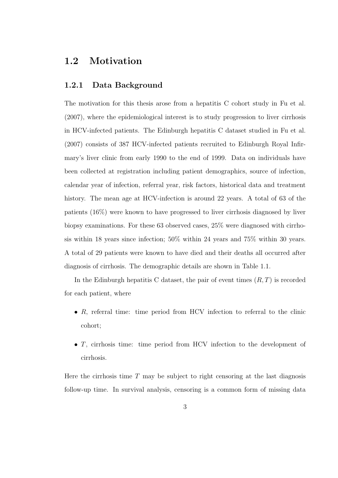### 1.2 Motivation

### 1.2.1 Data Background

The motivation for this thesis arose from a hepatitis C cohort study in Fu et al. (2007), where the epidemiological interest is to study progression to liver cirrhosis in HCV-infected patients. The Edinburgh hepatitis C dataset studied in Fu et al. (2007) consists of 387 HCV-infected patients recruited to Edinburgh Royal Infirmary's liver clinic from early 1990 to the end of 1999. Data on individuals have been collected at registration including patient demographics, source of infection, calendar year of infection, referral year, risk factors, historical data and treatment history. The mean age at HCV-infection is around 22 years. A total of 63 of the patients (16%) were known to have progressed to liver cirrhosis diagnosed by liver biopsy examinations. For these 63 observed cases, 25% were diagnosed with cirrhosis within 18 years since infection; 50% within 24 years and 75% within 30 years. A total of 29 patients were known to have died and their deaths all occurred after diagnosis of cirrhosis. The demographic details are shown in Table 1.1.

In the Edinburgh hepatitis C dataset, the pair of event times  $(R, T)$  is recorded for each patient, where

- $R$ , referral time: time period from HCV infection to referral to the clinic cohort;
- T, cirrhosis time: time period from HCV infection to the development of cirrhosis.

Here the cirrhosis time  $T$  may be subject to right censoring at the last diagnosis follow-up time. In survival analysis, censoring is a common form of missing data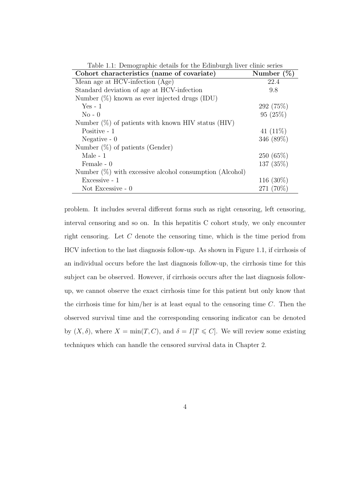| Table 1.1: Demographic details for the Edmourgh liver clinic series<br>Cohort characteristics (name of covariate) | Number $(\%)$ |  |
|-------------------------------------------------------------------------------------------------------------------|---------------|--|
| Mean age at HCV-infection (Age)                                                                                   | 22.4          |  |
| Standard deviation of age at HCV-infection                                                                        | 9.8           |  |
| Number $(\%)$ known as ever injected drugs (IDU)                                                                  |               |  |
| $Yes - 1$                                                                                                         | 292 (75\%)    |  |
| $No - 0$                                                                                                          | 95(25%)       |  |
| Number $(\%)$ of patients with known HIV status (HIV)                                                             |               |  |
| Positive - 1                                                                                                      | 41 $(11\%)$   |  |
| Negative $-0$                                                                                                     | 346 (89%)     |  |
| Number $(\%)$ of patients (Gender)                                                                                |               |  |
| Male $-1$                                                                                                         | 250(65%)      |  |
| Female - 0                                                                                                        | 137 (35%)     |  |
| Number $(\%)$ with excessive alcohol consumption (Alcohol)                                                        |               |  |
| Excessive - 1                                                                                                     | 116 $(30\%)$  |  |
| Not Excessive $-0$                                                                                                | 271 (70%)     |  |

Table 1.1: Demographic details for the Edinburgh liver clinic series

problem. It includes several different forms such as right censoring, left censoring, interval censoring and so on. In this hepatitis C cohort study, we only encounter right censoring. Let C denote the censoring time, which is the time period from HCV infection to the last diagnosis follow-up. As shown in Figure 1.1, if cirrhosis of an individual occurs before the last diagnosis follow-up, the cirrhosis time for this subject can be observed. However, if cirrhosis occurs after the last diagnosis followup, we cannot observe the exact cirrhosis time for this patient but only know that the cirrhosis time for him/her is at least equal to the censoring time  $C$ . Then the observed survival time and the corresponding censoring indicator can be denoted by  $(X, \delta)$ , where  $X = \min(T, C)$ , and  $\delta = I[T \leq C]$ . We will review some existing techniques which can handle the censored survival data in Chapter 2.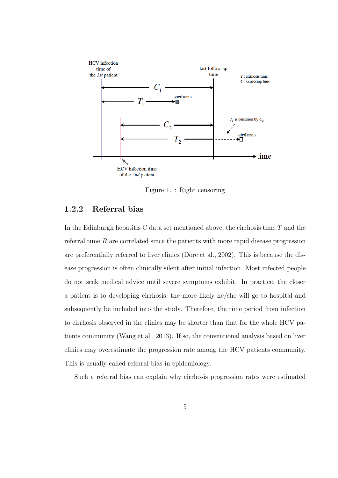

Figure 1.1: Right censoring

### 1.2.2 Referral bias

In the Edinburgh hepatitis C data set mentioned above, the cirrhosis time  $T$  and the referral time  $R$  are correlated since the patients with more rapid disease progression are preferentially referred to liver clinics (Dore et al., 2002). This is because the disease progression is often clinically silent after initial infection. Most infected people do not seek medical advice until severe symptoms exhibit. In practice, the closer a patient is to developing cirrhosis, the more likely he/she will go to hospital and subsequently be included into the study. Therefore, the time period from infection to cirrhosis observed in the clinics may be shorter than that for the whole HCV patients community (Wang et al., 2013). If so, the conventional analysis based on liver clinics may overestimate the progression rate among the HCV patients community. This is usually called referral bias in epidemiology.

Such a referral bias can explain why cirrhosis progression rates were estimated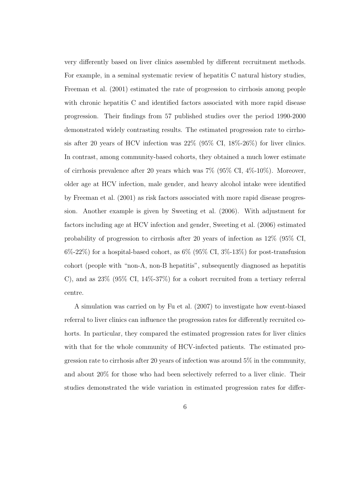very differently based on liver clinics assembled by different recruitment methods. For example, in a seminal systematic review of hepatitis C natural history studies, Freeman et al. (2001) estimated the rate of progression to cirrhosis among people with chronic hepatitis C and identified factors associated with more rapid disease progression. Their findings from 57 published studies over the period 1990-2000 demonstrated widely contrasting results. The estimated progression rate to cirrhosis after 20 years of HCV infection was 22% (95% CI, 18%-26%) for liver clinics. In contrast, among community-based cohorts, they obtained a much lower estimate of cirrhosis prevalence after 20 years which was 7% (95% CI, 4%-10%). Moreover, older age at HCV infection, male gender, and heavy alcohol intake were identified by Freeman et al. (2001) as risk factors associated with more rapid disease progression. Another example is given by Sweeting et al. (2006). With adjustment for factors including age at HCV infection and gender, Sweeting et al. (2006) estimated probability of progression to cirrhosis after 20 years of infection as 12% (95% CI,  $6\%$ -22%) for a hospital-based cohort, as  $6\%$  (95% CI,  $3\%$ -13%) for post-transfusion cohort (people with "non-A, non-B hepatitis", subsequently diagnosed as hepatitis C), and as 23% (95% CI, 14%-37%) for a cohort recruited from a tertiary referral centre.

A simulation was carried on by Fu et al. (2007) to investigate how event-biased referral to liver clinics can influence the progression rates for differently recruited cohorts. In particular, they compared the estimated progression rates for liver clinics with that for the whole community of HCV-infected patients. The estimated progression rate to cirrhosis after 20 years of infection was around 5% in the community, and about 20% for those who had been selectively referred to a liver clinic. Their studies demonstrated the wide variation in estimated progression rates for differ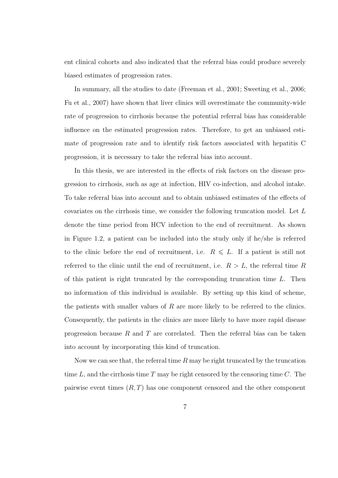ent clinical cohorts and also indicated that the referral bias could produce severely biased estimates of progression rates.

In summary, all the studies to date (Freeman et al., 2001; Sweeting et al., 2006; Fu et al., 2007) have shown that liver clinics will overestimate the community-wide rate of progression to cirrhosis because the potential referral bias has considerable influence on the estimated progression rates. Therefore, to get an unbiased estimate of progression rate and to identify risk factors associated with hepatitis C progression, it is necessary to take the referral bias into account.

In this thesis, we are interested in the effects of risk factors on the disease progression to cirrhosis, such as age at infection, HIV co-infection, and alcohol intake. To take referral bias into account and to obtain unbiased estimates of the effects of covariates on the cirrhosis time, we consider the following truncation model. Let L denote the time period from HCV infection to the end of recruitment. As shown in Figure 1.2, a patient can be included into the study only if he/she is referred to the clinic before the end of recruitment, i.e.  $R \leq L$ . If a patient is still not referred to the clinic until the end of recruitment, i.e.  $R > L$ , the referral time R of this patient is right truncated by the corresponding truncation time  $L$ . Then no information of this individual is available. By setting up this kind of scheme, the patients with smaller values of  $R$  are more likely to be referred to the clinics. Consequently, the patients in the clinics are more likely to have more rapid disease progression because  $R$  and  $T$  are correlated. Then the referral bias can be taken into account by incorporating this kind of truncation.

Now we can see that, the referral time  $R$  may be right truncated by the truncation time  $L$ , and the cirrhosis time  $T$  may be right censored by the censoring time  $C$ . The pairwise event times  $(R, T)$  has one component censored and the other component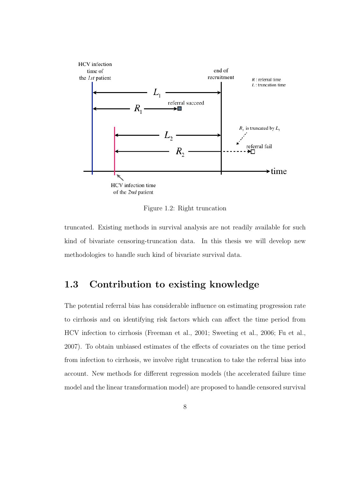

Figure 1.2: Right truncation

truncated. Existing methods in survival analysis are not readily available for such kind of bivariate censoring-truncation data. In this thesis we will develop new methodologies to handle such kind of bivariate survival data.

### 1.3 Contribution to existing knowledge

The potential referral bias has considerable influence on estimating progression rate to cirrhosis and on identifying risk factors which can affect the time period from HCV infection to cirrhosis (Freeman et al., 2001; Sweeting et al., 2006; Fu et al., 2007). To obtain unbiased estimates of the effects of covariates on the time period from infection to cirrhosis, we involve right truncation to take the referral bias into account. New methods for different regression models (the accelerated failure time model and the linear transformation model) are proposed to handle censored survival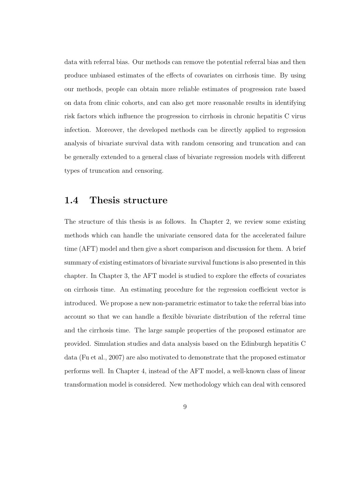data with referral bias. Our methods can remove the potential referral bias and then produce unbiased estimates of the effects of covariates on cirrhosis time. By using our methods, people can obtain more reliable estimates of progression rate based on data from clinic cohorts, and can also get more reasonable results in identifying risk factors which influence the progression to cirrhosis in chronic hepatitis C virus infection. Moreover, the developed methods can be directly applied to regression analysis of bivariate survival data with random censoring and truncation and can be generally extended to a general class of bivariate regression models with different types of truncation and censoring.

### 1.4 Thesis structure

The structure of this thesis is as follows. In Chapter 2, we review some existing methods which can handle the univariate censored data for the accelerated failure time (AFT) model and then give a short comparison and discussion for them. A brief summary of existing estimators of bivariate survival functions is also presented in this chapter. In Chapter 3, the AFT model is studied to explore the effects of covariates on cirrhosis time. An estimating procedure for the regression coefficient vector is introduced. We propose a new non-parametric estimator to take the referral bias into account so that we can handle a flexible bivariate distribution of the referral time and the cirrhosis time. The large sample properties of the proposed estimator are provided. Simulation studies and data analysis based on the Edinburgh hepatitis C data (Fu et al., 2007) are also motivated to demonstrate that the proposed estimator performs well. In Chapter 4, instead of the AFT model, a well-known class of linear transformation model is considered. New methodology which can deal with censored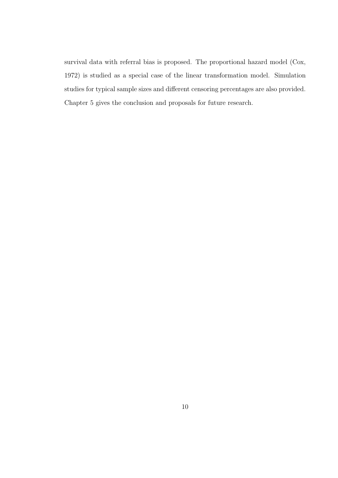survival data with referral bias is proposed. The proportional hazard model (Cox, 1972) is studied as a special case of the linear transformation model. Simulation studies for typical sample sizes and different censoring percentages are also provided. Chapter 5 gives the conclusion and proposals for future research.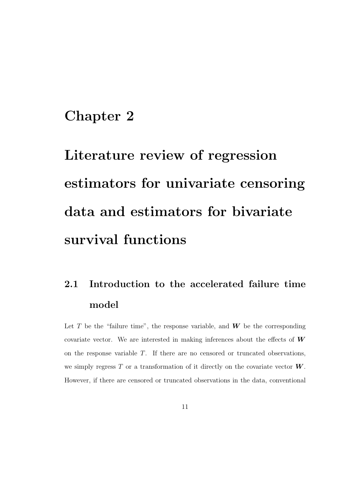### Chapter 2

# Literature review of regression estimators for univariate censoring data and estimators for bivariate survival functions

# 2.1 Introduction to the accelerated failure time model

Let T be the "failure time", the response variable, and  $W$  be the corresponding covariate vector. We are interested in making inferences about the effects of  $W$ on the response variable T. If there are no censored or truncated observations, we simply regress  $T$  or a transformation of it directly on the covariate vector  $W$ . However, if there are censored or truncated observations in the data, conventional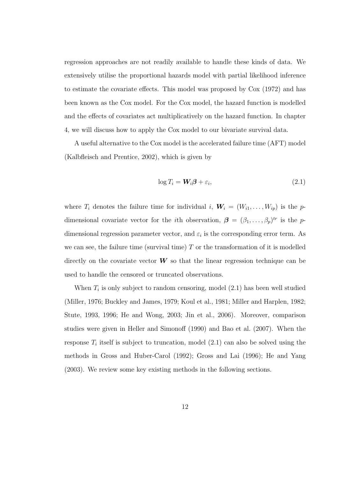regression approaches are not readily available to handle these kinds of data. We extensively utilise the proportional hazards model with partial likelihood inference to estimate the covariate effects. This model was proposed by Cox (1972) and has been known as the Cox model. For the Cox model, the hazard function is modelled and the effects of covariates act multiplicatively on the hazard function. In chapter 4, we will discuss how to apply the Cox model to our bivariate survival data.

A useful alternative to the Cox model is the accelerated failure time (AFT) model (Kalbfleisch and Prentice, 2002), which is given by

$$
\log T_i = \mathbf{W}_i \boldsymbol{\beta} + \varepsilon_i, \tag{2.1}
$$

where  $T_i$  denotes the failure time for individual i,  $\mathbf{W}_i = (W_{i1}, \ldots, W_{ip})$  is the pdimensional covariate vector for the *i*th observation,  $\boldsymbol{\beta} = (\beta_1, \ldots, \beta_p)^{tr}$  is the pdimensional regression parameter vector, and  $\varepsilon_i$  is the corresponding error term. As we can see, the failure time (survival time)  $T$  or the transformation of it is modelled directly on the covariate vector  $W$  so that the linear regression technique can be used to handle the censored or truncated observations.

When  $T_i$  is only subject to random censoring, model  $(2.1)$  has been well studied (Miller, 1976; Buckley and James, 1979; Koul et al., 1981; Miller and Harplen, 1982; Stute, 1993, 1996; He and Wong, 2003; Jin et al., 2006). Moreover, comparison studies were given in Heller and Simonoff (1990) and Bao et al. (2007). When the response  $T_i$  itself is subject to truncation, model  $(2.1)$  can also be solved using the methods in Gross and Huber-Carol (1992); Gross and Lai (1996); He and Yang (2003). We review some key existing methods in the following sections.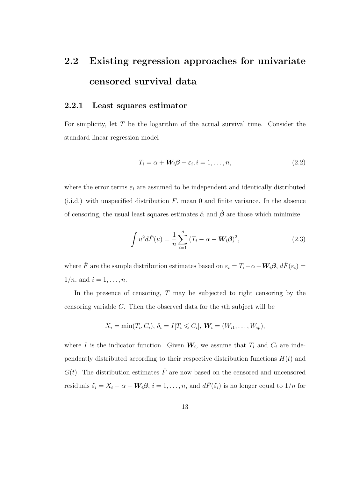# 2.2 Existing regression approaches for univariate censored survival data

### 2.2.1 Least squares estimator

For simplicity, let T be the logarithm of the actual survival time. Consider the standard linear regression model

$$
T_i = \alpha + \mathbf{W}_i \boldsymbol{\beta} + \varepsilon_i, i = 1, \dots, n,
$$
\n
$$
(2.2)
$$

where the error terms  $\varepsilon_i$  are assumed to be independent and identically distributed  $(i.i.d.)$  with unspecified distribution F, mean 0 and finite variance. In the absence of censoring, the usual least squares estimates  $\hat{\alpha}$  and  $\hat{\beta}$  are those which minimize

$$
\int u^2 d\hat{F}(u) = \frac{1}{n} \sum_{i=1}^n (T_i - \alpha - W_i \beta)^2,
$$
\n(2.3)

where  $\hat{F}$  are the sample distribution estimates based on  $\varepsilon_i = T_i - \alpha - W_i \beta$ ,  $d\hat{F}(\varepsilon_i) =$  $1/n$ , and  $i = 1, ..., n$ .

In the presence of censoring,  $T$  may be subjected to right censoring by the censoring variable C. Then the observed data for the ith subject will be

$$
X_i = \min(T_i, C_i), \delta_i = I[T_i \leq C_i], W_i = (W_{i1}, \dots, W_{ip}),
$$

where I is the indicator function. Given  $W_i$ , we assume that  $T_i$  and  $C_i$  are independently distributed according to their respective distribution functions  $H(t)$  and  $G(t)$ . The distribution estimates  $\hat{F}$  are now based on the censored and uncensored residuals  $\tilde{\varepsilon}_i = X_i - \alpha - \mathbf{W}_i \boldsymbol{\beta}, i = 1, \ldots, n$ , and  $d\hat{F}(\tilde{\varepsilon}_i)$  is no longer equal to  $1/n$  for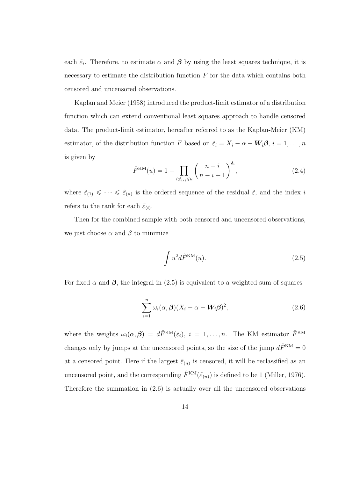each  $\tilde{\varepsilon}_i$ . Therefore, to estimate  $\alpha$  and  $\beta$  by using the least squares technique, it is necessary to estimate the distribution function  $F$  for the data which contains both censored and uncensored observations.

Kaplan and Meier (1958) introduced the product-limit estimator of a distribution function which can extend conventional least squares approach to handle censored data. The product-limit estimator, hereafter referred to as the Kaplan-Meier (KM) estimator, of the distribution function F based on  $\tilde{\varepsilon}_i = X_i - \alpha - W_i \beta$ ,  $i = 1, ..., n$ is given by

$$
\hat{F}^{\text{KM}}(u) = 1 - \prod_{i:\tilde{\varepsilon}_{(i)} \leq u} \left(\frac{n-i}{n-i+1}\right)^{\delta_i},\tag{2.4}
$$

where  $\tilde{\varepsilon}_{(1)} \leq \cdots \leq \tilde{\varepsilon}_{(n)}$  is the ordered sequence of the residual  $\tilde{\varepsilon}$ , and the index i refers to the rank for each  $\tilde{\varepsilon}_{(i)}$ .

Then for the combined sample with both censored and uncensored observations, we just choose  $\alpha$  and  $\beta$  to minimize

$$
\int u^2 d\hat{F}^{\text{KM}}(u). \tag{2.5}
$$

For fixed  $\alpha$  and  $\beta$ , the integral in (2.5) is equivalent to a weighted sum of squares

$$
\sum_{i=1}^{n} \omega_i(\alpha, \beta) (X_i - \alpha - W_i \beta)^2,
$$
\n(2.6)

where the weights  $\omega_i(\alpha, \beta) = d\hat{F}^{KM}(\tilde{\varepsilon}_i), i = 1, \ldots, n$ . The KM estimator  $\hat{F}^{KM}$ changes only by jumps at the uncensored points, so the size of the jump  $d\hat{F}^{KM} = 0$ at a censored point. Here if the largest  $\tilde{\varepsilon}_{(n)}$  is censored, it will be reclassified as an uncensored point, and the corresponding  $\hat{F}^{KM}(\tilde{\varepsilon}_{(n)})$  is defined to be 1 (Miller, 1976). Therefore the summation in (2.6) is actually over all the uncensored observations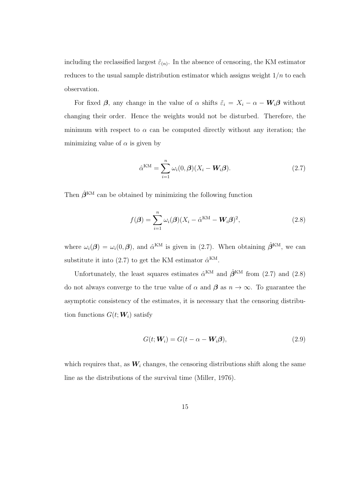including the reclassified largest  $\tilde{\varepsilon}_{(n)}$ . In the absence of censoring, the KM estimator reduces to the usual sample distribution estimator which assigns weight  $1/n$  to each observation.

For fixed  $\beta$ , any change in the value of  $\alpha$  shifts  $\tilde{\varepsilon}_i = X_i - \alpha - W_i \beta$  without changing their order. Hence the weights would not be disturbed. Therefore, the minimum with respect to  $\alpha$  can be computed directly without any iteration; the minimizing value of  $\alpha$  is given by

$$
\hat{\alpha}^{\text{KM}} = \sum_{i=1}^{n} \omega_i(0, \boldsymbol{\beta})(X_i - \boldsymbol{W}_i \boldsymbol{\beta}).
$$
\n(2.7)

Then  $\hat{\beta}^{KM}$  can be obtained by minimizing the following function

$$
f(\boldsymbol{\beta}) = \sum_{i=1}^{n} \omega_i(\boldsymbol{\beta}) (X_i - \hat{\alpha}^{KM} - \boldsymbol{W}_i \boldsymbol{\beta})^2,
$$
\n(2.8)

where  $\omega_i(\boldsymbol{\beta}) = \omega_i(0,\boldsymbol{\beta})$ , and  $\hat{\alpha}^{KM}$  is given in (2.7). When obtaining  $\hat{\boldsymbol{\beta}}^{KM}$ , we can substitute it into (2.7) to get the KM estimator  $\hat{\alpha}^{KM}$ .

Unfortunately, the least squares estimates  $\hat{\alpha}^{KM}$  and  $\hat{\beta}^{KM}$  from (2.7) and (2.8) do not always converge to the true value of  $\alpha$  and  $\beta$  as  $n \to \infty$ . To guarantee the asymptotic consistency of the estimates, it is necessary that the censoring distribution functions  $G(t; \boldsymbol{W}_i)$  satisfy

$$
G(t; \mathbf{W}_i) = G(t - \alpha - \mathbf{W}_i \boldsymbol{\beta}), \tag{2.9}
$$

which requires that, as  $W_i$  changes, the censoring distributions shift along the same line as the distributions of the survival time (Miller, 1976).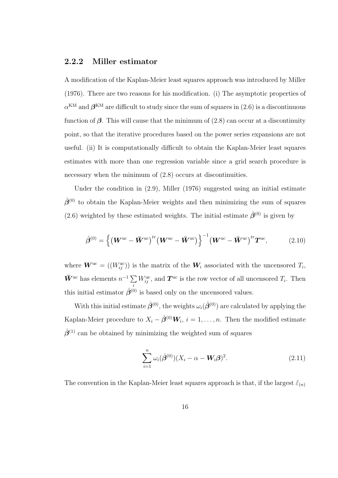### 2.2.2 Miller estimator

A modification of the Kaplan-Meier least squares approach was introduced by Miller (1976). There are two reasons for his modification. (i) The asymptotic properties of  $\alpha^{KM}$  and  $\boldsymbol{\beta}^{KM}$  are difficult to study since the sum of squares in  $(2.6)$  is a discontinuous function of  $\beta$ . This will cause that the minimum of (2.8) can occur at a discontinuity point, so that the iterative procedures based on the power series expansions are not useful. (ii) It is computationally difficult to obtain the Kaplan-Meier least squares estimates with more than one regression variable since a grid search procedure is necessary when the minimum of  $(2.8)$  occurs at discontinuities.

Under the condition in (2.9), Miller (1976) suggested using an initial estimate  $\hat{\beta}^{(0)}$  to obtain the Kaplan-Meier weights and then minimizing the sum of squares (2.6) weighted by these estimated weights. The initial estimate  $\hat{\beta}^{(0)}$  is given by

$$
\hat{\boldsymbol{\beta}}^{(0)} = \left\{ \left( \boldsymbol{W}^{\text{uc}} - \boldsymbol{\bar{W}}^{\text{uc}} \right)^{tr} \left( \boldsymbol{W}^{\text{uc}} - \boldsymbol{\bar{W}}^{\text{uc}} \right) \right\}^{-1} \left( \boldsymbol{W}^{\text{uc}} - \boldsymbol{\bar{W}}^{\text{uc}} \right)^{tr} \boldsymbol{T}^{\text{uc}}, \tag{2.10}
$$

where  $\mathbf{W}^{\text{uc}} = ((W^{\text{uc}}_{ij}))$  is the matrix of the  $\mathbf{W}_i$  associated with the uncensored  $T_i$ ,  $\bar{\mathbf{W}}^{\text{uc}}$  has elements  $n^{-1} \sum$ i  $W_{ij}^{\text{uc}}$ , and  $T^{\text{uc}}$  is the row vector of all uncensored  $T_i$ . Then this initial estimator  $\hat{\beta}^{(0)}$  is based only on the uncensored values.

With this initial estimate  $\hat{\beta}^{(0)}$ , the weights  $\omega_i(\hat{\beta}^{(0)})$  are calculated by applying the Kaplan-Meier procedure to  $X_i - \hat{\boldsymbol{\beta}}^{(0)} \boldsymbol{W}_i$ ,  $i = 1, \ldots, n$ . Then the modified estimate  $\hat{\beta}^{(1)}$  can be obtained by minimizing the weighted sum of squares

$$
\sum_{i=1}^{n} \omega_i(\hat{\beta}^{(0)})(X_i - \alpha - W_i \beta)^2.
$$
 (2.11)

The convention in the Kaplan-Meier least squares approach is that, if the largest  $\tilde{\varepsilon}_{(n)}$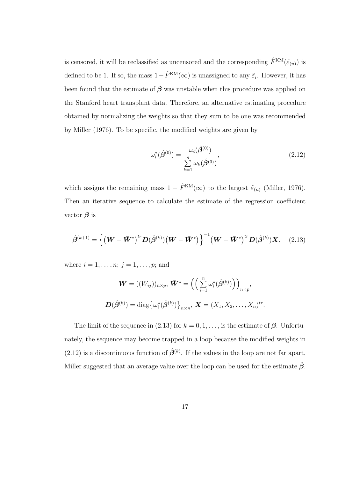is censored, it will be reclassified as uncensored and the corresponding  $\hat{F}^{KM}(\tilde{\varepsilon}_{(n)})$  is defined to be 1. If so, the mass  $1-\hat{F}^{KM}(\infty)$  is unassigned to any  $\tilde{\varepsilon}_i$ . However, it has been found that the estimate of  $\beta$  was unstable when this procedure was applied on the Stanford heart transplant data. Therefore, an alternative estimating procedure obtained by normalizing the weights so that they sum to be one was recommended by Miller (1976). To be specific, the modified weights are given by

$$
\omega_i^*(\hat{\beta}^{(0)}) = \frac{\omega_i(\hat{\beta}^{(0)})}{\sum_{k=1}^n \omega_k(\hat{\beta}^{(0)})},\tag{2.12}
$$

which assigns the remaining mass  $1 - \hat{F}^{KM}(\infty)$  to the largest  $\tilde{\varepsilon}_{(n)}$  (Miller, 1976). Then an iterative sequence to calculate the estimate of the regression coefficient vector  $\beta$  is

$$
\hat{\beta}^{(k+1)} = \left\{ \left( \mathbf{W} - \bar{\mathbf{W}}^* \right)^{tr} \mathbf{D}(\hat{\beta}^{(k)}) \left( \mathbf{W} - \bar{\mathbf{W}}^* \right) \right\}^{-1} \left( \mathbf{W} - \bar{\mathbf{W}}^* \right)^{tr} \mathbf{D}(\hat{\beta}^{(k)}) \mathbf{X}, \quad (2.13)
$$

where  $i = 1, ..., n; j = 1, ..., p;$  and

$$
\mathbf{W} = ((W_{ij}))_{n \times p}, \ \mathbf{\bar{W}}^* = \left( \left( \sum_{i=1}^n \omega_i^* (\hat{\boldsymbol{\beta}}^{(k)}) \right) \right)_{n \times p},
$$

$$
\mathbf{D}(\hat{\boldsymbol{\beta}}^{(k)}) = \text{diag} \left\{ \omega_i^* (\hat{\boldsymbol{\beta}}^{(k)}) \right\}_{n \times n}, \ \mathbf{X} = (X_1, X_2, \dots, X_n)^{tr}.
$$

The limit of the sequence in (2.13) for  $k = 0, 1, \ldots$ , is the estimate of  $\beta$ . Unfortunately, the sequence may become trapped in a loop because the modified weights in  $(2.12)$  is a discontinuous function of  $\hat{\beta}^{(k)}$ . If the values in the loop are not far apart, Miller suggested that an average value over the loop can be used for the estimate  $\hat{\beta}$ .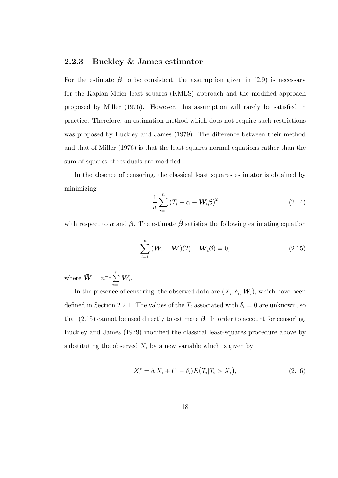### 2.2.3 Buckley & James estimator

For the estimate  $\hat{\boldsymbol{\beta}}$  to be consistent, the assumption given in (2.9) is necessary for the Kaplan-Meier least squares (KMLS) approach and the modified approach proposed by Miller (1976). However, this assumption will rarely be satisfied in practice. Therefore, an estimation method which does not require such restrictions was proposed by Buckley and James (1979). The difference between their method and that of Miller (1976) is that the least squares normal equations rather than the sum of squares of residuals are modified.

In the absence of censoring, the classical least squares estimator is obtained by minimizing

$$
\frac{1}{n}\sum_{i=1}^{n} \left( T_i - \alpha - \mathbf{W}_i \boldsymbol{\beta} \right)^2 \tag{2.14}
$$

with respect to  $\alpha$  and  $\beta$ . The estimate  $\hat{\beta}$  satisfies the following estimating equation

$$
\sum_{i=1}^{n} \left( \mathbf{W}_i - \bar{\mathbf{W}} \right) (T_i - \mathbf{W}_i \boldsymbol{\beta}) = 0, \tag{2.15}
$$

where  $\bar{\mathbf{W}} = n^{-1} \sum_{n=1}^{n}$  $i=1$  $\boldsymbol{W_i}.$ 

In the presence of censoring, the observed data are  $(X_i, \delta_i, \mathbf{W}_i)$ , which have been defined in Section 2.2.1. The values of the  $T_i$  associated with  $\delta_i = 0$  are unknown, so that  $(2.15)$  cannot be used directly to estimate  $\beta$ . In order to account for censoring, Buckley and James (1979) modified the classical least-squares procedure above by substituting the observed  $X_i$  by a new variable which is given by

$$
X_i^* = \delta_i X_i + (1 - \delta_i) E(T_i | T_i > X_i), \tag{2.16}
$$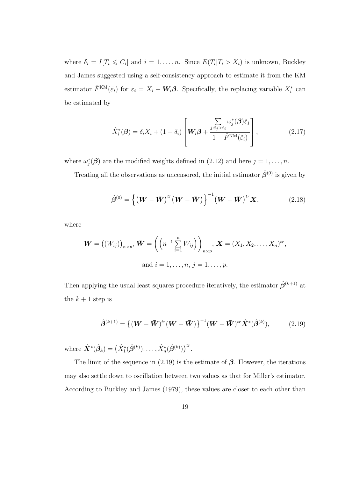where  $\delta_i = I[T_i \leq C_i]$  and  $i = 1, ..., n$ . Since  $E(T_i | T_i > X_i)$  is unknown, Buckley and James suggested using a self-consistency approach to estimate it from the KM estimator  $\hat{F}^{KM}(\tilde{\varepsilon}_i)$  for  $\tilde{\varepsilon}_i = X_i - W_i \beta$ . Specifically, the replacing variable  $X_i^*$  can be estimated by

$$
\hat{X}_{i}^{*}(\boldsymbol{\beta}) = \delta_{i}X_{i} + (1 - \delta_{i}) \left[ \boldsymbol{W}_{i}\boldsymbol{\beta} + \frac{\sum_{j:\tilde{\varepsilon}_{j} > \tilde{\varepsilon}_{i}} \omega_{j}^{*}(\boldsymbol{\beta})\tilde{\varepsilon}_{j}}{1 - \hat{F}^{\text{KM}}(\tilde{\varepsilon}_{i})} \right],
$$
\n(2.17)

where  $\omega_j^*(\boldsymbol{\beta})$  are the modified weights defined in  $(2.12)$  and here  $j = 1, \ldots, n$ .

Treating all the observations as uncensored, the initial estimator  $\hat{\beta}^{(0)}$  is given by

$$
\hat{\beta}^{(0)} = \left\{ \left( \boldsymbol{W} - \bar{\boldsymbol{W}} \right)^{tr} \left( \boldsymbol{W} - \bar{\boldsymbol{W}} \right) \right\}^{-1} \left( \boldsymbol{W} - \bar{\boldsymbol{W}} \right)^{tr} \boldsymbol{X},\tag{2.18}
$$

where

$$
\mathbf{W} = ((W_{ij}))_{n \times p}, \ \mathbf{\bar{W}} = \left( \left( n^{-1} \sum_{i=1}^{n} W_{ij} \right) \right)_{n \times p}, \ \mathbf{X} = (X_1, X_2, \dots, X_n)^{tr},
$$
  
and  $i = 1, \dots, n, j = 1, \dots, p.$ 

Then applying the usual least squares procedure iteratively, the estimator  $\hat{\beta}^{(k+1)}$  at the  $k + 1$  step is

$$
\hat{\beta}^{(k+1)} = \{ (\mathbf{W} - \bar{\mathbf{W}})^{tr} (\mathbf{W} - \bar{\mathbf{W}}) \}^{-1} (\mathbf{W} - \bar{\mathbf{W}})^{tr} \hat{\mathbf{X}}^* (\hat{\beta}^{(k)}), \tag{2.19}
$$

where  $\hat{\bm{X}}^{*}(\hat{\beta}_{k}) = (\hat{X}_{1}^{*}(\hat{\beta}^{(k)}), \ldots, \hat{X}_{n}^{*}(\hat{\beta}^{(k)}))^{tr}.$ 

The limit of the sequence in (2.19) is the estimate of  $\beta$ . However, the iterations may also settle down to oscillation between two values as that for Miller's estimator. According to Buckley and James (1979), these values are closer to each other than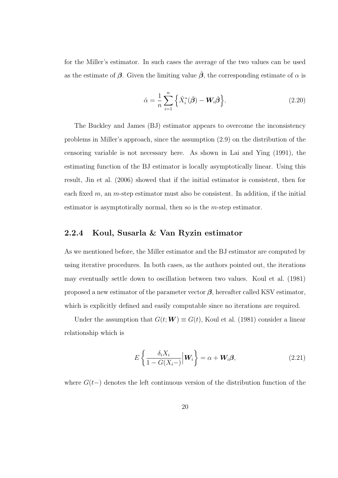for the Miller's estimator. In such cases the average of the two values can be used as the estimate of  $\beta$ . Given the limiting value  $\hat{\beta}$ , the corresponding estimate of  $\alpha$  is

$$
\hat{\alpha} = \frac{1}{n} \sum_{i=1}^{n} \left\{ \hat{X}_i^*(\hat{\boldsymbol{\beta}}) - \boldsymbol{W}_i \hat{\boldsymbol{\beta}} \right\}.
$$
\n(2.20)

The Buckley and James (BJ) estimator appears to overcome the inconsistency problems in Miller's approach, since the assumption (2.9) on the distribution of the censoring variable is not necessary here. As shown in Lai and Ying (1991), the estimating function of the BJ estimator is locally asymptotically linear. Using this result, Jin et al. (2006) showed that if the initial estimator is consistent, then for each fixed  $m$ , an  $m$ -step estimator must also be consistent. In addition, if the initial estimator is asymptotically normal, then so is the  $m$ -step estimator.

### 2.2.4 Koul, Susarla & Van Ryzin estimator

As we mentioned before, the Miller estimator and the BJ estimator are computed by using iterative procedures. In both cases, as the authors pointed out, the iterations may eventually settle down to oscillation between two values. Koul et al. (1981) proposed a new estimator of the parameter vector  $\beta$ , hereafter called KSV estimator, which is explicitly defined and easily computable since no iterations are required.

Under the assumption that  $G(t; \mathbf{W}) \equiv G(t)$ , Koul et al. (1981) consider a linear relationship which is

$$
E\left\{\frac{\delta_i X_i}{1 - G(X_i -)} \Big| \mathbf{W}_i\right\} = \alpha + \mathbf{W}_i \boldsymbol{\beta},\tag{2.21}
$$

where  $G(t-)$  denotes the left continuous version of the distribution function of the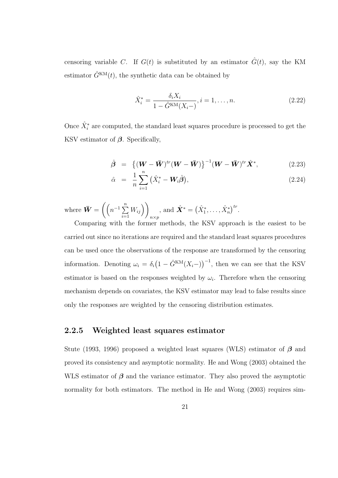censoring variable C. If  $G(t)$  is substituted by an estimator  $\hat{G}(t)$ , say the KM estimator  $\hat{G}^{KM}(t)$ , the synthetic data can be obtained by

$$
\hat{X}_i^* = \frac{\delta_i X_i}{1 - \hat{G}^{KM}(X_i -)}, i = 1, \dots, n.
$$
\n(2.22)

Once  $\hat{X}^*_i$  are computed, the standard least squares procedure is processed to get the KSV estimator of  $\beta$ . Specifically,

$$
\hat{\boldsymbol{\beta}} = \left\{ (\boldsymbol{W} - \boldsymbol{\bar{W}})^{tr} (\boldsymbol{W} - \boldsymbol{\bar{W}}) \right\}^{-1} (\boldsymbol{W} - \boldsymbol{\bar{W}})^{tr} \hat{\boldsymbol{X}}^*, \tag{2.23}
$$

$$
\hat{\alpha} = \frac{1}{n} \sum_{i=1}^{n} (\hat{X}_i^* - \mathbf{W}_i \hat{\boldsymbol{\beta}}), \tag{2.24}
$$

where  $\bar{\bm{W}} = \left( \left( n^{-1} \sum_{i=1}^{n} \bm{w}_i^T \right) \right)$  $i=1$  $W_{ij}$ )  $n \times p$ , and  $\hat{\mathbf{X}}^* = (\hat{X}_1^*, \dots, \hat{X}_n^*)^{tr}$ .

Comparing with the former methods, the KSV approach is the easiest to be carried out since no iterations are required and the standard least squares procedures can be used once the observations of the response are transformed by the censoring information. Denoting  $\omega_i = \delta_i (1 - \hat{G}^{KM}(X_i-))^{-1}$ , then we can see that the KSV estimator is based on the responses weighted by  $\omega_i$ . Therefore when the censoring mechanism depends on covariates, the KSV estimator may lead to false results since only the responses are weighted by the censoring distribution estimates.

### 2.2.5 Weighted least squares estimator

Stute (1993, 1996) proposed a weighted least squares (WLS) estimator of  $\beta$  and proved its consistency and asymptotic normality. He and Wong (2003) obtained the WLS estimator of  $\beta$  and the variance estimator. They also proved the asymptotic normality for both estimators. The method in He and Wong (2003) requires sim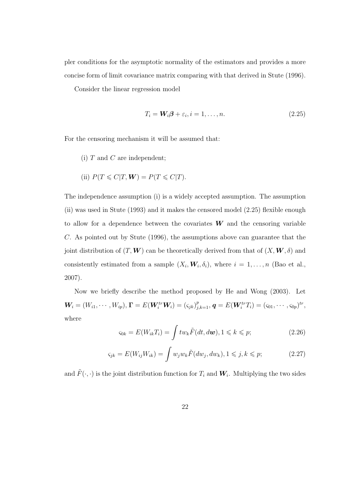pler conditions for the asymptotic normality of the estimators and provides a more concise form of limit covariance matrix comparing with that derived in Stute (1996).

Consider the linear regression model

$$
T_i = W_i \beta + \varepsilon_i, i = 1, \dots, n. \tag{2.25}
$$

For the censoring mechanism it will be assumed that:

- (i)  $T$  and  $C$  are independent;
- (ii)  $P(T \leq C | T, \mathbf{W}) = P(T \leq C | T).$

The independence assumption (i) is a widely accepted assumption. The assumption (ii) was used in Stute (1993) and it makes the censored model (2.25) flexible enough to allow for a dependence between the covariates  $W$  and the censoring variable C. As pointed out by Stute (1996), the assumptions above can guarantee that the joint distribution of  $(T, \mathbf{W})$  can be theoretically derived from that of  $(X, \mathbf{W}, \delta)$  and consistently estimated from a sample  $(X_i, \mathbf{W}_i, \delta_i)$ , where  $i = 1, \ldots, n$  (Bao et al., 2007).

Now we briefly describe the method proposed by He and Wong (2003). Let  $\mathbf{W}_i = (W_{i1}, \cdots, W_{ip}), \mathbf{\Gamma} = E(\mathbf{W}_i^{tr} \mathbf{W}_i) = (\varsigma_{jk})_{j,k=1}^p, \mathbf{q} = E(\mathbf{W}_i^{tr} T_i) = (\varsigma_{01}, \cdots, \varsigma_{0p})^{tr},$ where

$$
\varsigma_{0k} = E(W_{ik}T_i) = \int tw_k \tilde{F}(dt, d\boldsymbol{w}), 1 \leq k \leq p; \tag{2.26}
$$

$$
\varsigma_{jk} = E(W_{ij}W_{ik}) = \int w_j w_k \tilde{F}(dw_j, dw_k), 1 \le j, k \le p; \tag{2.27}
$$

and  $\tilde{F}(\cdot, \cdot)$  is the joint distribution function for  $T_i$  and  $W_i$ . Multiplying the two sides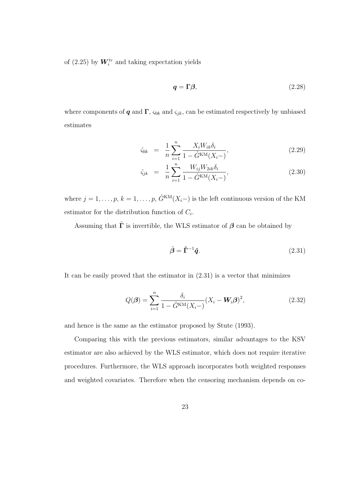of (2.25) by  $W_i^{tr}$  and taking expectation yields

$$
q = \Gamma \beta,\tag{2.28}
$$

where components of **q** and  $\Gamma$ ,  $\varsigma_{0k}$  and  $\varsigma_{jk}$ , can be estimated respectively by unbiased estimates

$$
\hat{\varsigma}_{0k} = \frac{1}{n} \sum_{i=1}^{n} \frac{X_i W_{ik} \delta_i}{1 - \hat{G}^{\text{KM}}(X_i -)},
$$
\n(2.29)

$$
\hat{\varsigma}_{jk} = \frac{1}{n} \sum_{i=1}^{n} \frac{W_{ij} W_{2ik} \delta_i}{1 - \hat{G}^{KM}(X_i -)},
$$
\n(2.30)

where  $j = 1, \ldots, p, k = 1, \ldots, p, \hat{G}^{KM}(X_i-)$  is the left continuous version of the KM estimator for the distribution function of  $C_i$ .

Assuming that  $\hat{\Gamma}$  is invertible, the WLS estimator of  $\beta$  can be obtained by

$$
\hat{\boldsymbol{\beta}} = \hat{\boldsymbol{\Gamma}}^{-1} \hat{\boldsymbol{q}}.\tag{2.31}
$$

It can be easily proved that the estimator in  $(2.31)$  is a vector that minimizes

$$
Q(\boldsymbol{\beta}) = \sum_{i=1}^{n} \frac{\delta_i}{1 - \hat{G}^{KM}(X_i - W_i \boldsymbol{\beta})^2},
$$
\n(2.32)

and hence is the same as the estimator proposed by Stute (1993).

Comparing this with the previous estimators, similar advantages to the KSV estimator are also achieved by the WLS estimator, which does not require iterative procedures. Furthermore, the WLS approach incorporates both weighted responses and weighted covariates. Therefore when the censoring mechanism depends on co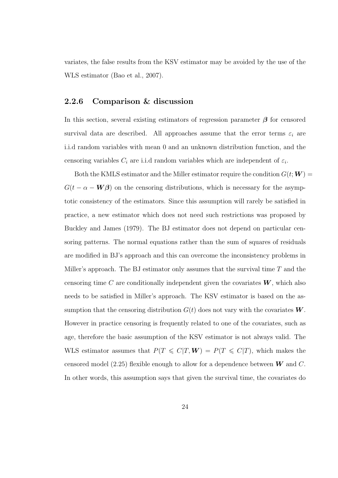variates, the false results from the KSV estimator may be avoided by the use of the WLS estimator (Bao et al., 2007).

### 2.2.6 Comparison & discussion

In this section, several existing estimators of regression parameter  $\beta$  for censored survival data are described. All approaches assume that the error terms  $\varepsilon_i$  are i.i.d random variables with mean 0 and an unknown distribution function, and the censoring variables  $C_i$  are i.i.d random variables which are independent of  $\varepsilon_i$ .

Both the KMLS estimator and the Miller estimator require the condition  $G(t;W)$  $G(t - \alpha - \mathbf{W}\beta)$  on the censoring distributions, which is necessary for the asymptotic consistency of the estimators. Since this assumption will rarely be satisfied in practice, a new estimator which does not need such restrictions was proposed by Buckley and James (1979). The BJ estimator does not depend on particular censoring patterns. The normal equations rather than the sum of squares of residuals are modified in BJ's approach and this can overcome the inconsistency problems in Miller's approach. The BJ estimator only assumes that the survival time  $T$  and the censoring time C are conditionally independent given the covariates  $W$ , which also needs to be satisfied in Miller's approach. The KSV estimator is based on the assumption that the censoring distribution  $G(t)$  does not vary with the covariates  $W$ . However in practice censoring is frequently related to one of the covariates, such as age, therefore the basic assumption of the KSV estimator is not always valid. The WLS estimator assumes that  $P(T \leq C | T, W) = P(T \leq C | T)$ , which makes the censored model (2.25) flexible enough to allow for a dependence between  $W$  and C. In other words, this assumption says that given the survival time, the covariates do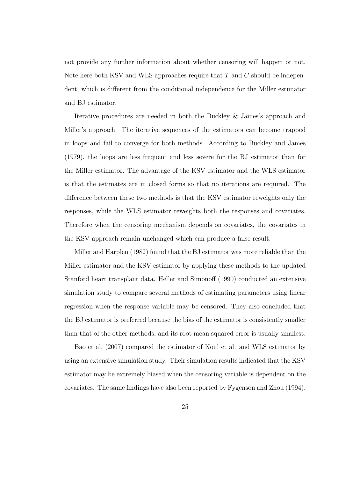not provide any further information about whether censoring will happen or not. Note here both KSV and WLS approaches require that  $T$  and  $C$  should be independent, which is different from the conditional independence for the Miller estimator and BJ estimator.

Iterative procedures are needed in both the Buckley & James's approach and Miller's approach. The iterative sequences of the estimators can become trapped in loops and fail to converge for both methods. According to Buckley and James (1979), the loops are less frequent and less severe for the BJ estimator than for the Miller estimator. The advantage of the KSV estimator and the WLS estimator is that the estimates are in closed forms so that no iterations are required. The difference between these two methods is that the KSV estimator reweights only the responses, while the WLS estimator reweights both the responses and covariates. Therefore when the censoring mechanism depends on covariates, the covariates in the KSV approach remain unchanged which can produce a false result.

Miller and Harplen (1982) found that the BJ estimator was more reliable than the Miller estimator and the KSV estimator by applying these methods to the updated Stanford heart transplant data. Heller and Simonoff (1990) conducted an extensive simulation study to compare several methods of estimating parameters using linear regression when the response variable may be censored. They also concluded that the BJ estimator is preferred because the bias of the estimator is consistently smaller than that of the other methods, and its root mean squared error is usually smallest.

Bao et al. (2007) compared the estimator of Koul et al. and WLS estimator by using an extensive simulation study. Their simulation results indicated that the KSV estimator may be extremely biased when the censoring variable is dependent on the covariates. The same findings have also been reported by Fygenson and Zhou (1994).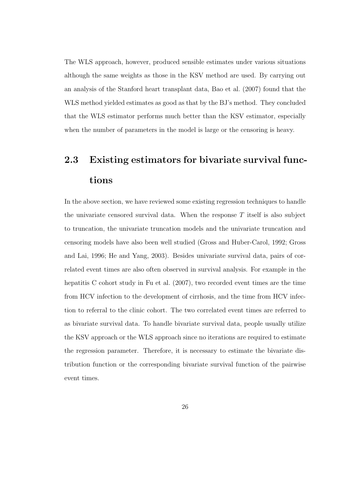The WLS approach, however, produced sensible estimates under various situations although the same weights as those in the KSV method are used. By carrying out an analysis of the Stanford heart transplant data, Bao et al. (2007) found that the WLS method yielded estimates as good as that by the BJ's method. They concluded that the WLS estimator performs much better than the KSV estimator, especially when the number of parameters in the model is large or the censoring is heavy.

## 2.3 Existing estimators for bivariate survival functions

In the above section, we have reviewed some existing regression techniques to handle the univariate censored survival data. When the response  $T$  itself is also subject to truncation, the univariate truncation models and the univariate truncation and censoring models have also been well studied (Gross and Huber-Carol, 1992; Gross and Lai, 1996; He and Yang, 2003). Besides univariate survival data, pairs of correlated event times are also often observed in survival analysis. For example in the hepatitis C cohort study in Fu et al. (2007), two recorded event times are the time from HCV infection to the development of cirrhosis, and the time from HCV infection to referral to the clinic cohort. The two correlated event times are referred to as bivariate survival data. To handle bivariate survival data, people usually utilize the KSV approach or the WLS approach since no iterations are required to estimate the regression parameter. Therefore, it is necessary to estimate the bivariate distribution function or the corresponding bivariate survival function of the pairwise event times.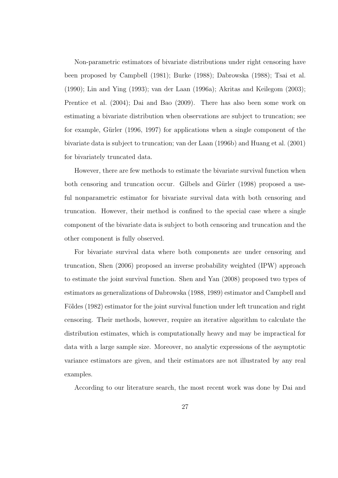Non-parametric estimators of bivariate distributions under right censoring have been proposed by Campbell (1981); Burke (1988); Dabrowska (1988); Tsai et al. (1990); Lin and Ying (1993); van der Laan (1996a); Akritas and Keilegom (2003); Prentice et al. (2004); Dai and Bao (2009). There has also been some work on estimating a bivariate distribution when observations are subject to truncation; see for example, Gürler (1996, 1997) for applications when a single component of the bivariate data is subject to truncation; van der Laan (1996b) and Huang et al. (2001) for bivariately truncated data.

However, there are few methods to estimate the bivariate survival function when both censoring and truncation occur. Gilbels and Gürler (1998) proposed a useful nonparametric estimator for bivariate survival data with both censoring and truncation. However, their method is confined to the special case where a single component of the bivariate data is subject to both censoring and truncation and the other component is fully observed.

For bivariate survival data where both components are under censoring and truncation, Shen (2006) proposed an inverse probability weighted (IPW) approach to estimate the joint survival function. Shen and Yan (2008) proposed two types of estimators as generalizations of Dabrowska (1988, 1989) estimator and Campbell and Földes (1982) estimator for the joint survival function under left truncation and right censoring. Their methods, however, require an iterative algorithm to calculate the distribution estimates, which is computationally heavy and may be impractical for data with a large sample size. Moreover, no analytic expressions of the asymptotic variance estimators are given, and their estimators are not illustrated by any real examples.

According to our literature search, the most recent work was done by Dai and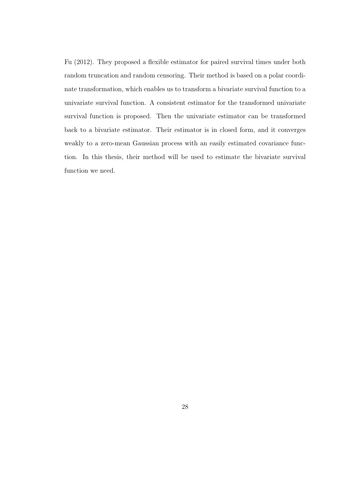Fu (2012). They proposed a flexible estimator for paired survival times under both random truncation and random censoring. Their method is based on a polar coordinate transformation, which enables us to transform a bivariate survival function to a univariate survival function. A consistent estimator for the transformed univariate survival function is proposed. Then the univariate estimator can be transformed back to a bivariate estimator. Their estimator is in closed form, and it converges weakly to a zero-mean Gaussian process with an easily estimated covariance function. In this thesis, their method will be used to estimate the bivariate survival function we need.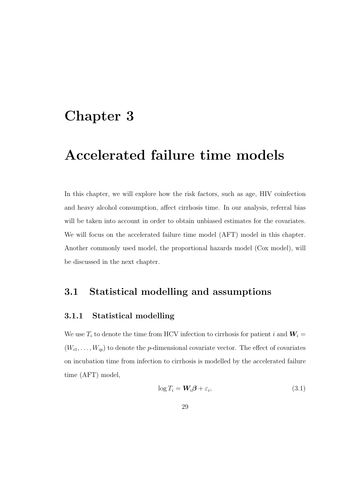## Chapter 3

# Accelerated failure time models

In this chapter, we will explore how the risk factors, such as age, HIV coinfection and heavy alcohol consumption, affect cirrhosis time. In our analysis, referral bias will be taken into account in order to obtain unbiased estimates for the covariates. We will focus on the accelerated failure time model (AFT) model in this chapter. Another commonly used model, the proportional hazards model (Cox model), will be discussed in the next chapter.

### 3.1 Statistical modelling and assumptions

### 3.1.1 Statistical modelling

We use  $T_i$  to denote the time from HCV infection to cirrhosis for patient i and  $W_i =$  $(W_{i1},\ldots,W_{ip})$  to denote the p-dimensional covariate vector. The effect of covariates on incubation time from infection to cirrhosis is modelled by the accelerated failure time (AFT) model,

$$
\log T_i = \mathbf{W}_i \boldsymbol{\beta} + \varepsilon_i,\tag{3.1}
$$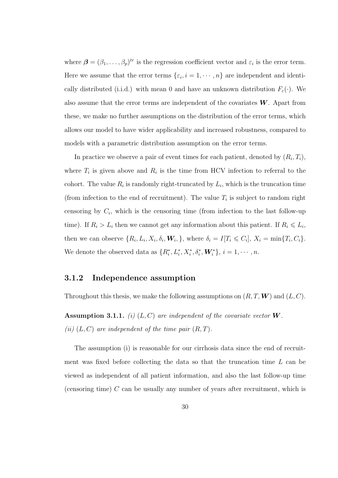where  $\boldsymbol{\beta} = (\beta_1, \dots, \beta_p)^{tr}$  is the regression coefficient vector and  $\varepsilon_i$  is the error term. Here we assume that the error terms  $\{\varepsilon_i, i = 1, \cdots, n\}$  are independent and identically distributed (i.i.d.) with mean 0 and have an unknown distribution  $F_{\varepsilon}(\cdot)$ . We also assume that the error terms are independent of the covariates  $W$ . Apart from these, we make no further assumptions on the distribution of the error terms, which allows our model to have wider applicability and increased robustness, compared to models with a parametric distribution assumption on the error terms.

In practice we observe a pair of event times for each patient, denoted by  $(R_i, T_i)$ , where  $T_i$  is given above and  $R_i$  is the time from HCV infection to referral to the cohort. The value  $R_i$  is randomly right-truncated by  $L_i$ , which is the truncation time (from infection to the end of recruitment). The value  $T_i$  is subject to random right censoring by  $C_i$ , which is the censoring time (from infection to the last follow-up time). If  $R_i > L_i$  then we cannot get any information about this patient. If  $R_i \leq L_i$ , then we can observe  $\{R_i, L_i, X_i, \delta_i, \mathbf{W}_i, \}$ , where  $\delta_i = I[T_i \leqslant C_i], X_i = \min\{T_i, C_i\}$ . We denote the observed data as  $\{R_i^*, L_i^*, X_i^*, \delta_i^*, \mathbf{W}_i^*\}, i = 1, \cdots, n$ .

#### 3.1.2 Independence assumption

Throughout this thesis, we make the following assumptions on  $(R, T, W)$  and  $(L, C)$ .

Assumption 3.1.1. (i)  $(L, C)$  are independent of the covariate vector W. (ii)  $(L, C)$  are independent of the time pair  $(R, T)$ .

The assumption (i) is reasonable for our cirrhosis data since the end of recruitment was fixed before collecting the data so that the truncation time L can be viewed as independent of all patient information, and also the last follow-up time (censoring time) C can be usually any number of years after recruitment, which is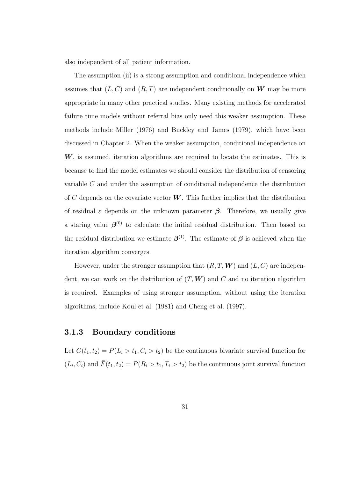also independent of all patient information.

The assumption (ii) is a strong assumption and conditional independence which assumes that  $(L, C)$  and  $(R, T)$  are independent conditionally on W may be more appropriate in many other practical studies. Many existing methods for accelerated failure time models without referral bias only need this weaker assumption. These methods include Miller (1976) and Buckley and James (1979), which have been discussed in Chapter 2. When the weaker assumption, conditional independence on  $W$ , is assumed, iteration algorithms are required to locate the estimates. This is because to find the model estimates we should consider the distribution of censoring variable C and under the assumption of conditional independence the distribution of C depends on the covariate vector  $W$ . This further implies that the distribution of residual  $\varepsilon$  depends on the unknown parameter  $\beta$ . Therefore, we usually give a staring value  $\beta^{(0)}$  to calculate the initial residual distribution. Then based on the residual distribution we estimate  $\beta^{(1)}$ . The estimate of  $\beta$  is achieved when the iteration algorithm converges.

However, under the stronger assumption that  $(R, T, W)$  and  $(L, C)$  are independent, we can work on the distribution of  $(T, W)$  and  $C$  and no iteration algorithm is required. Examples of using stronger assumption, without using the iteration algorithms, include Koul et al. (1981) and Cheng et al. (1997).

#### 3.1.3 Boundary conditions

Let  $G(t_1, t_2) = P(L_i > t_1, C_i > t_2)$  be the continuous bivariate survival function for  $(L_i, C_i)$  and  $\bar{F}(t_1, t_2) = P(R_i > t_1, T_i > t_2)$  be the continuous joint survival function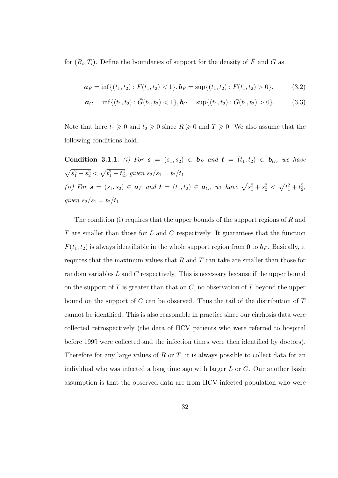for  $(R_i, T_i)$ . Define the boundaries of support for the density of  $\overline{F}$  and G as

$$
\mathbf{a}_{\bar{F}} = \inf\{(t_1, t_2) : \bar{F}(t_1, t_2) < 1\}, \mathbf{b}_{\bar{F}} = \sup\{(t_1, t_2) : \bar{F}(t_1, t_2) > 0\},\tag{3.2}
$$

$$
\mathbf{a}_G = \inf\{(t_1, t_2) : \bar{G}(t_1, t_2) < 1\}, \mathbf{b}_G = \sup\{(t_1, t_2) : G(t_1, t_2) > 0\}. \tag{3.3}
$$

Note that here  $t_1 \geq 0$  and  $t_2 \geq 0$  since  $R \geq 0$  and  $T \geq 0$ . We also assume that the following conditions hold.

Condition 3.1.1. (i) For  $s = (s_1, s_2) \in b_{\bar{F}}$  and  $t = (t_1, t_2) \in b_G$ , we have  $\sqrt{s_1^2 + s_2^2} < \sqrt{t_1^2 + t_2^2}$ , given  $s_2/s_1 = t_2/t_1$ . (ii) For  $s = (s_1, s_2) \in a_{\bar{F}}$  and  $t = (t_1, t_2) \in a_G$ , we have  $\sqrt{s_1^2 + s_2^2} < \sqrt{t_1^2 + t_2^2}$ , given  $s_2/s_1 = t_2/t_1$ .

The condition (i) requires that the upper bounds of the support regions of  $R$  and  $T$  are smaller than those for  $L$  and  $C$  respectively. It guarantees that the function  $\bar{F}(t_1, t_2)$  is always identifiable in the whole support region from **0** to  $\mathbf{b}_F$ . Basically, it requires that the maximum values that  $R$  and  $T$  can take are smaller than those for random variables L and C respectively. This is necessary because if the upper bound on the support of  $T$  is greater than that on  $C$ , no observation of  $T$  beyond the upper bound on the support of  $C$  can be observed. Thus the tail of the distribution of  $T$ cannot be identified. This is also reasonable in practice since our cirrhosis data were collected retrospectively (the data of HCV patients who were referred to hospital before 1999 were collected and the infection times were then identified by doctors). Therefore for any large values of  $R$  or  $T$ , it is always possible to collect data for an individual who was infected a long time ago with larger  $L$  or  $C$ . Our another basic assumption is that the observed data are from HCV-infected population who were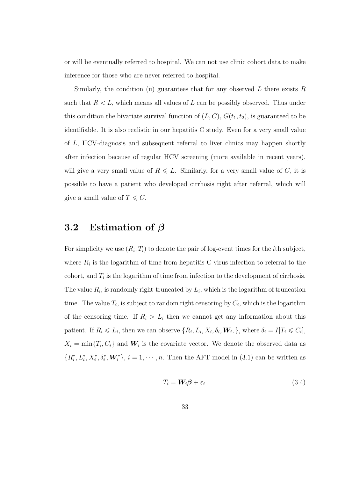or will be eventually referred to hospital. We can not use clinic cohort data to make inference for those who are never referred to hospital.

Similarly, the condition (ii) guarantees that for any observed  $L$  there exists  $R$ such that  $R < L$ , which means all values of L can be possibly observed. Thus under this condition the bivariate survival function of  $(L, C), G(t_1, t_2)$ , is guaranteed to be identifiable. It is also realistic in our hepatitis C study. Even for a very small value of L, HCV-diagnosis and subsequent referral to liver clinics may happen shortly after infection because of regular HCV screening (more available in recent years), will give a very small value of  $R \leq L$ . Similarly, for a very small value of C, it is possible to have a patient who developed cirrhosis right after referral, which will give a small value of  $T \leq C$ .

### 3.2 Estimation of  $\beta$

For simplicity we use  $(R_i, T_i)$  to denote the pair of log-event times for the *i*th subject, where  $R_i$  is the logarithm of time from hepatitis C virus infection to referral to the cohort, and  $T_i$  is the logarithm of time from infection to the development of cirrhosis. The value  $R_i$ , is randomly right-truncated by  $L_i$ , which is the logarithm of truncation time. The value  $T_i$ , is subject to random right censoring by  $C_i$ , which is the logarithm of the censoring time. If  $R_i > L_i$  then we cannot get any information about this patient. If  $R_i \leq L_i$ , then we can observe  $\{R_i, L_i, X_i, \delta_i, \mathbf{W}_i, \}$ , where  $\delta_i = I[T_i \leq C_i]$ ,  $X_i = \min\{T_i, C_i\}$  and  $W_i$  is the covariate vector. We denote the observed data as  $\{R_i^*, L_i^*, X_i^*, \delta_i^*, \mathbf{W}_i^*\}, i = 1, \cdots, n.$  Then the AFT model in (3.1) can be written as

$$
T_i = \mathbf{W}_i \boldsymbol{\beta} + \varepsilon_i. \tag{3.4}
$$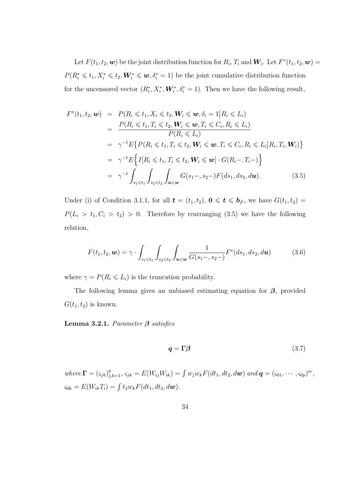Let  $F(t_1, t_2, w)$  be the joint distribution function for  $R_i, T_i$  and  $W_i$ . Let  $F^*(t_1, t_2, w)$  $P(R_i^* \leq t_1, X_i^* \leq t_2, \mathbf{W}_i^* \leq \mathbf{w}, \delta_i^* = 1)$  be the joint cumulative distribution function for the uncensored vector  $(R_i^*, X_i^*, \mathbf{W}_i^*, \delta_i^* = 1)$ . Then we have the following result,

$$
F^*(t_1, t_2, \mathbf{w}) = P(R_i \leq t_1, X_i \leq t_2, \mathbf{W}_i \leq \mathbf{w}, \delta_i = 1 | R_i \leq L_i)
$$
  
\n
$$
= \frac{P(R_i \leq t_1, T_i \leq t_2, \mathbf{W}_i \leq \mathbf{w}, T_i \leq C_i, R_i \leq L_i)}{P(R_i \leq L_i)}
$$
  
\n
$$
= \gamma^{-1} E \{ P(R_i \leq t_1, T_i \leq t_2, \mathbf{W}_i \leq \mathbf{w}, T_i \leq C_i, R_i \leq L_i | R_i, T_i, \mathbf{W}_i) \}
$$
  
\n
$$
= \gamma^{-1} E \{ I[R_i \leq t_1, T_i \leq t_2, \mathbf{W}_i \leq \mathbf{w}) \cdot G(R_i-, T_i-)
$$
  
\n
$$
= \gamma^{-1} \int_{s_1 \leq t_1} \int_{s_2 \leq t_2} \int_{\mathbf{u} \leq \mathbf{w}} G(s_1-, s_2-) F(ds_1, ds_2, d\mathbf{u}).
$$
 (3.5)

Under (i) of Condition 3.1.1, for all  $\mathbf{t} = (t_1, t_2), \mathbf{0} \leq \mathbf{t} \leq \mathbf{b}_{\bar{F}}$ , we have  $G(t_1, t_2) =$  $P(L_i > t_1, C_i > t_2) > 0$ . Therefore by rearranging (3.5) we have the following relation,

$$
F(t_1, t_2, \mathbf{w}) = \gamma \cdot \int_{s_1 \leq t_1} \int_{s_2 \leq t_2} \int_{\mathbf{u} \leq \mathbf{w}} \frac{1}{G(s_1 - , s_2 -)} F^*(ds_1, ds_2, d\mathbf{u}) \tag{3.6}
$$

where  $\gamma = P(R_i \leq L_i)$  is the truncation probability.

The following lemma gives an unbiased estimating equation for  $\beta$ , provided  $G(t_1, t_2)$  is known.

Lemma 3.2.1. Parameter  $\beta$  satisfies

$$
q = \Gamma \beta \tag{3.7}
$$

where  $\mathbf{\Gamma} = (\varsigma_{jk})_{j,k=1}^p, \varsigma_{jk} = E(W_{ij}W_{ik}) = \int w_j w_k F(dt_1, dt_2, d\mathbf{w})$  and  $\mathbf{q} = (\varsigma_{01}, \cdots, \varsigma_{0p})^{tr}$ ,  $\varsigma_{0k} = E(W_{ik}T_i) = \int t_2w_k F(dt_1, dt_2, d\boldsymbol{w}).$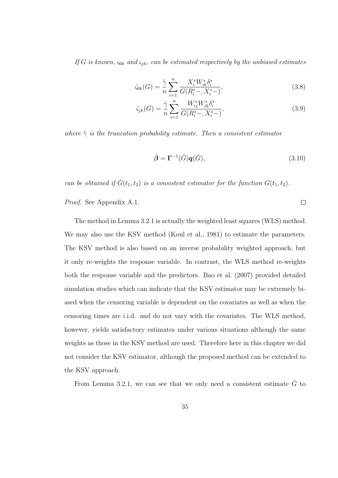If G is known,  $\varsigma_{0k}$  and  $\varsigma_{jk}$ , can be estimated respectively by the unbiased estimates

$$
\hat{\varsigma}_{0k}(G) = \frac{\hat{\gamma}}{n} \sum_{i=1}^{n} \frac{X_i^* W_{ik}^* \delta_i^*}{G(R_i^* -, X_i^* -)},
$$
\n(3.8)

$$
\hat{\varsigma}_{jk}(G) = \frac{\hat{\gamma}}{n} \sum_{i=1}^{n} \frac{W_{ij}^* W_{ik}^* \delta_i^*}{G(R_i^* -, X_i^*)},\tag{3.9}
$$

where  $\hat{\gamma}$  is the truncation probability estimate. Then a consistent estimator

$$
\hat{\boldsymbol{\beta}} = \boldsymbol{\Gamma}^{-1}(\hat{G})\boldsymbol{q}(\hat{G}),\tag{3.10}
$$

 $\Box$ 

can be obtained if  $\hat{G}(t_1, t_2)$  is a consistent estimator for the function  $G(t_1, t_2)$ .

Proof. See Appendix A.1.

The method in Lemma 3.2.1 is actually the weighted least squares (WLS) method. We may also use the KSV method (Koul et al., 1981) to estimate the parameters. The KSV method is also based on an inverse probability weighted approach, but it only re-weights the response variable. In contrast, the WLS method re-weights both the response variable and the predictors. Bao et al. (2007) provided detailed simulation studies which can indicate that the KSV estimator may be extremely biased when the censoring variable is dependent on the covariates as well as when the censoring times are i.i.d. and do not vary with the covariates. The WLS method, however, yields satisfactory estimates under various situations although the same weights as those in the KSV method are used. Therefore here in this chapter we did not consider the KSV estimator, although the proposed method can be extended to the KSV approach.

From Lemma 3.2.1, we can see that we only need a consistent estimate  $\hat{G}$  to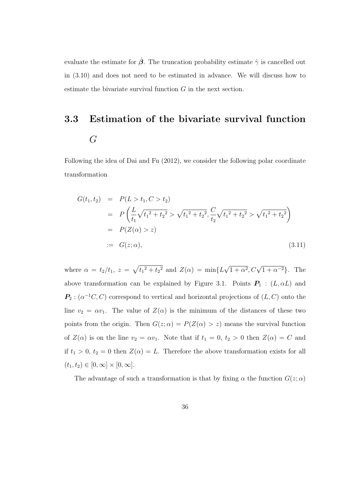evaluate the estimate for  $\hat{\beta}$ . The truncation probability estimate  $\hat{\gamma}$  is cancelled out in (3.10) and does not need to be estimated in advance. We will discuss how to estimate the bivariate survival function G in the next section.

# 3.3 Estimation of the bivariate survival function  $\overline{G}$

Following the idea of Dai and Fu (2012), we consider the following polar coordinate transformation

$$
G(t_1, t_2) = P(L > t_1, C > t_2)
$$
  
=  $P\left(\frac{L}{t_1}\sqrt{t_1^2 + t_2^2} > \sqrt{t_1^2 + t_2^2}, \frac{C}{t_2}\sqrt{t_1^2 + t_2^2} > \sqrt{t_1^2 + t_2^2}\right)$   
=  $P(Z(\alpha) > z)$   
 :=  $G(z; \alpha)$ , (3.11)

where  $\alpha = t_2/t_1$ ,  $z = \sqrt{t_1^2 + t_2^2}$  and  $Z(\alpha) = \min\{L\}$ √  $\overline{1+\alpha^2}, C\sqrt{1+\alpha^{-2}}\}.$  The above transformation can be explained by Figure 3.1. Points  $P_1$  :  $(L, \alpha L)$  and  $\mathbf{P}_2$ :  $(\alpha^{-1}C, C)$  correspond to vertical and horizontal projections of  $(L, C)$  onto the line  $v_2 = \alpha v_1$ . The value of  $Z(\alpha)$  is the minimum of the distances of these two points from the origin. Then  $G(z; \alpha) = P(Z(\alpha) > z)$  means the survival function of  $Z(\alpha)$  is on the line  $v_2 = \alpha v_1$ . Note that if  $t_1 = 0, t_2 > 0$  then  $Z(\alpha) = C$  and if  $t_1 > 0$ ,  $t_2 = 0$  then  $Z(\alpha) = L$ . Therefore the above transformation exists for all  $(t_1, t_2) \in [0, \infty] \times [0, \infty].$ 

The advantage of such a transformation is that by fixing  $\alpha$  the function  $G(z; \alpha)$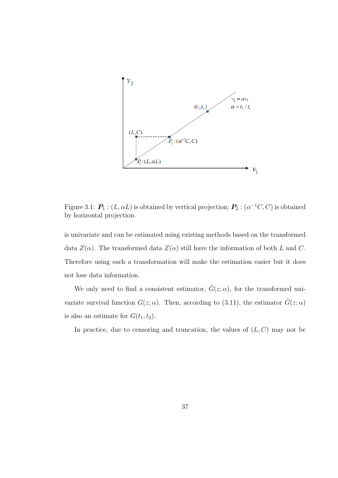

Figure 3.1:  $\bm{P}_1$  :  $(L, \alpha L)$  is obtained by vertical projection;  $\bm{P}_2$  :  $(\alpha^{-1} C, C)$  is obtained by horizontal projection.

is univariate and can be estimated using existing methods based on the transformed data  $Z(\alpha)$ . The transformed data  $Z(\alpha)$  still have the information of both L and C. Therefore using such a transformation will make the estimation easier but it does not lose data information.

We only need to find a consistent estimator,  $\hat{G}(z;\alpha)$ , for the transformed univariate survival function  $G(z; \alpha)$ . Then, according to (3.11), the estimator  $\hat{G}(z; \alpha)$ is also an estimate for  $G(t_1, t_2)$ .

In practice, due to censoring and truncation, the values of  $(L, C)$  may not be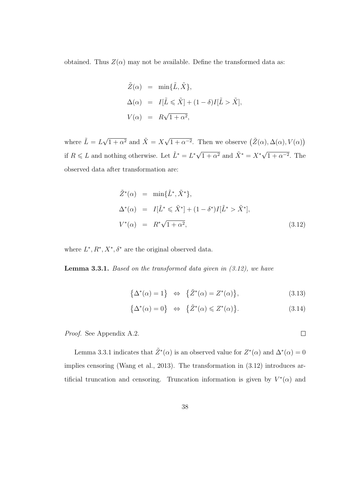obtained. Thus  $Z(\alpha)$  may not be available. Define the transformed data as:

$$
\tilde{Z}(\alpha) = \min{\{\tilde{L}, \tilde{X}\}},
$$
  
\n
$$
\Delta(\alpha) = I[\tilde{L} \leq \tilde{X}] + (1 - \delta)I[\tilde{L} > \tilde{X}],
$$
  
\n
$$
V(\alpha) = R\sqrt{1 + \alpha^2},
$$

where  $\tilde{L} = L\sqrt{1 + \alpha^2}$  and  $\tilde{X} = X\sqrt{1 + \alpha^2}$  $\overline{1+\alpha^{-2}}$ . Then we observe  $(\tilde{Z}(\alpha), \Delta(\alpha), V(\alpha))$ if  $R \leq L$  and nothing otherwise. Let  $\tilde{L}^* = L^* \sqrt{1 + \alpha^2}$  and  $\tilde{X}^* = X^* \sqrt{1 + \alpha^2}$  $1 + \alpha^{-2}$ . The observed data after transformation are:

$$
\tilde{Z}^*(\alpha) = \min{\{\tilde{L}^*, \tilde{X}^*\}},
$$
  
\n
$$
\Delta^*(\alpha) = I[\tilde{L}^* \leq \tilde{X}^*] + (1 - \delta^*)I[\tilde{L}^* > \tilde{X}^*],
$$
  
\n
$$
V^*(\alpha) = R^*\sqrt{1 + \alpha^2},
$$
\n(3.12)

where  $L^*, R^*, X^*, \delta^*$  are the original observed data.

**Lemma 3.3.1.** Based on the transformed data given in  $(3.12)$ , we have

$$
\{\Delta^*(\alpha) = 1\} \Leftrightarrow \{\tilde{Z}^*(\alpha) = Z^*(\alpha)\},\tag{3.13}
$$

$$
\{\Delta^*(\alpha) = 0\} \Leftrightarrow \{\tilde{Z}^*(\alpha) \leqslant Z^*(\alpha)\}.
$$
\n(3.14)

Proof. See Appendix A.2.

Lemma 3.3.1 indicates that  $\tilde{Z}^*(\alpha)$  is an observed value for  $Z^*(\alpha)$  and  $\Delta^*(\alpha) = 0$ implies censoring (Wang et al., 2013). The transformation in (3.12) introduces artificial truncation and censoring. Truncation information is given by  $V^*(\alpha)$  and

 $\Box$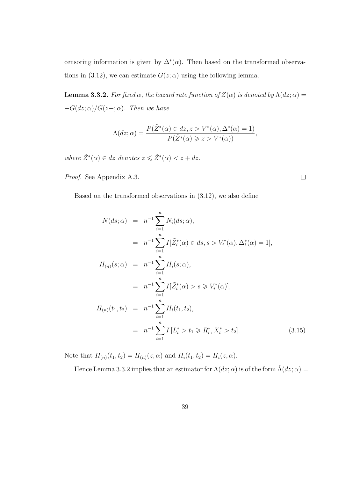censoring information is given by  $\Delta^*(\alpha)$ . Then based on the transformed observations in (3.12), we can estimate  $G(z; \alpha)$  using the following lemma.

**Lemma 3.3.2.** For fixed  $\alpha$ , the hazard rate function of  $Z(\alpha)$  is denoted by  $\Lambda(dz;\alpha)$  =  $-G(dz; \alpha)/G(z-; \alpha)$ . Then we have

$$
\Lambda(dz;\alpha) = \frac{P(\tilde{Z}^*(\alpha) \in dz, z > V^*(\alpha), \Delta^*(\alpha) = 1)}{P(\tilde{Z}^*(\alpha) \geq z > V^*(\alpha))},
$$

where  $\tilde{Z}^*(\alpha) \in dz$  denotes  $z \leq \tilde{Z}^*(\alpha) < z + dz$ .

Proof. See Appendix A.3.

Based on the transformed observations in (3.12), we also define

$$
N(ds; \alpha) = n^{-1} \sum_{i=1}^{n} N_i(ds; \alpha),
$$
  
\n
$$
= n^{-1} \sum_{i=1}^{n} I[\tilde{Z}_i^*(\alpha) \in ds, s > V_i^*(\alpha), \Delta_i^*(\alpha) = 1],
$$
  
\n
$$
H_{(n)}(s; \alpha) = n^{-1} \sum_{i=1}^{n} H_i(s; \alpha),
$$
  
\n
$$
= n^{-1} \sum_{i=1}^{n} I[\tilde{Z}_i^*(\alpha) > s \ge V_i^*(\alpha)],
$$
  
\n
$$
H_{(n)}(t_1, t_2) = n^{-1} \sum_{i=1}^{n} H_i(t_1, t_2),
$$
  
\n
$$
= n^{-1} \sum_{i=1}^{n} I[L_i^* > t_1 \ge R_i^*, X_i^* > t_2].
$$
\n(3.15)

Note that  $H_{(n)}(t_1, t_2) = H_{(n)}(z; \alpha)$  and  $H_i(t_1, t_2) = H_i(z; \alpha)$ .

Hence Lemma 3.3.2 implies that an estimator for  $\Lambda(dz; \alpha)$  is of the form  $\hat{\Lambda}(dz; \alpha) =$ 

 $\Box$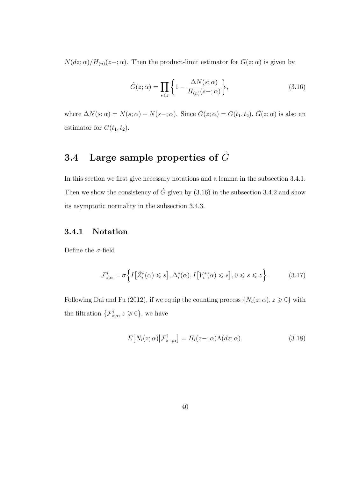$N(dz; \alpha)/H_{(n)}(z-; \alpha)$ . Then the product-limit estimator for  $G(z; \alpha)$  is given by

$$
\hat{G}(z;\alpha) = \prod_{s \leq z} \left\{ 1 - \frac{\Delta N(s;\alpha)}{H_{(n)}(s - ;\alpha)} \right\},\tag{3.16}
$$

where  $\Delta N(s; \alpha) = N(s; \alpha) - N(s-; \alpha)$ . Since  $G(z; \alpha) = G(t_1, t_2)$ ,  $\hat{G}(z; \alpha)$  is also an estimator for  $G(t_1, t_2)$ .

## 3.4 Large sample properties of  $\hat{G}$

In this section we first give necessary notations and a lemma in the subsection 3.4.1. Then we show the consistency of  $\hat{G}$  given by (3.16) in the subsection 3.4.2 and show its asymptotic normality in the subsection 3.4.3.

### 3.4.1 Notation

Define the  $\sigma$ -field

$$
\mathcal{F}_{z;\alpha}^{i} = \sigma \left\{ I \left[ \tilde{Z}_{i}^{*}(\alpha) \leqslant s \right], \Delta_{i}^{*}(\alpha), I \left[ V_{i}^{*}(\alpha) \leqslant s \right], 0 \leqslant s \leqslant z \right\}.
$$
 (3.17)

Following Dai and Fu (2012), if we equip the counting process  $\{N_i(z; \alpha), z \geq 0\}$  with the filtration  $\{\mathcal{F}_{z;\alpha}^i, z \geqslant 0\}$ , we have

$$
E[N_i(z;\alpha)|\mathcal{F}_{z-\alpha}^i] = H_i(z-\alpha)\Lambda(dz;\alpha).
$$
 (3.18)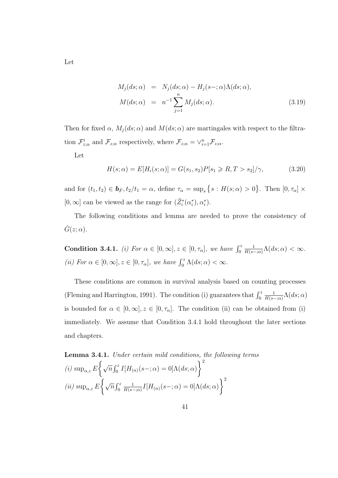$$
M_j(ds; \alpha) = N_j(ds; \alpha) - H_j(s-; \alpha) \Lambda(ds; \alpha),
$$
  

$$
M(ds; \alpha) = n^{-1} \sum_{j=1}^n M_j(ds; \alpha).
$$
 (3.19)

Then for fixed  $\alpha$ ,  $M_j(ds; \alpha)$  and  $M(ds; \alpha)$  are martingales with respect to the filtration  $\mathcal{F}_{z;\alpha}^i$  and  $\mathcal{F}_{z;\alpha}$  respectively, where  $\mathcal{F}_{z;\alpha} = \vee_{i=1}^n \mathcal{F}_{z;\alpha}$ .

Let

$$
H(s; \alpha) = E[H_i(s; \alpha)] = G(s_1, s_2)P[s_1 \ge R, T > s_2]/\gamma,
$$
\n(3.20)

and for  $(t_1, t_2) \in \mathbf{b}_{\bar{F}}, t_2/t_1 = \alpha$ , define  $\tau_\alpha = \sup_s \{ s : H(s; \alpha) > 0 \}$ . Then  $[0, \tau_\alpha] \times$  $[0, \infty]$  can be viewed as the range for  $(\tilde{Z}_i^*(\alpha_i^*), \alpha_i^*)$ .

The following conditions and lemma are needed to prove the consistency of  $\hat{G}(z;\alpha)$ .

**Condition 3.4.1.** (i) For  $\alpha \in [0, \infty], z \in [0, \tau_{\alpha}],$  we have  $\int_0^z$ 1  $\frac{1}{H(s-;\alpha)} \Lambda(ds;\alpha) < \infty.$ (ii) For  $\alpha \in [0, \infty], z \in [0, \tau_{\alpha}],$  we have  $\int_0^z \Lambda(ds; \alpha) < \infty$ .

These conditions are common in survival analysis based on counting processes (Fleming and Harrington, 1991). The condition (i) guarantees that  $\int_0^z$ 1  $\frac{1}{H(s-;\alpha)}\Lambda(ds;\alpha)$ is bounded for  $\alpha \in [0, \infty], z \in [0, \tau_{\alpha}]$ . The condition (ii) can be obtained from (i) immediately. We assume that Condition 3.4.1 hold throughout the later sections and chapters.

**Lemma 3.4.1.** Under certain mild conditions, the following terms  
\n(i) sup<sub>$$
\alpha, z
$$</sub>  $E \bigg\{ \sqrt{n} \int_0^z I[H_{(n)}(s-; \alpha) = 0] \Lambda(ds; \alpha) \bigg\}^2$   
\n(ii) sup <sub>$\alpha, z$</sub>   $E \bigg\{ \sqrt{n} \int_0^z \frac{1}{H(s-; \alpha)} I[H_{(n)}(s-; \alpha) = 0] \Lambda(ds; \alpha) \bigg\}^2$ 

Let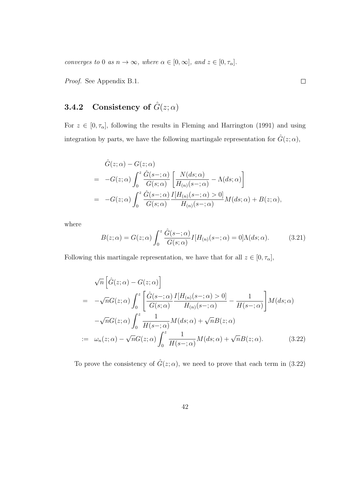converges to 0 as  $n \to \infty$ , where  $\alpha \in [0, \infty]$ , and  $z \in [0, \tau_{\alpha}]$ .

Proof. See Appendix B.1.

### 3.4.2 Consistency of  $\hat{G}(z;\alpha)$

For  $z \in [0, \tau_{\alpha}]$ , following the results in Fleming and Harrington (1991) and using integration by parts, we have the following martingale representation for  $\hat{G}(z;\alpha)$ ,

$$
\hat{G}(z; \alpha) - G(z; \alpha)
$$
\n
$$
= -G(z; \alpha) \int_0^z \frac{\hat{G}(s - ; \alpha)}{G(s; \alpha)} \left[ \frac{N(ds; \alpha)}{H_{(n)}(s - ; \alpha)} - \Lambda(ds; \alpha) \right]
$$
\n
$$
= -G(z; \alpha) \int_0^z \frac{\hat{G}(s - ; \alpha)}{G(s; \alpha)} \frac{I[H_{(n)}(s - ; \alpha) > 0]}{H_{(n)}(s - ; \alpha)} M(ds; \alpha) + B(z; \alpha),
$$

where

$$
B(z; \alpha) = G(z; \alpha) \int_0^z \frac{\hat{G}(s - ; \alpha)}{G(s; \alpha)} I[H_{(n)}(s - ; \alpha) = 0] \Lambda(ds; \alpha).
$$
 (3.21)

Following this martingale representation, we have that for all  $z \in [0, \tau_{\alpha}]$ ,

$$
\sqrt{n} \left[ \hat{G}(z; \alpha) - G(z; \alpha) \right]
$$
  
=  $-\sqrt{n} G(z; \alpha) \int_0^z \left[ \frac{\hat{G}(s -; \alpha)}{G(s; \alpha)} \frac{I[H_{(n)}(s -; \alpha) > 0]}{H_{(n)}(s -; \alpha)} - \frac{1}{H(s -; \alpha)} \right] M(ds; \alpha)$   
 $-\sqrt{n} G(z; \alpha) \int_0^z \frac{1}{H(s -; \alpha)} M(ds; \alpha) + \sqrt{n} B(z; \alpha)$   
:=  $\omega_n(z; \alpha) - \sqrt{n} G(z; \alpha) \int_0^z \frac{1}{H(s -; \alpha)} M(ds; \alpha) + \sqrt{n} B(z; \alpha).$  (3.22)

To prove the consistency of  $\hat{G}(z;\alpha)$ , we need to prove that each term in (3.22)

 $\Box$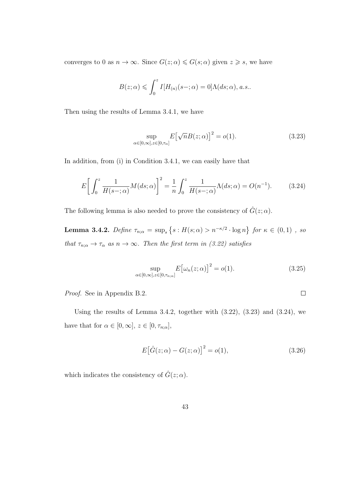converges to 0 as  $n \to \infty$ . Since  $G(z; \alpha) \leq G(s; \alpha)$  given  $z \geq s$ , we have

$$
B(z; \alpha) \leqslant \int_0^z I[H_{(n)}(s-; \alpha) = 0] \Lambda(ds; \alpha), a.s..
$$

Then using the results of Lemma 3.4.1, we have

$$
\sup_{\alpha \in [0,\infty], z \in [0,\tau_{\alpha}]} E\big[\sqrt{n}B(z;\alpha)\big]^2 = o(1). \tag{3.23}
$$

In addition, from (i) in Condition 3.4.1, we can easily have that

$$
E\left[\int_0^z \frac{1}{H(s-\alpha)} M(ds;\alpha)\right]^2 = \frac{1}{n} \int_0^z \frac{1}{H(s-\alpha)} \Lambda(ds;\alpha) = O(n^{-1}).\tag{3.24}
$$

The following lemma is also needed to prove the consistency of  $\hat{G}(z;\alpha)$ .

**Lemma 3.4.2.** Define  $\tau_{n;\alpha} = \sup_s \{ s : H(s; \alpha) > n^{-\kappa/2} \cdot \log n \}$  for  $\kappa \in (0,1)$  , so that  $\tau_{n;\alpha} \to \tau_\alpha$  as  $n \to \infty$ . Then the first term in (3.22) satisfies

$$
\sup_{\alpha \in [0,\infty], z \in [0,\tau_{n;\alpha}]} E\big[\omega_n(z;\alpha)\big]^2 = o(1). \tag{3.25}
$$

Proof. See in Appendix B.2.

Using the results of Lemma 3.4.2, together with  $(3.22)$ ,  $(3.23)$  and  $(3.24)$ , we have that for  $\alpha \in [0, \infty]$ ,  $z \in [0, \tau_{n;\alpha}]$ ,

$$
E[\hat{G}(z;\alpha) - G(z;\alpha)]^{2} = o(1),
$$
\n(3.26)

which indicates the consistency of  $\hat{G}(z; \alpha)$ .

 $\Box$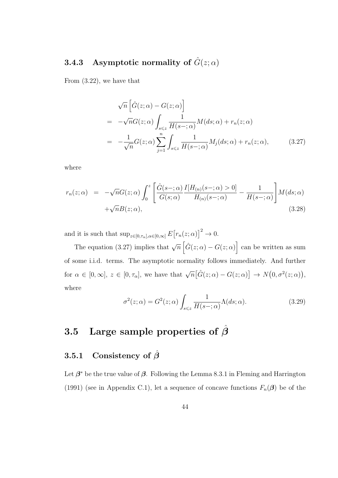### **3.4.3** Asymptotic normality of  $\hat{G}(z; \alpha)$

From (3.22), we have that

$$
\sqrt{n} \left[ \hat{G}(z; \alpha) - G(z; \alpha) \right]
$$
  
=  $-\sqrt{n} G(z; \alpha) \int_{s \leq z} \frac{1}{H(s - ; \alpha)} M(ds; \alpha) + r_n(z; \alpha)$   
=  $-\frac{1}{\sqrt{n}} G(z; \alpha) \sum_{j=1}^{n} \int_{s \leq z} \frac{1}{H(s - ; \alpha)} M_j(ds; \alpha) + r_n(z; \alpha),$  (3.27)

where

$$
r_n(z; \alpha) = -\sqrt{n}G(z; \alpha) \int_0^z \left[ \frac{\hat{G}(s-; \alpha)}{G(s; \alpha)} \frac{I[H_{(n)}(s-; \alpha) > 0]}{H_{(n)}(s-; \alpha)} - \frac{1}{H(s-; \alpha)} \right] M(ds; \alpha) + \sqrt{n}B(z; \alpha), \tag{3.28}
$$

and it is such that  $\sup_{z \in [0,\tau_\alpha], \alpha \in [0,\infty]} E[r_n(z;\alpha)]^2 \to 0.$ 

The equation (3.27) implies that  $\sqrt{n} \left[ \hat{G}(z; \alpha) - G(z; \alpha) \right]$  can be written as sum of some i.i.d. terms. The asymptotic normality follows immediately. And further for  $\alpha \in [0,\infty]$ ,  $z \in [0,\tau_{\alpha}]$ , we have that  $\sqrt{n} [\hat{G}(z;\alpha) - G(z;\alpha)] \rightarrow N(0,\sigma^2(z;\alpha))$ , where

$$
\sigma^{2}(z;\alpha) = G^{2}(z;\alpha) \int_{s \leqslant z} \frac{1}{H(s-\alpha)} \Lambda(ds;\alpha).
$$
 (3.29)

## 3.5 Large sample properties of  $\hat{\beta}$

### 3.5.1 Consistency of  $\hat{\beta}$

Let  $\beta^*$  be the true value of  $\beta$ . Following the Lemma 8.3.1 in Fleming and Harrington (1991) (see in Appendix C.1), let a sequence of concave functions  $F_n(\beta)$  be of the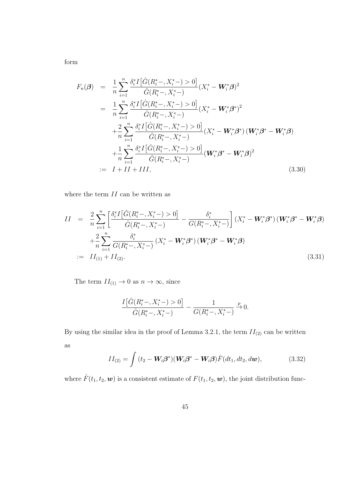form

$$
F_n(\boldsymbol{\beta}) = \frac{1}{n} \sum_{i=1}^n \frac{\delta_i^* I \big[ \hat{G}(R_i^* - , X_i^* -) > 0 \big]}{\hat{G}(R_i^* - , X_i^* -)} (X_i^* - W_i^* \boldsymbol{\beta})^2
$$
  
\n
$$
= \frac{1}{n} \sum_{i=1}^n \frac{\delta_i^* I \big[ \hat{G}(R_i^* - , X_i^* -) > 0 \big]}{\hat{G}(R_i^* - , X_i^* -)} (X_i^* - W_i^* \boldsymbol{\beta}^*)^2
$$
  
\n
$$
+ \frac{2}{n} \sum_{i=1}^n \frac{\delta_i^* I \big[ \hat{G}(R_i^* - , X_i^* -) > 0 \big]}{\hat{G}(R_i^* - , X_i^* -)} (X_i^* - W_i^* \boldsymbol{\beta}^*) (W_i^* \boldsymbol{\beta}^* - W_i^* \boldsymbol{\beta})
$$
  
\n
$$
+ \frac{1}{n} \sum_{i=1}^n \frac{\delta_i^* I \big[ \hat{G}(R_i^* - , X_i^* -) > 0 \big]}{\hat{G}(R_i^* - , X_i^* -)} (W_i^* \boldsymbol{\beta}^* - W_i^* \boldsymbol{\beta})^2
$$
  
\n
$$
:= I + II + III,
$$
 (3.30)

where the term  $II$  can be written as

$$
II = \frac{2}{n} \sum_{i=1}^{n} \left[ \frac{\delta_i^* I \left[ \hat{G}(R_i^* - , X_i^* -) > 0 \right]}{\hat{G}(R_i^* - , X_i^* -)} - \frac{\delta_i^*}{G(R_i^* - , X_i^* -)} \right] (X_i^* - \mathbf{W}_i^* \boldsymbol{\beta}^*) (\mathbf{W}_i^* \boldsymbol{\beta}^* - \mathbf{W}_i^* \boldsymbol{\beta})
$$
  
+ 
$$
\frac{2}{n} \sum_{i=1}^{n} \frac{\delta_i^*}{G(R_i^* - , X_i^* -)} (X_i^* - \mathbf{W}_i^* \boldsymbol{\beta}^*) (\mathbf{W}_i^* \boldsymbol{\beta}^* - \mathbf{W}_i^* \boldsymbol{\beta})
$$
  
:= 
$$
II_{(1)} + II_{(2)}.
$$
 (3.31)

The term  $II_{(1)} \to 0$  as  $n \to \infty$ , since

$$
\frac{I\big[\hat{G}(R_i^*-,X_i^*)>0\big]}{\hat{G}(R_i^*-,X_i^*)}-\frac{1}{G(R_i^*-,X_i^*)}\xrightarrow{p} 0.
$$

By using the similar idea in the proof of Lemma 3.2.1, the term  $II_{(2)}$  can be written as

$$
II_{(2)} = \int (t_2 - \mathbf{W}_i \boldsymbol{\beta}^*) (\mathbf{W}_i \boldsymbol{\beta}^* - \mathbf{W}_i \boldsymbol{\beta}) \hat{F}(dt_1, dt_2, d\mathbf{w}), \qquad (3.32)
$$

where  $\hat{F}(t_1, t_2, \boldsymbol{w})$  is a consistent estimate of  $F(t_1, t_2, \boldsymbol{w})$ , the joint distribution func-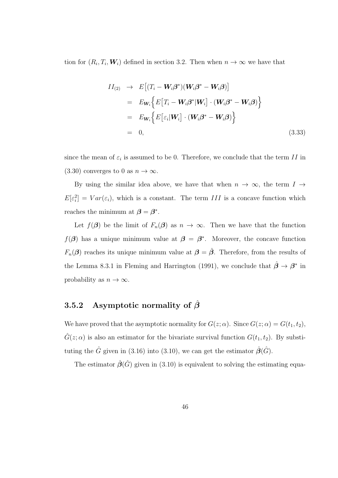tion for  $(R_i, T_i, W_i)$  defined in section 3.2. Then when  $n \to \infty$  we have that

$$
II_{(2)} \rightarrow E[(T_i - \mathbf{W}_i \boldsymbol{\beta}^*)(\mathbf{W}_i \boldsymbol{\beta}^* - \mathbf{W}_i \boldsymbol{\beta})]
$$
  
\n
$$
= E_{\mathbf{W}_i} \Big\{ E[T_i - \mathbf{W}_i \boldsymbol{\beta}^* | \mathbf{W}_i] \cdot (\mathbf{W}_i \boldsymbol{\beta}^* - \mathbf{W}_i \boldsymbol{\beta}) \Big\}
$$
  
\n
$$
= E_{\mathbf{W}_i} \Big\{ E[\varepsilon_i | \mathbf{W}_i] \cdot (\mathbf{W}_i \boldsymbol{\beta}^* - \mathbf{W}_i \boldsymbol{\beta}) \Big\}
$$
  
\n
$$
= 0,
$$
 (3.33)

since the mean of  $\varepsilon_i$  is assumed to be 0. Therefore, we conclude that the term II in (3.30) converges to 0 as  $n \to \infty$ .

By using the similar idea above, we have that when  $n \to \infty$ , the term  $I \to$  $E[\varepsilon_i^2] = Var(\varepsilon_i)$ , which is a constant. The term III is a concave function which reaches the minimum at  $\beta = \beta^*$ .

Let  $f(\boldsymbol{\beta})$  be the limit of  $F_n(\boldsymbol{\beta})$  as  $n \to \infty$ . Then we have that the function  $f(\boldsymbol{\beta})$  has a unique minimum value at  $\boldsymbol{\beta} = \boldsymbol{\beta}^*$ . Moreover, the concave function  $F_n(\beta)$  reaches its unique minimum value at  $\beta = \hat{\beta}$ . Therefore, from the results of the Lemma 8.3.1 in Fleming and Harrington (1991), we conclude that  $\hat{\beta} \to \beta^*$  in probability as  $n \to \infty$ .

### 3.5.2 Asymptotic normality of  $\hat{\beta}$

We have proved that the asymptotic normality for  $G(z; \alpha)$ . Since  $G(z; \alpha) = G(t_1, t_2)$ ,  $\hat{G}(z; \alpha)$  is also an estimator for the bivariate survival function  $G(t_1, t_2)$ . By substituting the  $\hat{G}$  given in (3.16) into (3.10), we can get the estimator  $\hat{\beta}(\hat{G})$ .

The estimator  $\hat{\beta}(\hat{G})$  given in (3.10) is equivalent to solving the estimating equa-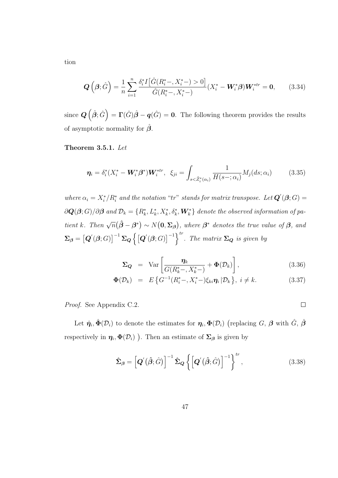$$
\mathbf{Q}\left(\boldsymbol{\beta};\hat{G}\right) = \frac{1}{n} \sum_{i=1}^{n} \frac{\delta_{i}^{*} I\left[\hat{G}(R_{i}^{*} -, X_{i}^{*} -) > 0\right]}{\hat{G}(R_{i}^{*} -, X_{i}^{*} -)} (X_{i}^{*} - \mathbf{W}_{i}^{*} \boldsymbol{\beta}) \mathbf{W}_{i}^{*tr} = \mathbf{0},\qquad(3.34)
$$

since  $\bm{Q}\left(\hat{\bm{\beta}};\hat{G}\right) = \bm{\Gamma}(\hat{G})\hat{\bm{\beta}} - \bm{q}(\hat{G}) = \bm{0}$ . The following theorem provides the results of asymptotic normality for  $\hat{\beta}$ .

Theorem 3.5.1. Let

$$
\boldsymbol{\eta}_i = \delta_i^* (X_i^* - \boldsymbol{W}_i^* \boldsymbol{\beta}^*) \boldsymbol{W}_i^{*tr}, \ \ \xi_{ji} = \int_{s < \tilde{Z}_i^* (\alpha_i)} \frac{1}{H(s - ; \alpha_i)} M_j(ds; \alpha_i) \tag{3.35}
$$

where  $\alpha_i = X_i^*/R_i^*$  and the notation "tr" stands for matrix transpose. Let  $\mathbf{Q}'(\boldsymbol{\beta};G)$  =  $\partial\bm{Q}(\bm{\beta};G)/\partial\bm{\beta}$  and  $\mathcal{D}_k=\{R_k^*,L_k^*,X_k^*,\delta_k^*,\bm{W}_k^*\}$  denote the observed information of patient k. Then  $\sqrt{n}(\hat{\boldsymbol{\beta}} - \boldsymbol{\beta}^*) \sim N(\mathbf{0}, \boldsymbol{\Sigma}_{\boldsymbol{\beta}}),$  where  $\boldsymbol{\beta}^*$  denotes the true value of  $\boldsymbol{\beta}$ , and  $\Sigma_{\beta} = \left[ \boldsymbol{Q}'(\boldsymbol{\beta};G) \right]^{-1} \Sigma_{\boldsymbol{Q}} \left\{ \left[ \boldsymbol{Q}'(\boldsymbol{\beta};G) \right]^{-1} \right\}^{tr}$ . The matrix  $\Sigma_{\boldsymbol{Q}}$  is given by

$$
\Sigma_{\mathbf{Q}} = \text{Var}\left[\frac{\eta_k}{G(R_k^*-, X_k^*)} + \Phi(\mathcal{D}_k)\right],\tag{3.36}
$$

$$
\Phi(\mathcal{D}_k) = E\left\{G^{-1}(R_i^*-, X_i^*)\xi_{ki}\eta_i | \mathcal{D}_k\right\}, \ i \neq k. \tag{3.37}
$$

Proof. See Appendix C.2.

Let  $\hat{\eta}_i, \hat{\Phi}(\mathcal{D}_i)$  to denote the estimates for  $\eta_i, \Phi(\mathcal{D}_i)$  (replacing G,  $\beta$  with  $\hat{G}, \hat{\beta}$ respectively in  $\eta_i, \Phi(\mathcal{D}_i)$  ). Then an estimate of  $\Sigma_\beta$  is given by

$$
\hat{\Sigma}_{\beta} = \left[ \boldsymbol{Q}'\left(\hat{\boldsymbol{\beta}};\hat{G}\right) \right]^{-1} \hat{\Sigma}_{\boldsymbol{Q}} \left\{ \left[ \boldsymbol{Q}'\left(\hat{\boldsymbol{\beta}};\hat{G}\right) \right]^{-1} \right\}^{tr},\tag{3.38}
$$

tion

 $\overline{\phantom{a}}$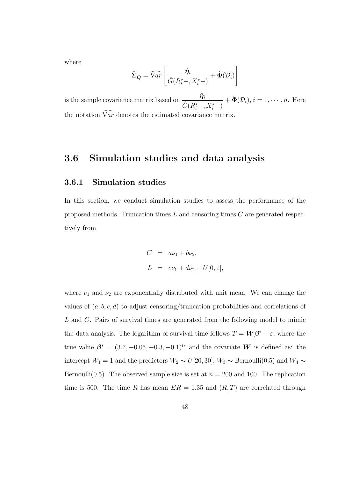where

$$
\hat{\Sigma}_Q = \widehat{\mathrm{Var}} \left[ \frac{\hat{\eta}_i}{\hat{G}(R_i^*-, X_i^*)} + \hat{\Phi}(\mathcal{D}_i) \right]
$$

is the sample covariance matrix based on  $\frac{\hat{\eta}_i}{\hat{\eta}_i}$  $\hat{G}(R_i^*-, X_i^*-)$  $+\hat{\Phi}(\mathcal{D}_i), i=1,\cdots,n.$  Here the notation  $\widehat{\mathrm{Var}}$  denotes the estimated covariance matrix.

### 3.6 Simulation studies and data analysis

#### 3.6.1 Simulation studies

In this section, we conduct simulation studies to assess the performance of the proposed methods. Truncation times  $L$  and censoring times  $C$  are generated respectively from

$$
C = a\nu_1 + b\nu_2,
$$
  
\n
$$
L = c\nu_1 + d\nu_2 + U[0, 1],
$$

where  $\nu_1$  and  $\nu_2$  are exponentially distributed with unit mean. We can change the values of  $(a, b, c, d)$  to adjust censoring/truncation probabilities and correlations of L and C. Pairs of survival times are generated from the following model to mimic the data analysis. The logarithm of survival time follows  $T = W\beta^* + \varepsilon$ , where the true value  $\beta^* = (3.7, -0.05, -0.3, -0.1)^{tr}$  and the covariate W is defined as: the intercept  $W_1 = 1$  and the predictors  $W_2 \sim U[20, 30]$ ,  $W_3 \sim$  Bernoulli(0.5) and  $W_4 \sim$ Bernoulli(0.5). The observed sample size is set at  $n = 200$  and 100. The replication time is 500. The time R has mean  $ER = 1.35$  and  $(R, T)$  are correlated through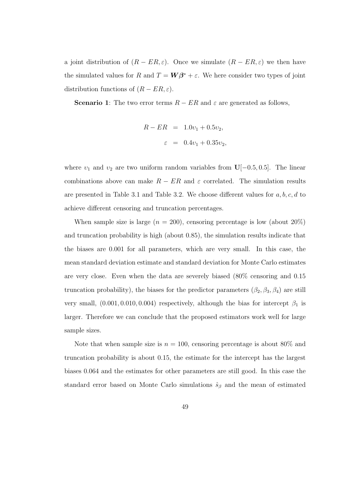a joint distribution of  $(R - ER, \varepsilon)$ . Once we simulate  $(R - ER, \varepsilon)$  we then have the simulated values for R and  $T = W\beta^* + \varepsilon$ . We here consider two types of joint distribution functions of  $(R - ER, \varepsilon)$ .

**Scenario 1:** The two error terms  $R - ER$  and  $\varepsilon$  are generated as follows,

$$
R - ER = 1.0v_1 + 0.5v_2,
$$
  

$$
\varepsilon = 0.4v_1 + 0.35v_2,
$$

where  $v_1$  and  $v_2$  are two uniform random variables from  $\mathbf{U}[-0.5, 0.5]$ . The linear combinations above can make  $R - ER$  and  $\varepsilon$  correlated. The simulation results are presented in Table 3.1 and Table 3.2. We choose different values for  $a, b, c, d$  to achieve different censoring and truncation percentages.

When sample size is large  $(n = 200)$ , censoring percentage is low (about  $20\%$ ) and truncation probability is high (about 0.85), the simulation results indicate that the biases are 0.001 for all parameters, which are very small. In this case, the mean standard deviation estimate and standard deviation for Monte Carlo estimates are very close. Even when the data are severely biased (80% censoring and 0.15 truncation probability), the biases for the predictor parameters  $(\beta_2, \beta_3, \beta_4)$  are still very small,  $(0.001, 0.010, 0.004)$  respectively, although the bias for intercept  $\beta_1$  is larger. Therefore we can conclude that the proposed estimators work well for large sample sizes.

Note that when sample size is  $n = 100$ , censoring percentage is about 80% and truncation probability is about 0.15, the estimate for the intercept has the largest biases 0.064 and the estimates for other parameters are still good. In this case the standard error based on Monte Carlo simulations  $\hat{s}_{\beta}$  and the mean of estimated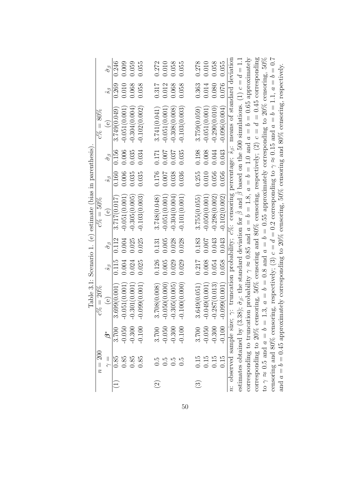|                                                           |              | $\hat{\sigma}_{\beta}$      | 0.246        | 0.009          | 0.059           | 0.055           | 0.272                    | 0.010            | 0.058           | 0.055            | 0.278                    | 0.010           | 0.058           | 0.055           |                                                                                                                                           |                                                                                                                                                       |                                                                                                                                  |                                                                                                                 |                                                                                                                                |                                                                                                                                       |                                                                                                                          |
|-----------------------------------------------------------|--------------|-----------------------------|--------------|----------------|-----------------|-----------------|--------------------------|------------------|-----------------|------------------|--------------------------|-----------------|-----------------|-----------------|-------------------------------------------------------------------------------------------------------------------------------------------|-------------------------------------------------------------------------------------------------------------------------------------------------------|----------------------------------------------------------------------------------------------------------------------------------|-----------------------------------------------------------------------------------------------------------------|--------------------------------------------------------------------------------------------------------------------------------|---------------------------------------------------------------------------------------------------------------------------------------|--------------------------------------------------------------------------------------------------------------------------|
|                                                           |              |                             |              |                |                 |                 |                          |                  |                 |                  |                          |                 |                 |                 |                                                                                                                                           |                                                                                                                                                       |                                                                                                                                  |                                                                                                                 |                                                                                                                                |                                                                                                                                       |                                                                                                                          |
|                                                           |              | $\mathcal{S}^{\mathcal{S}}$ | 0.269        | 0.010          | 0.068           | 0.058           | 0.317                    | 0.012            | 0.068           | 0.058            | 0.363                    | 0.014           | 0.080           | 0.076           |                                                                                                                                           |                                                                                                                                                       |                                                                                                                                  |                                                                                                                 |                                                                                                                                |                                                                                                                                       |                                                                                                                          |
|                                                           | $c\% = 80\%$ | $\widehat{\mathsf{e}}$      | 3.749(0.049) | $-0.051(0.001$ | $-0.304(0.004)$ | $-0.102(0.002)$ | 3.741(0.041)             | $-0.051(0.001)$  | $-0.308(0.008)$ | $-0.103(0.003)$  | 3.759(0.059)             | $-0.051(0.001)$ | $-0.290(0.010)$ | $-0.096(0.004)$ |                                                                                                                                           |                                                                                                                                                       |                                                                                                                                  |                                                                                                                 |                                                                                                                                |                                                                                                                                       |                                                                                                                          |
|                                                           |              | $\hat{\sigma}_{\beta}$      | 0.156        | 0.006          | 0.035           | 0.034           | 0.171                    | 0.007            | 0.037           | 0.035            | 0.198                    | 0.008           | 0.044           | 0.043           |                                                                                                                                           |                                                                                                                                                       |                                                                                                                                  |                                                                                                                 |                                                                                                                                |                                                                                                                                       |                                                                                                                          |
|                                                           |              | $\mathcal{S}_{\mathcal{S}}$ | 0.160        | 0.006          | 0.035           | 0.035           | 0.176                    | 0.007            | 0.038           | 0.036            | 0.255                    | 0.010           | 0.056           | 0.056           |                                                                                                                                           |                                                                                                                                                       |                                                                                                                                  |                                                                                                                 |                                                                                                                                |                                                                                                                                       |                                                                                                                          |
| Table 3.1: Scenario 1. (e) estimate (bias in parenthesis) | $c\% = 50\%$ | $\odot$                     | 3.717(0.017  | $-0.051(0.001$ | $-0.305(0.005$  | $-0.103(0.003)$ | 3.748(0.048)             | $-0.051(0.001)$  | $-0.304(0.004)$ | $-0.101(0.001)$  | 3.755(0.055)             | $-0.050(0.001)$ | $-0.298(0.002)$ | $-0.102(0.002)$ |                                                                                                                                           |                                                                                                                                                       |                                                                                                                                  |                                                                                                                 |                                                                                                                                |                                                                                                                                       |                                                                                                                          |
|                                                           |              | $\hat{\sigma}_{\beta}$      | 0.112        | 0.004          | 0.025           | 0.025           | 0.131                    | 0.005            | 0.028           | 0.028            | 0.183                    | 0.007           | 0.043           | 0.043           |                                                                                                                                           |                                                                                                                                                       |                                                                                                                                  |                                                                                                                 |                                                                                                                                |                                                                                                                                       |                                                                                                                          |
|                                                           |              | $\mathcal{S}_{\mathcal{S}}$ | 0.115        | 0.004          | 0.024           | 0.025           | 0.126                    | 0.005            | 0.029           | 0.029            | 0.217                    | 0.008           | 0.054           | 0.058           |                                                                                                                                           |                                                                                                                                                       |                                                                                                                                  |                                                                                                                 |                                                                                                                                |                                                                                                                                       |                                                                                                                          |
|                                                           | $c\% = 20\%$ | $\odot$                     | 699(0.001    | $-0.051(0.001$ | $-0.301(0.001)$ | $-0.099(0.001)$ | 3.708(0.008)             | $-0.050(0.0000)$ | $-0.305(0.005$  | $-0.100(0.0000)$ | 3.649(0.051)             | $-0.049(0.001)$ | $-0.287(0.013)$ | $-0.099(0.001)$ | n: observed sample size; $\gamma$ : truncation probability; $c\%$ : censoring percentage; $\hat{s}_{\beta}$ : means of standard deviation | estimates obtained by (3.38); $\hat{\sigma}_{\beta}$ : the standard deviation for $\beta$ and $\beta$ based on the 500 simulations. (1) $c = d = 1.1$ | corresponding to truncation probability $\gamma \approx 0.85$ and $a = b = 1.8$ , $a = b = 1.0$ and $a = b = 0.65$ approximately | corresponding to 20% censoring, 50% censoring and 80% censoring, respectively; (2) $c = d = 0.45$ corresponding | to $\gamma \approx 0.5$ and $a = b = 1.3$ , $a = b = 0.8$ and $a = b = 0.55$ approximately corresponding to 20% censoring, 50% | censoring and 80% censoring, respectively; (3) $c = d = 0.2$ corresponding to $\gamma \approx 0.15$ and $a = b = 1.1$ , $a = b = 0.7$ | and $a = b = 0.45$ approximately corresponding to $20\%$ censoring, $50\%$ censoring and $80\%$ censoring, respectively. |
|                                                           |              |                             |              | $-0.050$       | $-0.300$        | $-0.100$        | 3.700                    | $-0.050$         | $-0.300$        | $-0.100$         | 3.700                    | $-0.050$        | $-0.300$        | $-0.100$        |                                                                                                                                           |                                                                                                                                                       |                                                                                                                                  |                                                                                                                 |                                                                                                                                |                                                                                                                                       |                                                                                                                          |
|                                                           | $n=200$      | $\frac{1}{\gamma}$          | 0.85         | 0.85           | 0.85            | 0.85            | С.<br>О                  | $0.\overline{5}$ | 0.5             |                  | 0.15                     | 0.15            | 0.15            | 0.15            |                                                                                                                                           |                                                                                                                                                       |                                                                                                                                  |                                                                                                                 |                                                                                                                                |                                                                                                                                       |                                                                                                                          |
|                                                           |              |                             |              |                |                 |                 | $\widehat{\mathfrak{D}}$ |                  |                 |                  | $\widehat{\mathfrak{S}}$ |                 |                 |                 |                                                                                                                                           |                                                                                                                                                       |                                                                                                                                  |                                                                                                                 |                                                                                                                                |                                                                                                                                       |                                                                                                                          |

50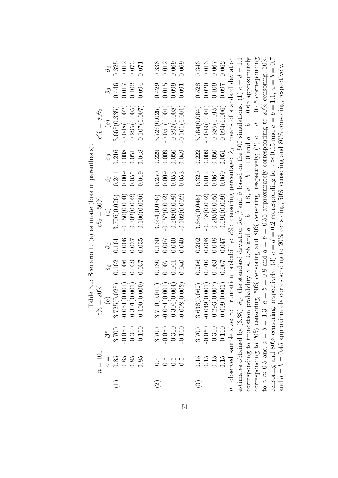|                                                           |              | $\hat{\sigma}_{\beta}$      | 0.325        | 0.012           | 0.073           | 0.071            | 0.338        | 0.012           | 0.069           | 0.069           | 0.343         | 0.013           | 0.067           | 0.062           |                                                                                                                                           |                                                                                                                                                                   |                                                                                                                                  |                                                                                                                 |                                                                                                                                |                                                                                                                                                                                                                                                                   |  |
|-----------------------------------------------------------|--------------|-----------------------------|--------------|-----------------|-----------------|------------------|--------------|-----------------|-----------------|-----------------|---------------|-----------------|-----------------|-----------------|-------------------------------------------------------------------------------------------------------------------------------------------|-------------------------------------------------------------------------------------------------------------------------------------------------------------------|----------------------------------------------------------------------------------------------------------------------------------|-----------------------------------------------------------------------------------------------------------------|--------------------------------------------------------------------------------------------------------------------------------|-------------------------------------------------------------------------------------------------------------------------------------------------------------------------------------------------------------------------------------------------------------------|--|
|                                                           |              | $\hat{s}$                   | 0.446        | 0.017           | 0.102           | 0.094            | 0.429        | 0.015           | 0.099           | 0.091           | 0.528         | 0.020           | 0.109           | 760.0           |                                                                                                                                           |                                                                                                                                                                   |                                                                                                                                  |                                                                                                                 |                                                                                                                                |                                                                                                                                                                                                                                                                   |  |
|                                                           | $c\% = 80\%$ | $\widehat{e}$               | 3.665(0.335) | $-0.048(0.002)$ | $-0.295(0.005$  | $-0.107(0.007)$  | 3.726(0.026) | $-0.051(0.001$  | $-0.292(0.008)$ | $-0.101(0.001)$ | 3.764(0.064)  | $-0.049(0.001$  | $-0.285(0.015)$ | $-0.094(0.006)$ |                                                                                                                                           |                                                                                                                                                                   |                                                                                                                                  |                                                                                                                 |                                                                                                                                |                                                                                                                                                                                                                                                                   |  |
|                                                           |              | $\hat{\sigma}_{\beta}$      | 0.216        | 0.008           | 0.051           | 0.048            | 0.229        | 0.009           | 0.050           | 0.049           | 0.222         | 0.009           | 0.050           | 0.051           |                                                                                                                                           |                                                                                                                                                                   |                                                                                                                                  |                                                                                                                 |                                                                                                                                |                                                                                                                                                                                                                                                                   |  |
|                                                           |              | $\hat{s}_{\beta}$           | 0.241        | 0.009           | 0.055           | 0.049            | 0.250        | 0.009           | 0.053           | 0.053           | 0.320         | 0.012           | 0.067           | 0.069           |                                                                                                                                           |                                                                                                                                                                   |                                                                                                                                  |                                                                                                                 |                                                                                                                                |                                                                                                                                                                                                                                                                   |  |
| Table 3.2: Scenario 1. (e) estimate (bias in parenthesis) | $c\% = 50\%$ | $\odot$                     | 3.726(0.026) | $-0.050(0.000$  | $-0.302(0.002)$ | $-0.100(0.0000)$ | 3.664(0.036) | $-0.052(0.002)$ | $-0.308(0.008)$ | $-0.102(0.002)$ | 3.655(0.045)  | $-0.048(0.002)$ | $-0.295(0.005$  | $-0.091(0.009)$ |                                                                                                                                           |                                                                                                                                                                   |                                                                                                                                  |                                                                                                                 |                                                                                                                                |                                                                                                                                                                                                                                                                   |  |
|                                                           |              | $\hat{\sigma}_{\beta}$      | 0.161        | 0.006           | 0.037           | 0.035            | 0.180        | 0.007           | 0.040           | 0.040           | 0.202         | 0.008           | 0.048           | 710.0           |                                                                                                                                           |                                                                                                                                                                   |                                                                                                                                  |                                                                                                                 |                                                                                                                                |                                                                                                                                                                                                                                                                   |  |
|                                                           |              | $\hat{s}$                   | 0.162        | 0.006           | 0.039           | 0.037            | 0.180        | 0.007           | 0.041           | 0.040           | 0.266         | 0.010           | 0.063           | 0.067           |                                                                                                                                           |                                                                                                                                                                   |                                                                                                                                  |                                                                                                                 |                                                                                                                                |                                                                                                                                                                                                                                                                   |  |
|                                                           | $\% = 20\%$  | $\Theta$                    | 3.725(0.025  | $-0.051(0.001)$ | $-0.301(0.001)$ | $-0.100(0.0000)$ | 3.710(0.010) | $-0.051(0.001)$ | $-0.304(0.004)$ | $-0.098(0.002)$ | 3.638(0.062)  | $-0.049(0.001)$ | $-0.293(0.007)$ | $-0.099(0.001)$ | n: observed sample size; $\gamma$ : truncation probability; $c\%$ : censoring percentage; $\hat{s}_{\beta}$ : means of standard deviation | estimates obtained by (3.38); $\hat{\sigma}_{\beta}$ : the standard deviation for $\hat{\beta}$ and $\hat{\beta}$ based on the 500 simulations. (1) $c = d = 1.1$ | corresponding to truncation probability $\gamma \approx 0.85$ and $a = b = 1.8$ , $a = b = 1.0$ and $a = b = 0.65$ approximately | corresponding to 20% censoring, 50% censoring and 80% censoring, respectively; (2) $c = d = 0.45$ corresponding | to $\gamma \approx 0.5$ and $a = b = 1.3$ , $a = b = 0.8$ and $a = b = 0.55$ approximately corresponding to 20% censoring, 50% | censoring and 80% censoring, respectively; (3) $c = d = 0.2$ corresponding to $\gamma \approx 0.15$ and $a = b = 1.1$ , $a = b = 0.7$<br>and $a = b = 0.45$ approximately corresponding to $20\%$ censoring, $50\%$ censoring and $80\%$ censoring, respectively. |  |
|                                                           |              | $\overset{*}{\mathfrak{G}}$ | 3.700        | $-0.050$        | $-0.300$        | $-0.100$         | 3.700        | $-0.050$        | $-0.300$        | $-0.100$        | 3.700         | $-0.050$        | $-0.300$        | $-0.100$        |                                                                                                                                           |                                                                                                                                                                   |                                                                                                                                  |                                                                                                                 |                                                                                                                                |                                                                                                                                                                                                                                                                   |  |
|                                                           | $n=100$      | $\frac{1}{\gamma}$          | 0.85         | 0.85            | 0.85            | 0.85             |              | $0.5$<br>$0.5$  | 0.5             | $\tilde{c}$     | 0.15          | 0.15            | 0.15            | 0.15            |                                                                                                                                           |                                                                                                                                                                   |                                                                                                                                  |                                                                                                                 |                                                                                                                                |                                                                                                                                                                                                                                                                   |  |
|                                                           |              |                             |              |                 |                 |                  | $\odot$      |                 |                 |                 | $\circled{3}$ |                 |                 |                 |                                                                                                                                           |                                                                                                                                                                   |                                                                                                                                  |                                                                                                                 |                                                                                                                                |                                                                                                                                                                                                                                                                   |  |

51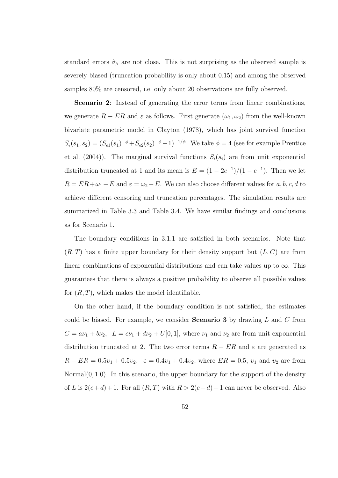standard errors  $\hat{\sigma}_{\beta}$  are not close. This is not surprising as the observed sample is severely biased (truncation probability is only about 0.15) and among the observed samples 80% are censored, i.e. only about 20 observations are fully observed.

Scenario 2: Instead of generating the error terms from linear combinations, we generate  $R - ER$  and  $\varepsilon$  as follows. First generate  $(\omega_1, \omega_2)$  from the well-known bivariate parametric model in Clayton (1978), which has joint survival function  $S_{\epsilon}(s_1, s_2) = (S_{\epsilon 1}(s_1)^{-\phi} + S_{\epsilon 2}(s_2)^{-\phi} - 1)^{-1/\phi}$ . We take  $\phi = 4$  (see for example Prentice et al. (2004)). The marginal survival functions  $S_i(s_i)$  are from unit exponential distribution truncated at 1 and its mean is  $E = (1 - 2e^{-1})/(1 - e^{-1})$ . Then we let  $R = ER+\omega_1 - E$  and  $\varepsilon = \omega_2 - E$ . We can also choose different values for a, b, c, d to achieve different censoring and truncation percentages. The simulation results are summarized in Table 3.3 and Table 3.4. We have similar findings and conclusions as for Scenario 1.

The boundary conditions in 3.1.1 are satisfied in both scenarios. Note that  $(R, T)$  has a finite upper boundary for their density support but  $(L, C)$  are from linear combinations of exponential distributions and can take values up to  $\infty$ . This guarantees that there is always a positive probability to observe all possible values for  $(R, T)$ , which makes the model identifiable.

On the other hand, if the boundary condition is not satisfied, the estimates could be biased. For example, we consider **Scenario 3** by drawing  $L$  and  $C$  from  $C = a\nu_1 + b\nu_2$ ,  $L = c\nu_1 + d\nu_2 + U[0, 1]$ , where  $\nu_1$  and  $\nu_2$  are from unit exponential distribution truncated at 2. The two error terms  $R - ER$  and  $\varepsilon$  are generated as  $R - ER = 0.5v_1 + 0.5v_2$ ,  $\varepsilon = 0.4v_1 + 0.4v_2$ , where  $ER = 0.5$ ,  $v_1$  and  $v_2$  are from Normal $(0, 1.0)$ . In this scenario, the upper boundary for the support of the density of L is  $2(c+d) + 1$ . For all  $(R, T)$  with  $R > 2(c+d) + 1$  can never be observed. Also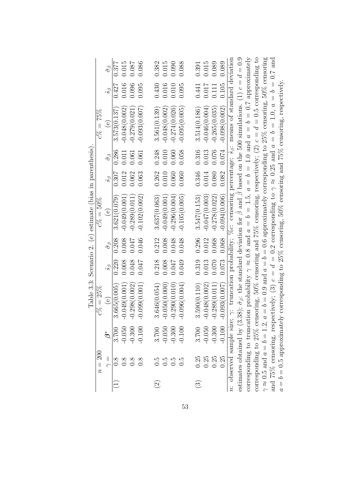|         | $n = 200$                            |                            | $\% = 25\%$<br>~<br>೦                                                                                                                                 |                      |                        | Table 3.3: Scenario 2. (e) estimate (bias in parenthesis)<br>$c\% = 50\%$ |                      |                        | $c\% = 75\%$                                                                                          |                      |                        |
|---------|--------------------------------------|----------------------------|-------------------------------------------------------------------------------------------------------------------------------------------------------|----------------------|------------------------|---------------------------------------------------------------------------|----------------------|------------------------|-------------------------------------------------------------------------------------------------------|----------------------|------------------------|
|         | $\frac{1}{\gamma}$                   | $\overset{*}{\mathcal{C}}$ | $\bigcirc$                                                                                                                                            | $\hat{s}_{\partial}$ | $\hat{\sigma}_{\beta}$ | $\bigcirc$                                                                | $\hat{s}_{\partial}$ | $\hat{\sigma}_{\beta}$ | $\overset{\circ}{\mathbb{e}}$                                                                         | $\hat{s}_{\partial}$ | $\hat{\sigma}_{\beta}$ |
|         | $\frac{8}{2}$                        | 3.700                      | 3.665(0.005                                                                                                                                           | 0.220                | 0.208                  | 3.621(0.079)                                                              | 0.307                | 0.286                  | 3.573(0.137)                                                                                          | 0.427                | 0.377                  |
|         | $\frac{8}{2}$                        | $-0.050$                   | $-0.049(0.001)$                                                                                                                                       | 0.008                | 0.008                  | $-0.049(0.001$                                                            | 0.012                | 0.011                  | $-0.048(0.002)$                                                                                       | 0.016                | 0.015                  |
|         | $\frac{8}{10}$                       | $-0.300$                   | $-0.298(0.002)$                                                                                                                                       | 0.048                | 0.047                  | $-0.289(0.011)$                                                           | 0.062                | 0.061                  | $-0.279(0.021)$                                                                                       | 0.096                | 0.087                  |
|         | $0.\overline{8}$                     | $-0.100$                   | $-0.099(0.001)$                                                                                                                                       | 0.047                | 0.046                  | $-0.102(0.002)$                                                           | 0.063                | 0.061                  | $-0.093(0.007)$                                                                                       | 0.095                | 0.086                  |
| $\odot$ |                                      | 3.700                      | 3.646(0.054)                                                                                                                                          | 0.218                | 0.212                  | 3.637(0.063)                                                              | 0.262                | 0.248                  | 3.561(0.139)                                                                                          | 0.430                | 0.382                  |
|         | 5<br>0.5<br>0.5                      | $-0.050$                   | $-0.050(0.000)$                                                                                                                                       | 0.008                | 0.008                  | $-0.049(0.001$                                                            | 0.010                | 0.010                  | $-0.048(0.002)$                                                                                       | 0.016                | 0.015                  |
|         | 0.5                                  | $-0.300$                   | $-0.290(0.010)$                                                                                                                                       | 0.047                | 0.048                  | $-0.296(0.004)$                                                           | 0.060                | 0.060                  | $-0.274(0.026)$                                                                                       | 0.010                | 0.090                  |
|         | $\overline{0}$ .                     | $-0.100$                   | $-0.096(0.004)$                                                                                                                                       | 0.049                | 0.048                  | $-0.105(0.005)$                                                           | 0.060                | 0.058                  | $-0.095(0.005)$                                                                                       | 0.095                | 0.088                  |
| $\odot$ | 0.25                                 | 3.700                      | 3.590(0.110)                                                                                                                                          | 0.319                | 0.296                  | 3.547(0.153)                                                              | 0.346                | 0.316                  | 3.514(0.186)                                                                                          | 0.441                | 0.391                  |
|         | 0.25                                 | $-0.050$                   | $-0.048(0.002)$                                                                                                                                       | 0.013                | 0.012                  | $-0.047(0.003)$                                                           | 0.014                | 0.013                  | $-0.046(0.004)$                                                                                       | 0.017                | 0.015                  |
|         | 0.25                                 | $-0.300$                   | $-0.289(0.011)$                                                                                                                                       | 0.070                | 0.068                  | $-0.278(0.022)$                                                           | 0.080                | 0.076                  | $-0.265(0.035)$                                                                                       | 0.111                | 0.089                  |
|         | 0.25                                 | $-0.100$                   | .093(0.007)                                                                                                                                           | 0.073                | 0.068                  | $-0.094(0.006)$                                                           | 0.082                | 0.074                  | $-0.098(0.002)$                                                                                       | 0.105                | 0.089                  |
|         | n: observed sample size; $\gamma$ :  |                            |                                                                                                                                                       |                      |                        |                                                                           |                      |                        | truncation probability; $\%c$ : censoring percentage; $\hat{s}_{\beta}$ : means of standard deviation |                      |                        |
|         |                                      |                            | estimates obtained by (3.38); $\hat{\sigma}_{\beta}$ : the standard deviation for $\beta$ and $\beta$ based on the 500 simulations. (1) $c = d = 0.9$ |                      |                        |                                                                           |                      |                        |                                                                                                       |                      |                        |
|         |                                      |                            | corresponding to truncation probability $\gamma \approx 0.8$ and $a = b = 1.5$ , $a = b = 1.0$ and $a = b = 0.7$ approximately                        |                      |                        |                                                                           |                      |                        |                                                                                                       |                      |                        |
|         |                                      |                            | corresponding to $25\%$ censoring, $50\%$ censoring and $75\%$ censoring, respectively; $(2)$ $c = d = 0.5$ corresponding to                          |                      |                        |                                                                           |                      |                        |                                                                                                       |                      |                        |
|         |                                      |                            | $\gamma \approx 0.5$ and $a = b = 1.2$ , $a = b = 0.9$ and $a = b = 0.6$ approximately corresponding to 25% censoring, 50% censoring                  |                      |                        |                                                                           |                      |                        |                                                                                                       |                      |                        |
|         |                                      |                            | and 75% censoring, respectively; (3) $c = d = 0.2$ corresponding to $\gamma \approx 0.25$ and $a = b = 1.0$ , $a = b = 0.7$ and                       |                      |                        |                                                                           |                      |                        |                                                                                                       |                      |                        |
|         | $a = b = 0.5$ approximately $\alpha$ |                            |                                                                                                                                                       |                      |                        |                                                                           |                      |                        | corresponding to $25\%$ censoring, $50\%$ censoring and $75\%$ censoring, respectively.               |                      |                        |

53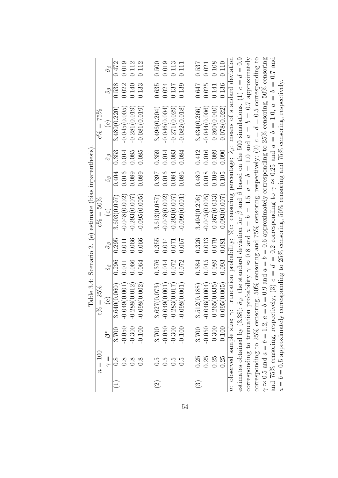|                    | $n=100$                             |                          | $% = 25%$<br>್ರ                                                                                                                                                   |                   |                        | Table 3.4: Scenario 2. (e) estimate (bias inparenthesis)<br>$c\% = 50\%$ |                   |                        | $c\% = 75\%$                                                                                          |                   |                        |
|--------------------|-------------------------------------|--------------------------|-------------------------------------------------------------------------------------------------------------------------------------------------------------------|-------------------|------------------------|--------------------------------------------------------------------------|-------------------|------------------------|-------------------------------------------------------------------------------------------------------|-------------------|------------------------|
|                    | $\vert\vert$                        | $\check{\tilde{\bm{c}}}$ | $\bigcirc$                                                                                                                                                        | $\hat{s}_{\beta}$ | $\hat{\sigma}_{\beta}$ | $\bigcirc$                                                               | $\hat{s}_{\beta}$ | $\hat{\sigma}_{\beta}$ | $\stackrel{\circ}{\phantom{\circ}}$                                                                   | $\hat{s}_{\beta}$ | $\hat{\sigma}_{\beta}$ |
|                    | $\frac{8}{10}$                      | 3.700                    | 3.640(0.060)                                                                                                                                                      | 0.296             | 0.295                  | 3.603(0.097                                                              | 0.404             | 0.353                  | 3.480(0.220)                                                                                          | 0.538             | 0.472                  |
|                    | 0.8                                 | $-0.050$                 | $-0.049(0.001$                                                                                                                                                    | 0.011             | 0.011                  | $-0.048(0.002)$                                                          | 0.016             | 0.014                  | $-0.045(0.005$                                                                                        | 0.022             | 0.019                  |
|                    | $\frac{8}{10}$                      | $-0.300$                 | $-0.288(0.012)$                                                                                                                                                   | 0.066             | 0.066                  | $-0.293(0.007)$                                                          | 0.089             | 0.085                  | $-0.281(0.019)$                                                                                       | 0.140             | 0.112                  |
|                    | $0.\overline{8}$                    | $-0.100$                 | $-0.098(0.002)$                                                                                                                                                   | 0.064             | 0.066                  | $-0.095(0.005)$                                                          | 0.089             | 0.085                  | $-0.081(0.019)$                                                                                       | 0.133             | 0.112                  |
| $\widehat{\Omega}$ | $\ddot{c}$                          | 3.700                    | 3.627(0.073)                                                                                                                                                      | 0.376             | 0.355                  | 3.613(0.087)                                                             | 0.397             | 0.359                  | 3.496(0.204)                                                                                          | 0.635             | 0.500                  |
|                    | $0.\overline{5}$                    | $-0.050$                 | $-0.049(0.001)$                                                                                                                                                   | 0.014             | 0.014                  | $-0.048(0.002)$                                                          | 0.016             | 0.014                  | $-0.046(0.004)$                                                                                       | 0.024             | 0.019                  |
|                    | 0.5                                 | $-0.300$                 | $-0.283(0.017)$                                                                                                                                                   | 0.072             | 0.071                  | $-0.293(0.007)$                                                          | 0.084             | 0.083                  | $-0.271(0.029)$                                                                                       | 0.137             | 0.113                  |
|                    | $\overline{0}$                      | $-0.100$                 | $-0.098(0.001)$                                                                                                                                                   | 0.072             | 0.007                  | $-0.099(0.001)$                                                          | 0.086             | 0.084                  | $-0.082(0.018)$                                                                                       | 0.139             | 0.111                  |
| $\odot$            | 0.25                                | 3.700                    | 3.512(0.188)                                                                                                                                                      | 0.384             | 0.326                  | 3.494(0.206)                                                             | 0.480             | 0.412                  | 3.434(0.266)                                                                                          | 0.647             | 0.537                  |
|                    | 0.25                                | $-0.050$                 | $-0.046(0.004)$                                                                                                                                                   | 0.015             | 0.013                  | $-0.045(0.005)$                                                          | 0.018             | 0.016                  | $-0.044(0.006)$                                                                                       | 0.025             | 0.021                  |
|                    | 0.25                                | $-0.300$                 | $-0.265(0.035)$                                                                                                                                                   | 0.089             | 0.079                  | $-0.267(0.033)$                                                          | 0.109             | 0.089                  | $-0.260(0.040)$                                                                                       | 0.141             | 0.108                  |
|                    | 0.25                                | $-0.100$                 | $-0.095(0.005)$                                                                                                                                                   | 0.093             | 0.081                  | $-0.093(0.007)$                                                          | 0.105             | 0.090                  | $-0.078(0.022)$                                                                                       | 0.136             | 0.110                  |
|                    | n: observed sample size; $\gamma$ : |                          |                                                                                                                                                                   |                   |                        |                                                                          |                   |                        | truncation probability; $\%c$ : censoring percentage; $\hat{s}_{\beta}$ : means of standard deviation |                   |                        |
|                    |                                     |                          | estimates obtained by (3.38); $\hat{\sigma}_{\beta}$ : the standard deviation for $\hat{\beta}$ and $\hat{\beta}$ based on the 500 simulations. (1) $c = d = 0.9$ |                   |                        |                                                                          |                   |                        |                                                                                                       |                   |                        |
|                    |                                     |                          | corresponding to truncation probability $\gamma \approx 0.8$ and $a = b = 1.5$ , $a = b = 1.0$ and $a = b = 0.7$ approximately                                    |                   |                        |                                                                          |                   |                        |                                                                                                       |                   |                        |
|                    |                                     |                          | corresponding to 25% censoring, 50% censoring and 75% censoring, respectively; $(2)$ $c = d = 0.5$ corresponding to                                               |                   |                        |                                                                          |                   |                        |                                                                                                       |                   |                        |
|                    |                                     |                          | $\gamma \approx 0.5$ and $a = b = 1.2$ , $a = b = 0.9$ and $a = b = 0.6$ approximately corresponding to 25% censoring, 50% censoring                              |                   |                        |                                                                          |                   |                        |                                                                                                       |                   |                        |
|                    |                                     |                          | and 75% censoring, respectively; (3) $c = d = 0.2$ corresponding to $\gamma \approx 0.25$ and $a = b = 1.0$ , $a = b = 0.7$ and                                   |                   |                        |                                                                          |                   |                        |                                                                                                       |                   |                        |
|                    | $a = b = 0.5$ approximately         |                          |                                                                                                                                                                   |                   |                        |                                                                          |                   |                        | corresponding to $25\%$ censoring, $50\%$ censoring and $75\%$ censoring, respectively.               |                   |                        |
|                    |                                     |                          |                                                                                                                                                                   |                   |                        |                                                                          |                   |                        |                                                                                                       |                   |                        |

54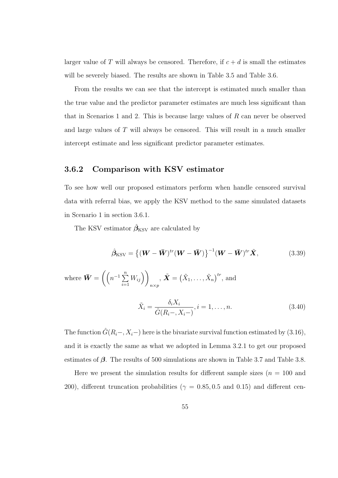larger value of T will always be censored. Therefore, if  $c + d$  is small the estimates will be severely biased. The results are shown in Table 3.5 and Table 3.6.

From the results we can see that the intercept is estimated much smaller than the true value and the predictor parameter estimates are much less significant than that in Scenarios 1 and 2. This is because large values of  $R$  can never be observed and large values of T will always be censored. This will result in a much smaller intercept estimate and less significant predictor parameter estimates.

#### 3.6.2 Comparison with KSV estimator

To see how well our proposed estimators perform when handle censored survival data with referral bias, we apply the KSV method to the same simulated datasets in Scenario 1 in section 3.6.1.

The KSV estimator  $\hat{\beta}_{\rm KSV}$  are calculated by

$$
\hat{\beta}_{\text{KSV}} = \left\{ (\boldsymbol{W} - \boldsymbol{\bar{W}})^{tr} (\boldsymbol{W} - \boldsymbol{\bar{W}}) \right\}^{-1} (\boldsymbol{W} - \boldsymbol{\bar{W}})^{tr} \tilde{\boldsymbol{X}},
$$
(3.39)

where  $\bar{\mathbf{W}} = \left( \left( n^{-1} \sum_{i=1}^{n} \mathbf{w}_i \right) \right)$  $i=1$  $W_{ij}$ )  $n \times p$ ,  $\tilde{\boldsymbol{X}} = (\tilde{X}_1, \ldots, \tilde{X}_n)^{tr}$ , and

$$
\tilde{X}_i = \frac{\delta_i X_i}{\hat{G}(R_i - X_i -)}, i = 1, \dots, n.
$$
\n(3.40)

The function  $\hat{G}(R_i-, X_i-)$  here is the bivariate survival function estimated by (3.16), and it is exactly the same as what we adopted in Lemma 3.2.1 to get our proposed estimates of  $\beta$ . The results of 500 simulations are shown in Table 3.7 and Table 3.8.

Here we present the simulation results for different sample sizes  $(n = 100$  and 200), different truncation probabilities ( $\gamma = 0.85, 0.5$  and 0.15) and different cen-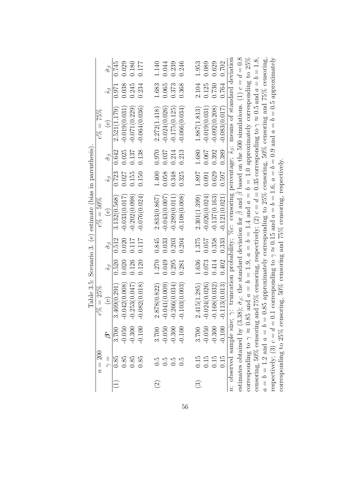|                    |                                 |                             |                                                                                                                                                                   |           |                        | Table 3.5: Scenario 3. (e) estimate (bias in parenthesis) |                             |                        |                                                                                                          |                   |                        |
|--------------------|---------------------------------|-----------------------------|-------------------------------------------------------------------------------------------------------------------------------------------------------------------|-----------|------------------------|-----------------------------------------------------------|-----------------------------|------------------------|----------------------------------------------------------------------------------------------------------|-------------------|------------------------|
|                    | $n = 200$                       |                             | $\% = 25\%$                                                                                                                                                       |           |                        | $c\% = 50\%$                                              |                             |                        | $c\% = 75\%$                                                                                             |                   |                        |
|                    | $\frac{11}{5}$                  | $\overset{*}{\mathfrak{G}}$ | $\epsilon$                                                                                                                                                        | $\hat{s}$ | $\hat{\sigma}_{\beta}$ | $\Theta$                                                  | $\mathcal{S}_{\mathcal{S}}$ | $\hat{\sigma}_{\beta}$ | $\overset{\circ}{e}$                                                                                     | $\hat{s}_{\beta}$ | $\hat{\sigma}_{\beta}$ |
|                    | $0.85\,$                        | 3.700                       | 3.409(0.291                                                                                                                                                       | 0.520     | 0.512                  | 3.132(0.568)                                              | 0.723                       | 0.642                  | 2.521(1.179)                                                                                             | 0.971             | 0.745                  |
|                    | 0.85                            | $-0.050$                    | $-0.042(0.008)$                                                                                                                                                   | 0.020     | 0.020                  | $-0.033(0.017)$                                           | 0.027                       | 0.025                  | $-0.019(0.031)$                                                                                          | 0.038             | 0.029                  |
|                    | 0.85                            | $-0.300$                    | $-0.253(0.047)$                                                                                                                                                   | 0.126     | 0.117                  | $-0.202(0.098)$                                           | 0.155                       | 0.137                  | $-0.071(0.229)$                                                                                          | 0.245             | 0.180                  |
|                    | 0.85                            | $-0.100$                    | $-0.082(0.018)$                                                                                                                                                   | 0.120     | 0.117                  | $-0.076(0.024)$                                           | 0.150                       | 0.138                  | $-0.064(0.036)$                                                                                          | 0.234             | 0.177                  |
|                    |                                 |                             |                                                                                                                                                                   |           |                        |                                                           |                             |                        |                                                                                                          |                   |                        |
| $\widehat{\Omega}$ |                                 | 3.700                       | 2.878(0.822)                                                                                                                                                      | 1.270     | 0.845                  | 2.833(0.867)                                              | 1.400                       | 0.970                  | 2.272(1.418)                                                                                             | 1.683             | 1.140                  |
|                    | 0.5<br>0.5                      | $-0.050$                    | $-0.041(0.009)$                                                                                                                                                   | 0.049     | 0.033                  | $-0.043(0.007)$                                           | 0.058                       | 0.037                  | $-0.024(0.026)$                                                                                          | 0.065             | 0.044                  |
|                    | 0.5                             | $-0.300$                    | $-0.266(0.034)$                                                                                                                                                   | 0.295     | 0.203                  | $-0.289(0.011)$                                           | 0.348                       | 0.214                  | $-0.175(0.125)$                                                                                          | 0.373             | 0.239                  |
|                    | $\frac{5}{0}$                   | $-0.100$                    | $-0.103(0.003)$                                                                                                                                                   | 0.281     | 0.204                  | $-0.108(0.008)$                                           | 0.325                       | 0.213                  | $-0.066(0.034)$                                                                                          | 0.368             | 0.246                  |
|                    |                                 |                             |                                                                                                                                                                   |           |                        |                                                           |                             |                        |                                                                                                          |                   |                        |
| $\odot$            | 0.15                            | 3.700                       | 2.415(1.285)                                                                                                                                                      | 1.636     | 1.375                  | 2.301(1.399)                                              | 1.897                       | 1.680                  | 1.887(1.813)                                                                                             | 2.104             | 1.953                  |
|                    | 0.15                            | $-0.050$                    | $-0.024(0.026)$                                                                                                                                                   | 0.073     | 0.057                  | $-0.026(0.024)$                                           | 0.091                       | 0.067                  | $-0.019(0.031)$                                                                                          | 0.125             | 0.089                  |
|                    | 0.15                            | $-0.300$                    | $-0.168(0.032)$                                                                                                                                                   | 0.414     | 0.358                  | $-0.137(0.163)$                                           | 0.629                       | 0.392                  | $-0.092(0.208)$                                                                                          | 0.730             | 0.629                  |
|                    | 0.15                            | $-0.100$                    | $-0.113(0.013)$                                                                                                                                                   | 0.402     | 0.333                  | $-0.121(0.021)$                                           | 0.597                       | 0.389                  | $-0.083(0.017)$                                                                                          | 0.764             | 0.702                  |
|                    |                                 |                             | n: observed sample size; $\gamma$ : truncation probability; %c: censoring percentage; $\hat{s}_{\beta}$ : means of standard deviation                             |           |                        |                                                           |                             |                        |                                                                                                          |                   |                        |
|                    |                                 |                             | estimates obtained by (3.38); $\hat{\sigma}_{\beta}$ : the standard deviation for $\hat{\beta}$ and $\hat{\beta}$ based on the 500 simulations. (1) $c = d = 0.8$ |           |                        |                                                           |                             |                        |                                                                                                          |                   |                        |
|                    |                                 |                             | corresponding to $\gamma \approx 0.85$ and $a = b = 1.9$ , $a = b = 1.4$ and $a = b = 1.0$ approximately corresponding to 25%                                     |           |                        |                                                           |                             |                        |                                                                                                          |                   |                        |
|                    |                                 |                             | censoring, 50% censoring and 75% censoring, respectively; (2) $c = d = 0.35$ corresponding to $\gamma \approx 0.5$ and $a = b = 1.8$ ,                            |           |                        |                                                           |                             |                        |                                                                                                          |                   |                        |
|                    |                                 |                             | $a = b = 1.2$ and $a = b = 0.85$ approximately corresponding to $25\%$ censoring, $50\%$ censoring and $75\%$ censoring,                                          |           |                        |                                                           |                             |                        |                                                                                                          |                   |                        |
|                    | respectively; (3) $c = d = 0.1$ |                             |                                                                                                                                                                   |           |                        |                                                           |                             |                        | corresponding to $\gamma \approx 0.15$ and $a = b = 1.6$ , $a = b = 0.9$ and $a = b = 0.5$ approximately |                   |                        |
|                    |                                 |                             | corresponding to $25\%$ censoring, $50\%$ censoring and $75\%$ censoring, respectively.                                                                           |           |                        |                                                           |                             |                        |                                                                                                          |                   |                        |

Tablo 3 5. Comario 3 (a) octimato (hias in naronthosis) Table 3.5: Scenario 3. (e) estimate (bias in parenthesis).

56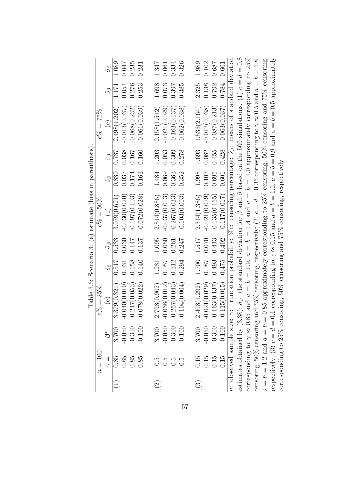|                    |                                        |                             |                                                                                                                                                                   |                   |                        | " (stanfinitation in section of the standard contract of the state of the state of the state of the state of the state of the state of the state of the state of the state of the state of the state of the state of the state |                   |                        |                                                                                                          |                   |                        |
|--------------------|----------------------------------------|-----------------------------|-------------------------------------------------------------------------------------------------------------------------------------------------------------------|-------------------|------------------------|--------------------------------------------------------------------------------------------------------------------------------------------------------------------------------------------------------------------------------|-------------------|------------------------|----------------------------------------------------------------------------------------------------------|-------------------|------------------------|
|                    | $n=100$                                |                             | $c\% = 25\%$                                                                                                                                                      |                   |                        | $c\% = 50\%$                                                                                                                                                                                                                   |                   |                        | $c\% = 75\%$                                                                                             |                   |                        |
|                    | $\frac{1}{\gamma}$                     | $\stackrel{*}{\mathcal{O}}$ | $\Theta$                                                                                                                                                          | $\hat{s}_{\beta}$ | $\hat{\sigma}_{\beta}$ | $\Theta$                                                                                                                                                                                                                       | $\hat{s}_{\beta}$ | $\hat{\sigma}_{\beta}$ | $\Theta$                                                                                                 | $\hat{s}_{\beta}$ | $\hat{\sigma}_{\beta}$ |
|                    | $0.85\,$                               | 3.700                       | 3.379(0.321)                                                                                                                                                      | 0.517             | 0.533                  | 3.079(0.621)                                                                                                                                                                                                                   | 0.830             | 0.737                  | 2.498(1.202)                                                                                             | 1.171             | 1.089                  |
|                    | 0.85                                   | $-0.050$                    | $-0.040(0.010$                                                                                                                                                    | 0.031             | 0.030                  | $-0.030(0.020)$                                                                                                                                                                                                                | 0.037             | 0.038                  | $-0.013(0.037)$                                                                                          | 0.054             | 0.047                  |
|                    | 0.85                                   | $-0.300$                    | $-0.247(0.053)$                                                                                                                                                   | 0.158             | 0.147                  | $-0.197(0.103)$                                                                                                                                                                                                                | 0.174             | 0.167                  | $-0.068(0.232)$                                                                                          | 0.276             | 0.235                  |
|                    | 0.85                                   | $-0.100$                    | $-0.078(0.022)$                                                                                                                                                   | 0.140             | 0.137                  | $-0.072(0.028)$                                                                                                                                                                                                                | 0.163             | 0.160                  | $-0.061(0.039)$                                                                                          | 0.253             | 0.231                  |
|                    |                                        |                             |                                                                                                                                                                   |                   |                        |                                                                                                                                                                                                                                |                   |                        |                                                                                                          |                   |                        |
| $\widehat{\infty}$ | $0.\overline{5}$                       | 3.700                       | 2.798(0.902)                                                                                                                                                      | 1.281             | 1.095                  | 2.814(0.886)                                                                                                                                                                                                                   | 1.484             | 1.203                  | 2.158(1.542)                                                                                             | 1.698             | 1.347                  |
|                    | $\ddot{0}$ .                           | $-0.050$                    | $-0.038(0.012)$                                                                                                                                                   | 0.057             | 0.050                  | $-0.037(0.013)$                                                                                                                                                                                                                | 0.069             | 0.053                  | $-0.021(0.029)$                                                                                          | 0.073             | 0.061                  |
|                    | $\frac{5}{2}$                          | $-0.300$                    | $-0.257(0.043)$                                                                                                                                                   | 0.312             | 0.261                  | $-0.267(0.033)$                                                                                                                                                                                                                | 0.363             | 0.309                  | $-0.163(0.137)$                                                                                          | 0.397             | 0.334                  |
|                    | $\frac{5}{0}$                          | $-0.100$                    | $-0.104(0.004)$                                                                                                                                                   | 0.294             | 0.247                  | $-0.103(0.003)$                                                                                                                                                                                                                | 0.352             | 0.278                  | $-0.062(0.038)$                                                                                          | 0.385             | 0.326                  |
|                    |                                        |                             |                                                                                                                                                                   |                   |                        |                                                                                                                                                                                                                                |                   |                        |                                                                                                          |                   |                        |
| $\odot$            | 0.15                                   | 3.700                       | 2.408(1.292)                                                                                                                                                      | 1.700             | 1.517                  | 2.314(1.386)                                                                                                                                                                                                                   | 1.998             | 1.693                  | 1.536(2.164)                                                                                             | 2.325             | 1.989                  |
|                    | 0.15                                   | $-0.050$                    | $-0.021(0.029)$                                                                                                                                                   | 0.087             | 0.070                  | $-0.021(0.029)$                                                                                                                                                                                                                | 0.103             | 0.082                  | $-0.012(0.038)$                                                                                          | 0.138             | 0.102                  |
|                    | 0.15                                   | $-0.300$                    | $-0.163(0.137)$                                                                                                                                                   | 0.493             | 0.413                  | $-0.135(0.165)$                                                                                                                                                                                                                | 0.695             | 0.455                  | $-0.087(0.213)$                                                                                          | 0.792             | 0.687                  |
|                    | 0.15                                   | $-0.100$                    | $-0.115(0.015)$                                                                                                                                                   | 0.475             | 0.402                  | $-0.117(0.017)$                                                                                                                                                                                                                | 0.601             | 0.428                  | $-0.063(0.037)$                                                                                          | 0.784             | 0.601                  |
|                    |                                        |                             | n: observed sample size; $\gamma$ : truncation probability; %c: censoring percentage; $s_{\beta}$ : means of standard deviation                                   |                   |                        |                                                                                                                                                                                                                                |                   |                        |                                                                                                          |                   |                        |
|                    |                                        |                             | estimates obtained by (3.38); $\hat{\sigma}_{\beta}$ : the standard deviation for $\hat{\beta}$ and $\hat{\beta}$ based on the 500 simulations. (1) $c = d = 0.8$ |                   |                        |                                                                                                                                                                                                                                |                   |                        |                                                                                                          |                   |                        |
|                    | corresponding to $\gamma \approx 0.85$ |                             |                                                                                                                                                                   |                   |                        |                                                                                                                                                                                                                                |                   |                        | and $a = b = 1.9$ , $a = b = 1.4$ and $a = b = 1.0$ approximately corresponding to 25%                   |                   |                        |
|                    |                                        |                             | censoring, 50% censoring and 75% censoring, respectively; $(2) c = d = 0.35$ corresponding to $\gamma \approx 0.5$ and $a = b = 1.8$ ,                            |                   |                        |                                                                                                                                                                                                                                |                   |                        |                                                                                                          |                   |                        |
|                    |                                        |                             | $a = b = 1.2$ and $a = b = 0.85$ approximately corresponding to $25\%$ censoring, $50\%$ censoring and $75\%$ censoring,                                          |                   |                        |                                                                                                                                                                                                                                |                   |                        |                                                                                                          |                   |                        |
|                    | respectively; (3) $c = d = 0.1$        |                             |                                                                                                                                                                   |                   |                        |                                                                                                                                                                                                                                |                   |                        | corresponding to $\gamma \approx 0.15$ and $a = b = 1.6$ , $a = b = 0.9$ and $a = b = 0.5$ approximately |                   |                        |
|                    |                                        |                             | corresponding to $25\%$ censoring, $50\%$ censoring and $75\%$ censoring, respectively.                                                                           |                   |                        |                                                                                                                                                                                                                                |                   |                        |                                                                                                          |                   |                        |

Table 3.6: Scenario 3. (e) estimate (bias in parenthesis) Table 3.6: Scenario 3. (e) estimate (bias in parenthesis).

57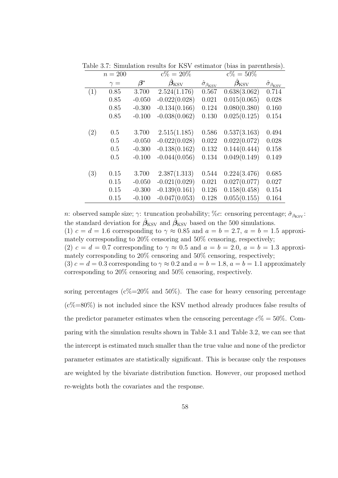|     | $n = 200$  |                        | $c\% = 20\%$      |                                | $c\% = 50\%$      |                                  |
|-----|------------|------------------------|-------------------|--------------------------------|-------------------|----------------------------------|
|     | $\gamma =$ | $\boldsymbol{\beta}^*$ | $\beta_{\rm KSV}$ | $\hat{\sigma}_{\beta_{\text{K$ | $\beta_{\rm KSV}$ | $\hat{\sigma}_{\beta_{\rm KSV}}$ |
| (1) | 0.85       | 3.700                  | 2.524(1.176)      | 0.567                          | 0.638(3.062)      | 0.714                            |
|     | 0.85       | $-0.050$               | $-0.022(0.028)$   | 0.021                          | 0.015(0.065)      | 0.028                            |
|     | 0.85       | $-0.300$               | $-0.134(0.166)$   | 0.124                          | 0.080(0.380)      | 0.160                            |
|     | 0.85       | $-0.100$               | $-0.038(0.062)$   | 0.130                          | 0.025(0.125)      | 0.154                            |
|     |            |                        |                   |                                |                   |                                  |
| (2) | 0.5        | 3.700                  | 2.515(1.185)      | 0.586                          | 0.537(3.163)      | 0.494                            |
|     | 0.5        | $-0.050$               | $-0.022(0.028)$   | 0.022                          | 0.022(0.072)      | 0.028                            |
|     | 0.5        | $-0.300$               | $-0.138(0.162)$   | 0.132                          | 0.144(0.444)      | 0.158                            |
|     | 0.5        | $-0.100$               | $-0.044(0.056)$   | 0.134                          | 0.049(0.149)      | 0.149                            |
|     |            |                        |                   |                                |                   |                                  |
| (3) | 0.15       | 3.700                  | 2.387(1.313)      | 0.544                          | 0.224(3.476)      | 0.685                            |
|     | 0.15       | $-0.050$               | $-0.021(0.029)$   | 0.021                          | 0.027(0.077)      | 0.027                            |
|     | 0.15       | $-0.300$               | $-0.139(0.161)$   | 0.126                          | 0.158(0.458)      | 0.154                            |
|     | 0.15       | $-0.100$               | $-0.047(0.053)$   | 0.128                          | 0.055(0.155)      | 0.164                            |

Table 3.7: Simulation results for KSV estimator (bias in parenthesis).

n: observed sample size;  $\gamma$ : truncation probability; %c: censoring percentage;  $\hat{\sigma}_{\beta_{\text{KSV}}}$ : the standard deviation for  $\hat{\beta}_{\mathrm{KSV}}$  and  $\hat{\beta}_{\mathrm{KSV}}$  based on the 500 simulations. (1)  $c = d = 1.6$  corresponding to  $\gamma \approx 0.85$  and  $a = b = 2.7$ ,  $a = b = 1.5$  approximately corresponding to 20% censoring and 50% censoring, respectively; (2)  $c = d = 0.7$  corresponding to  $\gamma \approx 0.5$  and  $a = b = 2.0$ ,  $a = b = 1.3$  approximately corresponding to 20% censoring and 50% censoring, respectively; (3)  $c = d = 0.3$  corresponding to  $\gamma \approx 0.2$  and  $a = b = 1.8$ ,  $a = b = 1.1$  approximately corresponding to 20% censoring and 50% censoring, respectively.

soring percentages ( $c\% = 20\%$  and  $50\%$ ). The case for heavy censoring percentage  $(c\% = 80\%)$  is not included since the KSV method already produces false results of the predictor parameter estimates when the censoring percentage  $c\% = 50\%$ . Comparing with the simulation results shown in Table 3.1 and Table 3.2, we can see that the intercept is estimated much smaller than the true value and none of the predictor parameter estimates are statistically significant. This is because only the responses are weighted by the bivariate distribution function. However, our proposed method re-weights both the covariates and the response.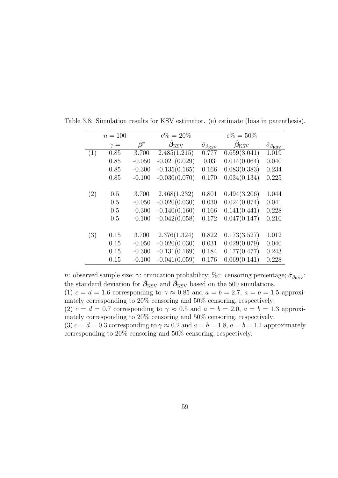|     | $n = 100$  |                        | $c\% = 20\%$      |                                          | $c\% = 50\%$             |                                       |
|-----|------------|------------------------|-------------------|------------------------------------------|--------------------------|---------------------------------------|
|     | $\gamma =$ | $\boldsymbol{\beta}^*$ | $\beta_{\rm KSV}$ | $\hat{\sigma}_{\beta_{\underline{KSV}}}$ | $\ddot{\beta}_{\rm KSV}$ | $\hat{\sigma}_{\beta_{\mathrm{KSV}}}$ |
| (1) | 0.85       | 3.700                  | 2.485(1.215)      | 0.777                                    | 0.659(3.041)             | 1.019                                 |
|     | 0.85       | $-0.050$               | $-0.021(0.029)$   | 0.03                                     | 0.014(0.064)             | 0.040                                 |
|     | 0.85       | $-0.300$               | $-0.135(0.165)$   | 0.166                                    | 0.083(0.383)             | 0.234                                 |
|     | 0.85       | $-0.100$               | $-0.030(0.070)$   | 0.170                                    | 0.034(0.134)             | 0.225                                 |
|     |            |                        |                   |                                          |                          |                                       |
| (2) | 0.5        | 3.700                  | 2.468(1.232)      | 0.801                                    | 0.494(3.206)             | 1.044                                 |
|     | 0.5        | $-0.050$               | $-0.020(0.030)$   | 0.030                                    | 0.024(0.074)             | 0.041                                 |
|     | 0.5        | $-0.300$               | $-0.140(0.160)$   | 0.166                                    | 0.141(0.441)             | 0.228                                 |
|     | 0.5        | $-0.100$               | $-0.042(0.058)$   | 0.172                                    | 0.047(0.147)             | 0.210                                 |
|     |            |                        |                   |                                          |                          |                                       |
| (3) | 0.15       | 3.700                  | 2.376(1.324)      | 0.822                                    | 0.173(3.527)             | 1.012                                 |
|     | 0.15       | $-0.050$               | $-0.020(0.030)$   | 0.031                                    | 0.029(0.079)             | 0.040                                 |
|     | 0.15       | $-0.300$               | $-0.131(0.169)$   | 0.184                                    | 0.177(0.477)             | 0.243                                 |
|     | 0.15       | $-0.100$               | $-0.041(0.059)$   | 0.176                                    | 0.069(0.141)             | 0.228                                 |

Table 3.8: Simulation results for KSV estimator. (e) estimate (bias in parenthesis).

n: observed sample size;  $\gamma$ : truncation probability; %c: censoring percentage;  $\hat{\sigma}_{\beta_{\text{KSV}}}$ : the standard deviation for  $\hat{\beta}_{\mathrm{KSV}}$  and  $\hat{\beta}_{\mathrm{KSV}}$  based on the 500 simulations. (1)  $c = d = 1.6$  corresponding to  $\gamma \approx 0.85$  and  $a = b = 2.7$ ,  $a = b = 1.5$  approximately corresponding to 20% censoring and 50% censoring, respectively; (2)  $c = d = 0.7$  corresponding to  $\gamma \approx 0.5$  and  $a = b = 2.0$ ,  $a = b = 1.3$  approximately corresponding to 20% censoring and 50% censoring, respectively; (3)  $c = d = 0.3$  corresponding to  $\gamma \approx 0.2$  and  $a = b = 1.8$ ,  $a = b = 1.1$  approximately corresponding to 20% censoring and 50% censoring, respectively.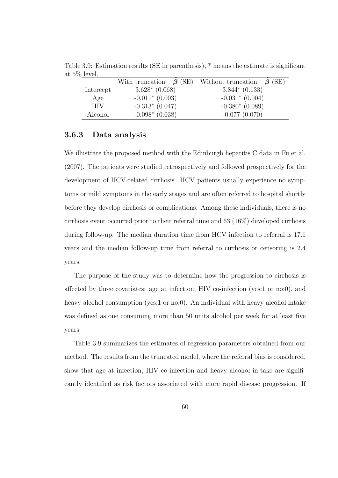|            |                  | With truncation – $\beta$ (SE) Without truncation – $\dot{\beta}$ (SE) |
|------------|------------------|------------------------------------------------------------------------|
| Intercept  | $3.628* (0.068)$ | $3.844*$ (0.133)                                                       |
| Age        | $-0.011*(0.003)$ | $-0.031*(0.004)$                                                       |
| <b>HIV</b> | $-0.313*(0.047)$ | $-0.380*(0.089)$                                                       |
| Alcohol    | $-0.098*(0.038)$ | $-0.077(0.070)$                                                        |

Table 3.9: Estimation results (SE in parenthesis), \* means the estimate is significant at 5% level.

#### 3.6.3 Data analysis

We illustrate the proposed method with the Edinburgh hepatitis C data in Fu et al. (2007). The patients were studied retrospectively and followed prospectively for the development of HCV-related cirrhosis. HCV patients usually experience no symptoms or mild symptoms in the early stages and are often referred to hospital shortly before they develop cirrhosis or complications. Among these individuals, there is no cirrhosis event occurred prior to their referral time and 63 (16%) developed cirrhosis during follow-up. The median duration time from HCV infection to referral is 17.1 years and the median follow-up time from referral to cirrhosis or censoring is 2.4 years.

The purpose of the study was to determine how the progression to cirrhosis is affected by three covariates: age at infection, HIV co-infection (yes:1 or no:0), and heavy alcohol consumption (yes:1 or no:0). An individual with heavy alcohol intake was defined as one consuming more than 50 units alcohol per week for at least five years.

Table 3.9 summarizes the estimates of regression parameters obtained from our method. The results from the truncated model, where the referral bias is considered, show that age at infection, HIV co-infection and heavy alcohol in-take are significantly identified as risk factors associated with more rapid disease progression. If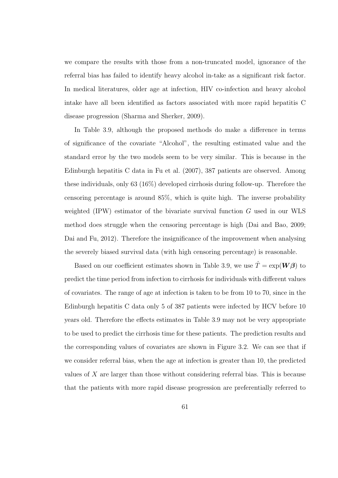we compare the results with those from a non-truncated model, ignorance of the referral bias has failed to identify heavy alcohol in-take as a significant risk factor. In medical literatures, older age at infection, HIV co-infection and heavy alcohol intake have all been identified as factors associated with more rapid hepatitis C disease progression (Sharma and Sherker, 2009).

In Table 3.9, although the proposed methods do make a difference in terms of significance of the covariate "Alcohol", the resulting estimated value and the standard error by the two models seem to be very similar. This is because in the Edinburgh hepatitis C data in Fu et al. (2007), 387 patients are observed. Among these individuals, only 63 (16%) developed cirrhosis during follow-up. Therefore the censoring percentage is around 85%, which is quite high. The inverse probability weighted (IPW) estimator of the bivariate survival function G used in our WLS method does struggle when the censoring percentage is high (Dai and Bao, 2009; Dai and Fu, 2012). Therefore the insignificance of the improvement when analysing the severely biased survival data (with high censoring percentage) is reasonable.

Based on our coefficient estimates shown in Table 3.9, we use  $\hat{T} = \exp(\boldsymbol{W}\boldsymbol{\beta})$  to predict the time period from infection to cirrhosis for individuals with different values of covariates. The range of age at infection is taken to be from 10 to 70, since in the Edinburgh hepatitis C data only 5 of 387 patients were infected by HCV before 10 years old. Therefore the effects estimates in Table 3.9 may not be very appropriate to be used to predict the cirrhosis time for these patients. The prediction results and the corresponding values of covariates are shown in Figure 3.2. We can see that if we consider referral bias, when the age at infection is greater than 10, the predicted values of X are larger than those without considering referral bias. This is because that the patients with more rapid disease progression are preferentially referred to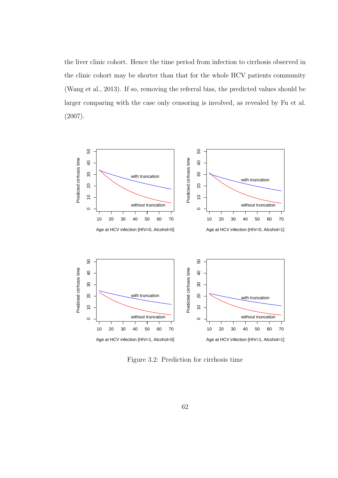the liver clinic cohort. Hence the time period from infection to cirrhosis observed in the clinic cohort may be shorter than that for the whole HCV patients community (Wang et al., 2013). If so, removing the referral bias, the predicted values should be larger comparing with the case only censoring is involved, as revealed by Fu et al. (2007).



Figure 3.2: Prediction for cirrhosis time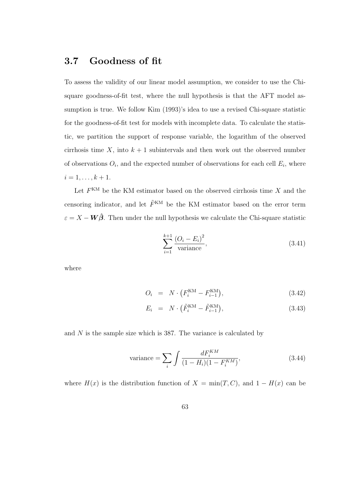#### 3.7 Goodness of fit

To assess the validity of our linear model assumption, we consider to use the Chisquare goodness-of-fit test, where the null hypothesis is that the AFT model assumption is true. We follow Kim (1993)'s idea to use a revised Chi-square statistic for the goodness-of-fit test for models with incomplete data. To calculate the statistic, we partition the support of response variable, the logarithm of the observed cirrhosis time X, into  $k + 1$  subintervals and then work out the observed number of observations  $O_i$ , and the expected number of observations for each cell  $E_i$ , where  $i = 1, \ldots, k + 1.$ 

Let  $F<sup>KM</sup>$  be the KM estimator based on the observed cirrhosis time X and the censoring indicator, and let  $\tilde{F}^{KM}$  be the KM estimator based on the error term  $\varepsilon = X - W \hat{\beta}$ . Then under the null hypothesis we calculate the Chi-square statistic

$$
\sum_{i=1}^{k+1} \frac{(O_i - E_i)^2}{\text{variance}},\tag{3.41}
$$

where

$$
O_i = N \cdot (F_i^{KM} - F_{i-1}^{KM}), \tag{3.42}
$$

$$
E_i = N \cdot (\tilde{F}_i^{\text{KM}} - \tilde{F}_{i-1}^{\text{KM}}), \qquad (3.43)
$$

and  $N$  is the sample size which is 387. The variance is calculated by

variance = 
$$
\sum_{i} \int \frac{dF_i^{KM}}{(1 - H_i)(1 - F_i^{KM})},
$$
 (3.44)

where  $H(x)$  is the distribution function of  $X = min(T, C)$ , and  $1 - H(x)$  can be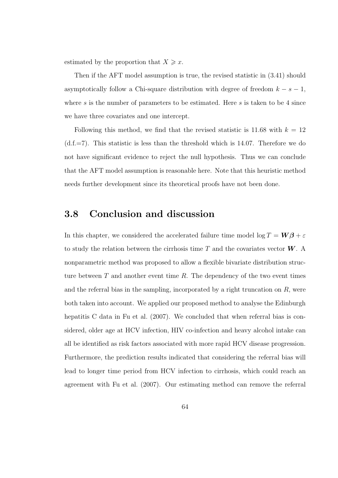estimated by the proportion that  $X \geqslant x$ .

Then if the AFT model assumption is true, the revised statistic in (3.41) should asymptotically follow a Chi-square distribution with degree of freedom  $k - s - 1$ , where s is the number of parameters to be estimated. Here s is taken to be 4 since we have three covariates and one intercept.

Following this method, we find that the revised statistic is 11.68 with  $k = 12$  $(d.f.=7)$ . This statistic is less than the threshold which is 14.07. Therefore we do not have significant evidence to reject the null hypothesis. Thus we can conclude that the AFT model assumption is reasonable here. Note that this heuristic method needs further development since its theoretical proofs have not been done.

#### 3.8 Conclusion and discussion

In this chapter, we considered the accelerated failure time model  $\log T = W\beta + \varepsilon$ to study the relation between the cirrhosis time T and the covariates vector  $W$ . A nonparametric method was proposed to allow a flexible bivariate distribution structure between  $T$  and another event time  $R$ . The dependency of the two event times and the referral bias in the sampling, incorporated by a right truncation on  $R$ , were both taken into account. We applied our proposed method to analyse the Edinburgh hepatitis C data in Fu et al. (2007). We concluded that when referral bias is considered, older age at HCV infection, HIV co-infection and heavy alcohol intake can all be identified as risk factors associated with more rapid HCV disease progression. Furthermore, the prediction results indicated that considering the referral bias will lead to longer time period from HCV infection to cirrhosis, which could reach an agreement with Fu et al. (2007). Our estimating method can remove the referral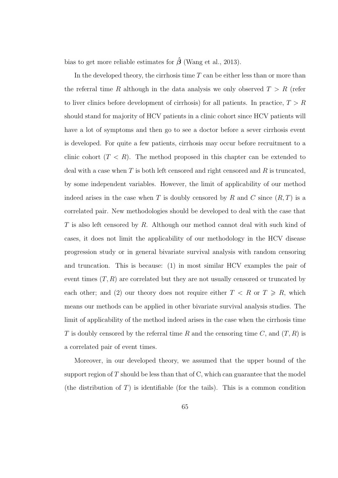bias to get more reliable estimates for  $\hat{\beta}$  (Wang et al., 2013).

In the developed theory, the cirrhosis time  $T$  can be either less than or more than the referral time R although in the data analysis we only observed  $T > R$  (refer to liver clinics before development of cirrhosis) for all patients. In practice,  $T > R$ should stand for majority of HCV patients in a clinic cohort since HCV patients will have a lot of symptoms and then go to see a doctor before a sever cirrhosis event is developed. For quite a few patients, cirrhosis may occur before recruitment to a clinic cohort  $(T < R)$ . The method proposed in this chapter can be extended to deal with a case when  $T$  is both left censored and right censored and  $R$  is truncated, by some independent variables. However, the limit of applicability of our method indeed arises in the case when T is doubly censored by R and C since  $(R, T)$  is a correlated pair. New methodologies should be developed to deal with the case that T is also left censored by R. Although our method cannot deal with such kind of cases, it does not limit the applicability of our methodology in the HCV disease progression study or in general bivariate survival analysis with random censoring and truncation. This is because: (1) in most similar HCV examples the pair of event times  $(T, R)$  are correlated but they are not usually censored or truncated by each other; and (2) our theory does not require either  $T < R$  or  $T \ge R$ , which means our methods can be applied in other bivariate survival analysis studies. The limit of applicability of the method indeed arises in the case when the cirrhosis time T is doubly censored by the referral time R and the censoring time C, and  $(T, R)$  is a correlated pair of event times.

Moreover, in our developed theory, we assumed that the upper bound of the support region of  $T$  should be less than that of  $C$ , which can guarantee that the model (the distribution of  $T$ ) is identifiable (for the tails). This is a common condition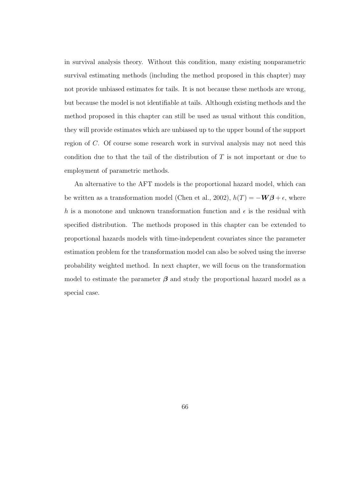in survival analysis theory. Without this condition, many existing nonparametric survival estimating methods (including the method proposed in this chapter) may not provide unbiased estimates for tails. It is not because these methods are wrong, but because the model is not identifiable at tails. Although existing methods and the method proposed in this chapter can still be used as usual without this condition, they will provide estimates which are unbiased up to the upper bound of the support region of C. Of course some research work in survival analysis may not need this condition due to that the tail of the distribution of T is not important or due to employment of parametric methods.

An alternative to the AFT models is the proportional hazard model, which can be written as a transformation model (Chen et al., 2002),  $h(T) = -\mathbf{W}\boldsymbol{\beta} + \epsilon$ , where h is a monotone and unknown transformation function and  $\epsilon$  is the residual with specified distribution. The methods proposed in this chapter can be extended to proportional hazards models with time-independent covariates since the parameter estimation problem for the transformation model can also be solved using the inverse probability weighted method. In next chapter, we will focus on the transformation model to estimate the parameter  $\beta$  and study the proportional hazard model as a special case.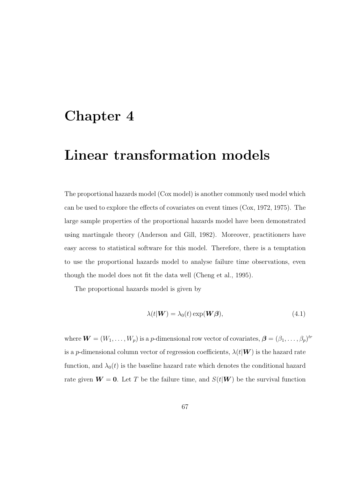## Chapter 4

## Linear transformation models

The proportional hazards model (Cox model) is another commonly used model which can be used to explore the effects of covariates on event times (Cox, 1972, 1975). The large sample properties of the proportional hazards model have been demonstrated using martingale theory (Anderson and Gill, 1982). Moreover, practitioners have easy access to statistical software for this model. Therefore, there is a temptation to use the proportional hazards model to analyse failure time observations, even though the model does not fit the data well (Cheng et al., 1995).

The proportional hazards model is given by

$$
\lambda(t|\mathbf{W}) = \lambda_0(t) \exp(\mathbf{W}\boldsymbol{\beta}), \tag{4.1}
$$

where  $\boldsymbol{W} = (W_1, \ldots, W_p)$  is a p-dimensional row vector of covariates,  $\boldsymbol{\beta} = (\beta_1, \ldots, \beta_p)^{tr}$ is a p-dimensional column vector of regression coefficients,  $\lambda(t|\mathbf{W})$  is the hazard rate function, and  $\lambda_0(t)$  is the baseline hazard rate which denotes the conditional hazard rate given  $W = 0$ . Let T be the failure time, and  $S(t|W)$  be the survival function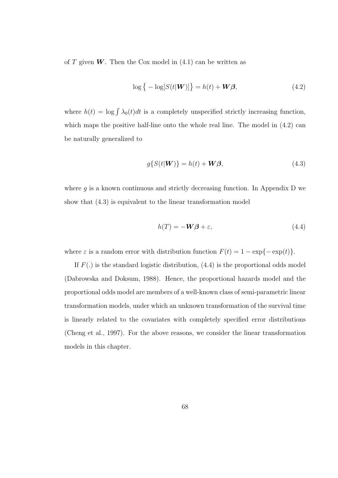of T given  $W$ . Then the Cox model in  $(4.1)$  can be written as

$$
\log\left\{-\log[S(t|\boldsymbol{W})]\right\} = h(t) + \boldsymbol{W}\boldsymbol{\beta},\tag{4.2}
$$

where  $h(t) = \log \int \lambda_0(t)dt$  is a completely unspecified strictly increasing function, which maps the positive half-line onto the whole real line. The model in  $(4.2)$  can be naturally generalized to

$$
g\{S(t|\mathbf{W})\} = h(t) + \mathbf{W}\boldsymbol{\beta},\tag{4.3}
$$

where  $g$  is a known continuous and strictly decreasing function. In Appendix D we show that (4.3) is equivalent to the linear transformation model

$$
h(T) = -\mathbf{W}\boldsymbol{\beta} + \varepsilon,\tag{4.4}
$$

where  $\varepsilon$  is a random error with distribution function  $F(t) = 1 - \exp{-\exp(t)}$ .

If  $F(.)$  is the standard logistic distribution,  $(4.4)$  is the proportional odds model (Dabrowska and Doksum, 1988). Hence, the proportional hazards model and the proportional odds model are members of a well-known class of semi-parametric linear transformation models, under which an unknown transformation of the survival time is linearly related to the covariates with completely specified error distributions (Cheng et al., 1997). For the above reasons, we consider the linear transformation models in this chapter.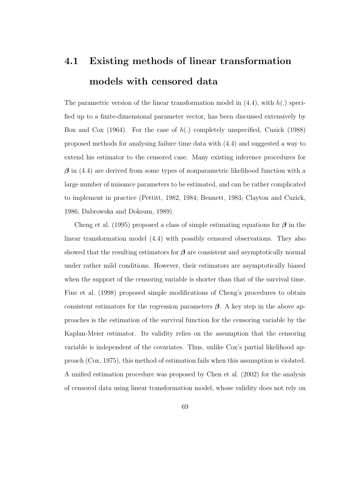# 4.1 Existing methods of linear transformation models with censored data

The parametric version of the linear transformation model in  $(4.4)$ , with  $h(.)$  specified up to a finite-dimensional parameter vector, has been discussed extensively by Box and Cox (1964). For the case of  $h(.)$  completely unspecified, Cuzick (1988) proposed methods for analysing failure time data with (4.4) and suggested a way to extend his estimator to the censored case. Many existing inference procedures for  $\beta$  in (4.4) are derived from some types of nonparametric likelihood function with a large number of nuisance parameters to be estimated, and can be rather complicated to implement in practice (Pettitt, 1982, 1984; Bennett, 1983; Clayton and Cuzick, 1986; Dabrowska and Doksum, 1989).

Cheng et al. (1995) proposed a class of simple estimating equations for  $\beta$  in the linear transformation model (4.4) with possibly censored observations. They also showed that the resulting estimators for  $\beta$  are consistent and asymptotically normal under rather mild conditions. However, their estimators are asymptotically biased when the support of the censoring variable is shorter than that of the survival time. Fine et al. (1998) proposed simple modifications of Cheng's procedures to obtain consistent estimators for the regression parameters  $\beta$ . A key step in the above approaches is the estimation of the survival function for the censoring variable by the Kaplan-Meier estimator. Its validity relies on the assumption that the censoring variable is independent of the covariates. Thus, unlike Cox's partial likelihood approach (Cox, 1975), this method of estimation fails when this assumption is violated. A unified estimation procedure was proposed by Chen et al. (2002) for the analysis of censored data using linear transformation model, whose validity does not rely on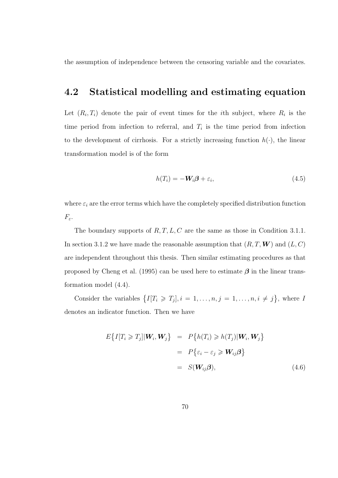the assumption of independence between the censoring variable and the covariates.

### 4.2 Statistical modelling and estimating equation

Let  $(R_i, T_i)$  denote the pair of event times for the *i*th subject, where  $R_i$  is the time period from infection to referral, and  $T_i$  is the time period from infection to the development of cirrhosis. For a strictly increasing function  $h(\cdot)$ , the linear transformation model is of the form

$$
h(T_i) = -W_i \beta + \varepsilon_i, \qquad (4.5)
$$

where  $\varepsilon_i$  are the error terms which have the completely specified distribution function  $F_{\varepsilon}$ .

The boundary supports of  $R, T, L, C$  are the same as those in Condition 3.1.1. In section 3.1.2 we have made the reasonable assumption that  $(R, T, W)$  and  $(L, C)$ are independent throughout this thesis. Then similar estimating procedures as that proposed by Cheng et al. (1995) can be used here to estimate  $\beta$  in the linear transformation model (4.4).

Consider the variables  $\{I[T_i \geq T_j], i = 1, \ldots, n, j = 1, \ldots, n, i \neq j\}$ , where I denotes an indicator function. Then we have

$$
E\{I[T_i \geq T_j] | \mathbf{W}_i, \mathbf{W}_j\} = P\{h(T_i) \geq h(T_j) | \mathbf{W}_i, \mathbf{W}_j\}
$$
  
=  $P\{\varepsilon_i - \varepsilon_j \geq \mathbf{W}_{ij}\boldsymbol{\beta}\}$   
=  $S(\mathbf{W}_{ij}\boldsymbol{\beta}),$  (4.6)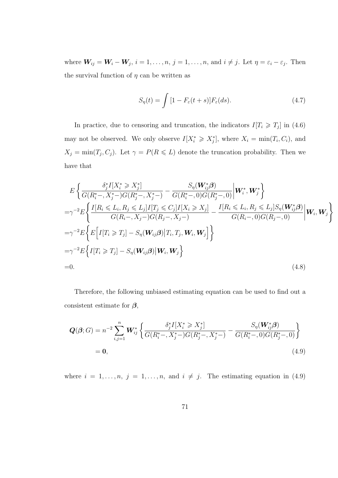where  $W_{ij} = W_i - W_j$ ,  $i = 1, ..., n$ ,  $j = 1, ..., n$ , and  $i \neq j$ . Let  $\eta = \varepsilon_i - \varepsilon_j$ . Then the survival function of  $\eta$  can be written as

$$
S_{\eta}(t) = \int [1 - F_{\varepsilon}(t+s)] F_{\varepsilon}(ds). \tag{4.7}
$$

In practice, due to censoring and truncation, the indicators  $I[T_i \geq T_j]$  in (4.6) may not be observed. We only observe  $I[X_i^* \geq X_j^*]$ , where  $X_i = \min(T_i, C_i)$ , and  $X_j = \min(T_j, C_j)$ . Let  $\gamma = P(R \le L)$  denote the truncation probability. Then we have that

$$
E\left\{\frac{\delta_j^* I[X_i^* \geq X_j^*]}{G(R_i^*-, X_j^*) - G(R_j^*-, X_j^*)} - \frac{S_\eta(\mathbf{W}_{ij}^* \boldsymbol{\beta})}{G(R_i^*-, 0)G(R_j^*-, 0)} \middle| \mathbf{W}_i^*, \mathbf{W}_j^*\right\}=\gamma^{-2} E\left\{\frac{I[R_i \leq L_i, R_j \leq L_j]I[T_j \leq C_j]I[X_i \geq X_j]}{G(R_i-, X_j -)G(R_j-, X_j -)} - \frac{I[R_i \leq L_i, R_j \leq L_j]S_\eta(\mathbf{W}_{ij}^* \boldsymbol{\beta})}{G(R_i-, 0)G(R_j-, 0)} \middle| \mathbf{W}_i, \mathbf{W}_j\right\}=\gamma^{-2} E\left\{E\left[I[T_i \geq T_j] - S_\eta(\mathbf{W}_{ij} \boldsymbol{\beta}) | T_i, T_j, \mathbf{W}_i, \mathbf{W}_j\right]\right\}=\gamma^{-2} E\left\{I[T_i \geq T_j] - S_\eta(\mathbf{W}_{ij} \boldsymbol{\beta}) | \mathbf{W}_i, \mathbf{W}_j\right\}=0.
$$
\n(4.8)

Therefore, the following unbiased estimating equation can be used to find out a consistent estimate for  $\beta$ ,

$$
Q(\beta;G) = n^{-2} \sum_{i,j=1}^{n} W_{ij}^{*} \left\{ \frac{\delta_j^{*} I[X_i^{*} \geq X_j^{*}]}{G(R_i^{*} - , X_j^{*} -)G(R_j^{*} - , X_j^{*} -)} - \frac{S_{\eta}(W_{ij}^{*}\beta)}{G(R_i^{*} - , 0)G(R_j^{*} - , 0)} \right\}
$$
  
= 0, (4.9)

where  $i = 1, \ldots, n, j = 1, \ldots, n$ , and  $i \neq j$ . The estimating equation in (4.9)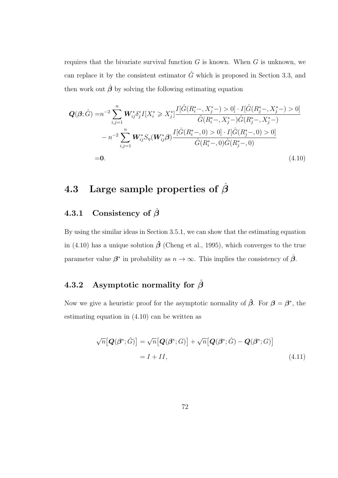requires that the bivariate survival function  $G$  is known. When  $G$  is unknown, we can replace it by the consistent estimator  $\hat{G}$  which is proposed in Section 3.3, and then work out  $\hat{\beta}$  by solving the following estimating equation

$$
Q(\beta; \hat{G}) = n^{-2} \sum_{i,j=1}^{n} W_{ij}^* \delta_j^* I[X_i^* \geq X_j^*] \frac{I[\hat{G}(R_i^*-, X_j^*) > 0] \cdot I[\hat{G}(R_j^*-, X_j^*) > 0]}{\hat{G}(R_i^*-, X_j^*) \hat{G}(R_j^*-, X_j^*)}
$$
  

$$
- n^{-2} \sum_{i,j=1}^{n} W_{ij}^* S_{\eta}(W_{ij}^* \beta) \frac{I[\hat{G}(R_i^*-, 0) > 0] \cdot I[\hat{G}(R_j^*-, 0) > 0]}{\hat{G}(R_i^*-, 0) \hat{G}(R_j^*-, 0)}
$$
  
= 0. (4.10)

### 4.3 Large sample properties of  $\hat{\beta}$

#### 4.3.1 Consistency of  $\hat{\beta}$

By using the similar ideas in Section 3.5.1, we can show that the estimating equation in (4.10) has a unique solution  $\hat{\beta}$  (Cheng et al., 1995), which converges to the true parameter value  $\beta^*$  in probability as  $n \to \infty$ . This implies the consistency of  $\hat{\beta}$ .

### 4.3.2 Asymptotic normality for  $\hat{\beta}$

Now we give a heuristic proof for the asymptotic normality of  $\hat{\beta}$ . For  $\beta = \beta^*$ , the estimating equation in (4.10) can be written as

$$
\sqrt{n}[\mathbf{Q}(\boldsymbol{\beta}^*; \hat{G})] = \sqrt{n}[\mathbf{Q}(\boldsymbol{\beta}^*; G)] + \sqrt{n}[\mathbf{Q}(\boldsymbol{\beta}^*; \hat{G}) - \mathbf{Q}(\boldsymbol{\beta}^*; G)]
$$
  
=  $I + II,$  (4.11)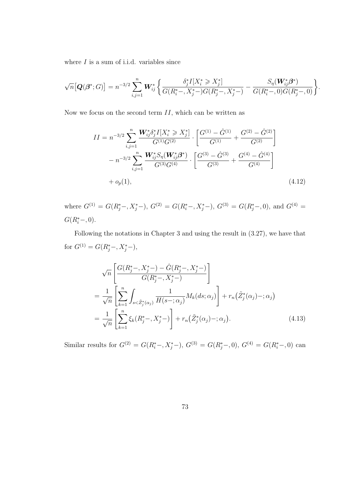where  $I$  is a sum of i.i.d. variables since

$$
\sqrt{n}\big[\mathbf{Q}(\mathbf{\beta}^*;G)\big] = n^{-3/2} \sum_{i,j=1}^n \mathbf{W}_{ij}^* \bigg\{ \frac{\delta_j^* I[X_i^* \geq X_j^*]}{G(R_i^* - , X_j^* - )G(R_j^* - , X_j^* - )} - \frac{S_\eta(\mathbf{W}_{ij}^* \mathbf{\beta}^*)}{G(R_i^* - , 0)G(R_j^* - , 0)} \bigg\}.
$$

Now we focus on the second term  $II$ , which can be written as

$$
II = n^{-3/2} \sum_{i,j=1}^{n} \frac{\mathbf{W}_{ij}^* \delta_j^* I[X_i^* \ge X_j^*]}{G^{(1)} G^{(2)}} \cdot \left[ \frac{G^{(1)} - \hat{G}^{(1)}}{G^{(1)}} + \frac{G^{(2)} - \hat{G}^{(2)}}{G^{(2)}} \right]
$$

$$
- n^{-3/2} \sum_{i,j=1}^{n} \frac{\mathbf{W}_{ij}^* S_{\eta}(\mathbf{W}_{ij}^* \mathcal{B}^*)}{G^{(3)} G^{(4)}} \cdot \left[ \frac{G^{(3)} - \hat{G}^{(3)}}{G^{(3)}} + \frac{G^{(4)} - \hat{G}^{(4)}}{G^{(4)}} \right]
$$

$$
+ o_p(1), \tag{4.12}
$$

where  $G^{(1)} = G(R_j^*-, X_j^*-), G^{(2)} = G(R_i^*-, X_j^*-), G^{(3)} = G(R_j^*-, 0),$  and  $G^{(4)} =$  $G(R_i^*-, 0).$ 

Following the notations in Chapter 3 and using the result in (3.27), we have that for  $G^{(1)} = G(R_j^*-, X_j^*-)$ ,

$$
\sqrt{n} \left[ \frac{G(R_j^* - , X_j^* -) - \hat{G}(R_j^* - , X_j^* -)}{G(R_j^* - , X_j^* -)} \right]
$$
  
= 
$$
\frac{1}{\sqrt{n}} \left[ \sum_{k=1}^n \int_{s < \tilde{Z}_j^*(\alpha_j)} \frac{1}{H(s - ; \alpha_j)} M_k(ds; \alpha_j) \right] + r_n(\tilde{Z}_j^*(\alpha_j) - ; \alpha_j)
$$
  
= 
$$
\frac{1}{\sqrt{n}} \left[ \sum_{k=1}^n \xi_k(R_j^* - , X_j^* -) \right] + r_n(\tilde{Z}_j^*(\alpha_j) - ; \alpha_j).
$$
 (4.13)

Similar results for  $G^{(2)} = G(R_i^*-, X_j^*-), G^{(3)} = G(R_j^*-, 0), G^{(4)} = G(R_i^*-, 0)$  can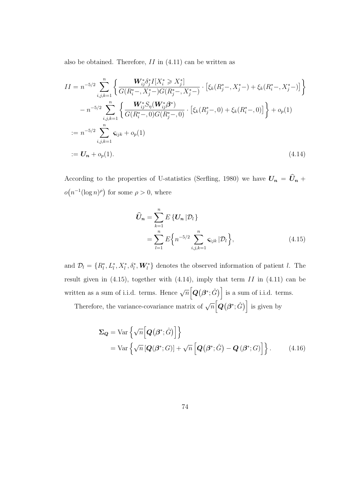also be obtained. Therefore,  $II$  in  $(4.11)$  can be written as

$$
II = n^{-5/2} \sum_{i,j,k=1}^{n} \left\{ \frac{\mathbf{W}_{ij}^* \delta_j^* I[X_i^* \geq X_j^*]}{G(R_i^* - , X_j^* -)G(R_j^* - , X_j^* -)} \cdot \left[ \xi_k(R_j^* - , X_j^* -) + \xi_k(R_i^* - , X_j^* -) \right] \right\}
$$

$$
- n^{-5/2} \sum_{i,j,k=1}^{n} \left\{ \frac{\mathbf{W}_{ij}^* S_n(\mathbf{W}_{ij}^* \mathbf{\beta}^*)}{G(R_i^* - , 0)G(R_j^* - , 0)} \cdot \left[ \xi_k(R_j^* - , 0) + \xi_k(R_i^* - , 0) \right] \right\} + o_p(1)
$$

$$
:= n^{-5/2} \sum_{i,j,k=1}^{n} \varsigma_{ijk} + o_p(1)
$$

$$
:= \mathbf{U}_n + o_p(1).
$$
(4.14)

According to the properties of U-statistics (Serfling, 1980) we have  $U_n = \hat{U}_n +$  $o(n^{-1}(\log n)^{\rho})$  for some  $\rho > 0$ , where

$$
\widehat{U}_n = \sum_{k=1}^n E\{U_n | \mathcal{D}_l\} \n= \sum_{l=1}^n E\{n^{-5/2} \sum_{i,j,k=1}^n \varsigma_{ijk} | \mathcal{D}_l\},
$$
\n(4.15)

and  $\mathcal{D}_l = \{R_l^*, L_l^*, X_l^*, \delta_l^*, \mathbf{W}_l^*\}\$  denotes the observed information of patient l. The result given in  $(4.15)$ , together with  $(4.14)$ , imply that term II in  $(4.11)$  can be written as a sum of i.i.d. terms. Hence  $\sqrt{n} [\mathbf{Q}(\beta^*; \hat{G})]$  is a sum of i.i.d. terms.

Therefore, the variance-covariance matrix of  $\sqrt{n} \left[ \vec{Q}(\beta^*, \hat{G}) \right]$  is given by

$$
\Sigma_{\mathbf{Q}} = \text{Var}\left\{\sqrt{n}\Big[\mathbf{Q}(\boldsymbol{\beta}^*; \hat{G})\Big]\right\}
$$
  
= 
$$
\text{Var}\left\{\sqrt{n}\big[\mathbf{Q}(\boldsymbol{\beta}^*; G)\big] + \sqrt{n}\Big[\mathbf{Q}(\boldsymbol{\beta}^*; \hat{G}) - \mathbf{Q}(\boldsymbol{\beta}^*; G)\Big]\right\}. \tag{4.16}
$$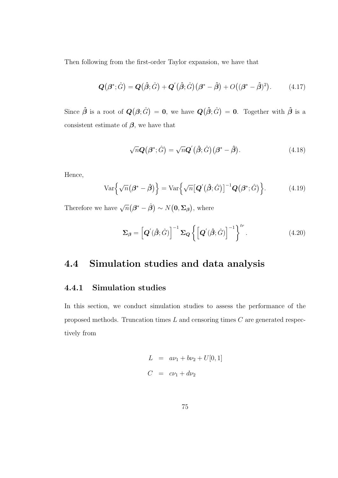Then following from the first-order Taylor expansion, we have that

$$
\mathbf{Q}(\boldsymbol{\beta}^*,\hat{G}) = \mathbf{Q}(\hat{\boldsymbol{\beta}};\hat{G}) + \mathbf{Q}'(\hat{\boldsymbol{\beta}};\hat{G})(\boldsymbol{\beta}^* - \hat{\boldsymbol{\beta}}) + O((\boldsymbol{\beta}^* - \hat{\boldsymbol{\beta}})^2). \tag{4.17}
$$

Since  $\hat{\boldsymbol{\beta}}$  is a root of  $\boldsymbol{Q}(\boldsymbol{\beta};\hat{G}) = \boldsymbol{0}$ , we have  $\boldsymbol{Q}(\hat{\boldsymbol{\beta}};\hat{G}) = \boldsymbol{0}$ . Together with  $\hat{\boldsymbol{\beta}}$  is a consistent estimate of  $\beta$ , we have that

$$
\sqrt{n}\mathbf{Q}\big(\boldsymbol{\beta}^*;\hat{G}\big) = \sqrt{n}\mathbf{Q}'\big(\hat{\boldsymbol{\beta}};\hat{G}\big)\big(\boldsymbol{\beta}^*-\hat{\boldsymbol{\beta}}\big). \tag{4.18}
$$

Hence,

$$
\text{Var}\left\{\sqrt{n}(\boldsymbol{\beta}^* - \hat{\boldsymbol{\beta}})\right\} = \text{Var}\left\{\sqrt{n} \big[\boldsymbol{Q}'\big(\hat{\boldsymbol{\beta}};\hat{G}\big)\big]^{-1}\boldsymbol{Q}\big(\boldsymbol{\beta}^*;\hat{G}\big)\right\}.
$$
 (4.19)

Therefore we have  $\sqrt{n}(\boldsymbol{\beta}^* - \hat{\boldsymbol{\beta}}) \sim N(\mathbf{0}, \boldsymbol{\Sigma}_{\boldsymbol{\beta}})$ , where

$$
\Sigma_{\beta} = \left[ \boldsymbol{Q}'(\hat{\beta}; \hat{G}) \right]^{-1} \Sigma_{\boldsymbol{Q}} \left\{ \left[ \boldsymbol{Q}'(\hat{\beta}; \hat{G}) \right]^{-1} \right\}^{tr} . \tag{4.20}
$$

### 4.4 Simulation studies and data analysis

#### 4.4.1 Simulation studies

In this section, we conduct simulation studies to assess the performance of the proposed methods. Truncation times  $L$  and censoring times  $C$  are generated respectively from

$$
L = a\nu_1 + b\nu_2 + U[0, 1]
$$
  

$$
C = c\nu_1 + d\nu_2
$$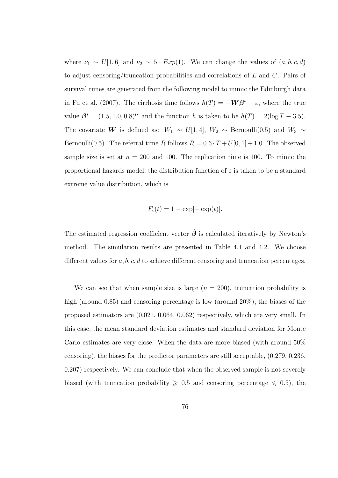where  $\nu_1 \sim U[1,6]$  and  $\nu_2 \sim 5 \cdot Exp(1)$ . We can change the values of  $(a, b, c, d)$ to adjust censoring/truncation probabilities and correlations of  $L$  and  $C$ . Pairs of survival times are generated from the following model to mimic the Edinburgh data in Fu et al. (2007). The cirrhosis time follows  $h(T) = -\mathbf{W}\beta^* + \varepsilon$ , where the true value  $\beta^* = (1.5, 1.0, 0.8)^{tr}$  and the function h is taken to be  $h(T) = 2(\log T - 3.5)$ . The covariate W is defined as:  $W_1 \sim U[1, 4], W_2 \sim \text{Bernoulli}(0.5)$  and  $W_3 \sim$ Bernoulli(0.5). The referral time R follows  $R = 0.6 \cdot T + U[0, 1] + 1.0$ . The observed sample size is set at  $n = 200$  and 100. The replication time is 100. To mimic the proportional hazards model, the distribution function of  $\varepsilon$  is taken to be a standard extreme value distribution, which is

$$
F_{\varepsilon}(t) = 1 - \exp[-\exp(t)].
$$

The estimated regression coefficient vector  $\hat{\boldsymbol{\beta}}$  is calculated iteratively by Newton's method. The simulation results are presented in Table 4.1 and 4.2. We choose different values for  $a, b, c, d$  to achieve different censoring and truncation percentages.

We can see that when sample size is large  $(n = 200)$ , truncation probability is high (around 0.85) and censoring percentage is low (around 20%), the biases of the proposed estimators are (0.021, 0.064, 0.062) respectively, which are very small. In this case, the mean standard deviation estimates and standard deviation for Monte Carlo estimates are very close. When the data are more biased (with around 50% censoring), the biases for the predictor parameters are still acceptable, (0.279, 0.236, 0.207) respectively. We can conclude that when the observed sample is not severely biased (with truncation probability  $\geq 0.5$  and censoring percentage  $\leq 0.5$ ), the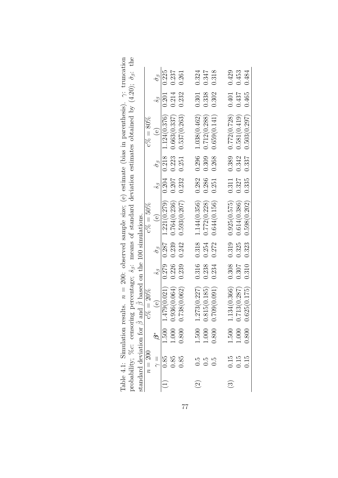|                          |                                                     |                            | и судительного принята с председники и станических и судителях и судителями принятами с принятами с принятами п                                                                                                                                                    |                   |                        |                                                |                 |                        |                                                               |                 |                        |
|--------------------------|-----------------------------------------------------|----------------------------|--------------------------------------------------------------------------------------------------------------------------------------------------------------------------------------------------------------------------------------------------------------------|-------------------|------------------------|------------------------------------------------|-----------------|------------------------|---------------------------------------------------------------|-----------------|------------------------|
|                          |                                                     |                            | standard deviation for $\hat{\beta}$ and $\hat{\beta}$ based on the 100 simulations.                                                                                                                                                                               |                   |                        |                                                |                 |                        |                                                               |                 |                        |
|                          | $n=200\,$                                           |                            | $c\% = 20\%$                                                                                                                                                                                                                                                       |                   |                        | $c\% = 50\%$                                   |                 |                        | $c\% = 80\%$                                                  |                 |                        |
|                          | $\frac{1}{\gamma}$                                  | $\overset{*}{\mathcal{O}}$ | $\Theta$                                                                                                                                                                                                                                                           | $\hat{s}_{\beta}$ | $\hat{\sigma}_{\beta}$ | $\Theta$                                       | $\hat{s}_\beta$ | $\hat{\sigma}_{\beta}$ | $\Theta$                                                      | $\mathcal{C}$   | $\hat{\sigma}_{\beta}$ |
| $\bigoplus$              | 0.85                                                |                            | $1.500$ $1.479(0.021)$ $0.279$ $0.287$ $1.221(0.279)$ $0.204$ $0.218$ $1.124(0.376)$                                                                                                                                                                               |                   |                        |                                                |                 |                        |                                                               | $0.201$ $0.225$ |                        |
|                          | $0.85$<br>0.85                                      | $1.000$<br>$0.800$         |                                                                                                                                                                                                                                                                    |                   |                        | $0.226$ $0.239$ $0.764(0.236)$ $0.207$ $0.223$ |                 |                        | 0.663(0.337)                                                  | 0.214           | 0.237                  |
|                          |                                                     |                            | $0.936(0.064)$ (<br>0.738(0.062) (                                                                                                                                                                                                                                 |                   |                        | $0.239$ $0.242$ $0.593(0.207)$ $0.232$         |                 | 0.251                  | 0.537(0.263)                                                  | $0.232$ $0.261$ |                        |
|                          |                                                     |                            |                                                                                                                                                                                                                                                                    |                   |                        |                                                |                 |                        |                                                               |                 |                        |
| $\widehat{c}$            |                                                     |                            |                                                                                                                                                                                                                                                                    |                   |                        |                                                |                 |                        | $0.316$ $0.318$ $1.144(0.356)$ $0.282$ $0.296$ $1.038(0.462)$ | 0.301           | 0.324                  |
|                          | $\begin{array}{c} 0.5 \\ 0.5 \\ 0.5 \end{array}$    | $\frac{1.500}{1.000}$      |                                                                                                                                                                                                                                                                    | 0.238             | 0.254                  | 0.772(0.228)                                   |                 | 0.286 0.309            | 0.712(0.288)                                                  | 0.338           | 0.347                  |
|                          |                                                     |                            | $\begin{array}{lll} 1.273(0.227) & 0.815(0.185) & 0.709(0.091) & \end{array}$                                                                                                                                                                                      | 0.234             | 0.272                  | 0.644(0.156)                                   | 0.251           | 0.268                  | 0.659(0.141)                                                  | 0.302           | 0.318                  |
|                          |                                                     |                            |                                                                                                                                                                                                                                                                    |                   |                        |                                                |                 |                        |                                                               |                 |                        |
| $\widehat{\mathfrak{B}}$ |                                                     |                            |                                                                                                                                                                                                                                                                    |                   |                        |                                                |                 |                        |                                                               |                 |                        |
|                          | $\begin{array}{c} 0.15 \\ 0.15 \\ 0.15 \end{array}$ | $\frac{1.500}{1.000}$      |                                                                                                                                                                                                                                                                    |                   |                        |                                                |                 |                        |                                                               |                 |                        |
|                          |                                                     |                            | $\begin{array}{cccc} 1.134(0.366) & 0.308 & 0.319 & 0.925(0.575) & 0.311 & 0.389 & 0.772(0.728) & 0.401 & 0.429 \\ 0.713(0.287) & 0.307 & 0.325 & 0.614(0.386) & 0.327 & 0.342 & 0.581(0.419) & 0.437 & 0.453 \\ 0.625(0.175) & 0.310 & 0.323 & 0.598(0.202) & 0.$ |                   |                        |                                                |                 |                        |                                                               |                 |                        |

Table 4.1: Simulation results.  $n = 200$ : observed sample size; (e) estimate (bias in parenthesis).  $\gamma$ : truncation probability;  $\%$ c: censoring percentage;  $\hat{s}_{\beta}$ : means of standard deviation estimates obtained by (4 Table 4.1: Simulation results.  $n = 200$ : observed sample size; (e) estimate (bias in parenthesis).  $\gamma$ : truncation probability; %c: censoring percentage;  $\hat{s}_{\beta}$ : means of standard deviation estimates obtained by (4.20);  $\hat{\sigma}_{\beta}$ : the standard deviation for  $\frac{1}{2}$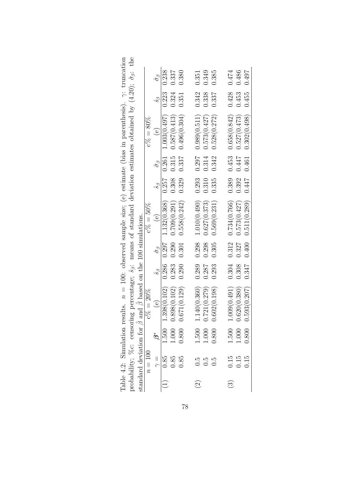|               |                                             |                       | standard deviation for $\hat{\beta}$ and $\hat{\beta}$ based on the 100 simulations.         |                   |                        |                                                                                                                                              |                 |                        |                           |           |                        |
|---------------|---------------------------------------------|-----------------------|----------------------------------------------------------------------------------------------|-------------------|------------------------|----------------------------------------------------------------------------------------------------------------------------------------------|-----------------|------------------------|---------------------------|-----------|------------------------|
|               | $n=100$                                     |                       | $c\% = 20\%$                                                                                 |                   |                        | $c\% = 50\%$                                                                                                                                 |                 |                        | $c\% = 80\%$              |           |                        |
|               | $\frac{1}{\gamma}$                          | $\mathcal{B}^*$       | $\Theta$                                                                                     | $\hat{s}_{\beta}$ | $\hat{\sigma}_{\beta}$ | (e)                                                                                                                                          | $\hat{s}_\beta$ | $\hat{\sigma}_{\beta}$ | (e)                       | $\hat{s}$ | $\hat{\sigma}_{\beta}$ |
|               | $0.85\,$                                    |                       | $1.500$ $1.398(0.102)$ $0.286$ $0.297$ $1.132(0.368)$                                        |                   |                        |                                                                                                                                              |                 | $0.257$ $0.261$        | $1.003(0.\overline{497})$ | 0.223     | 0.238                  |
|               | $0.85\,$                                    |                       |                                                                                              |                   |                        | $0.290$ $0.709(0.291)$ $0.308$                                                                                                               |                 | 0.315                  | 0.587(0.413)              | 0.324     | 0.337                  |
|               | 0.85                                        |                       | $\begin{array}{cc} 1.000 & 0.898(0.102) & 0.283 \\ 0.800 & 0.671(0.129) & 0.290 \end{array}$ |                   | 0.301                  | 0.558(0.242)                                                                                                                                 | 0.329           | 0.337                  | 0.496(0.304)              | 0.351     | 0.380                  |
|               |                                             |                       |                                                                                              |                   |                        |                                                                                                                                              |                 |                        |                           |           |                        |
| $\widehat{c}$ |                                             |                       |                                                                                              | 0.289             |                        | $0.298$ $1.010(0.490)$                                                                                                                       | 0.293           | 0.297                  | 0.989(0.511)              | 0.342     | 0.351                  |
|               | $\begin{array}{c} 0.5 \\ 0.5 \end{array}$   | $\frac{1.500}{1.000}$ |                                                                                              | 0.287             |                        | $0.298$ $0.627(0.373)$                                                                                                                       | 0.310           | 0.314                  | 0.573(0.427)              | 0.338     | 0.349                  |
|               | 0.5                                         |                       | $\begin{array}{c} 1.140(0.360) \\ 0.721(0.279) \\ 0.602(0.198) \end{array}$                  | 0.293             | $0.305\,$              | 0.569(0.231)                                                                                                                                 | 0.335           | 0.342                  | 0.528(0.272)              | 0.337     | 0.385                  |
|               |                                             |                       |                                                                                              |                   |                        |                                                                                                                                              |                 |                        |                           |           |                        |
| $\widehat{c}$ |                                             |                       | 1.009(0.491)                                                                                 | 0.304             |                        | $0.312$ $0.734(0.766)$                                                                                                                       | 0.389           | 0.453                  | 0.658(0.842)              | 0.428     | 0.474                  |
|               | $\begin{array}{c} 0.15 \\ 0.15 \end{array}$ | $\frac{1.500}{1.000}$ |                                                                                              |                   |                        | $\begin{array}{cccc} 0.620(0.380) & 0.308 & 0.327 & 0.573(0.427) & 0.392 \\ 0.593(0.207) & 0.347 & 0.400 & 0.511(0.289) & 0.447 \end{array}$ |                 | 0.447                  | 0.527(0.473)              | 0.453     | 0.486                  |
|               | 0.15                                        |                       |                                                                                              |                   |                        |                                                                                                                                              |                 | 0.461                  | 0.302(0.498)              | 0.455     | 0.497                  |

|                                                                                                                            | percentage; $\hat{s}_{\beta}$ : means of standard deviation estimates obtained by (4.20); $\hat{\sigma}_{\beta}$ : the |                                                                     |
|----------------------------------------------------------------------------------------------------------------------------|------------------------------------------------------------------------------------------------------------------------|---------------------------------------------------------------------|
| lable 4.2: Simulation results. $n = 100$ : observed sample size; (e) estimate (bias in parenthesis). $\gamma$ : truncation | probability; %c: censoring                                                                                             | $\beta$ based on the 100 simulations.<br>nodard deviation for g ar- |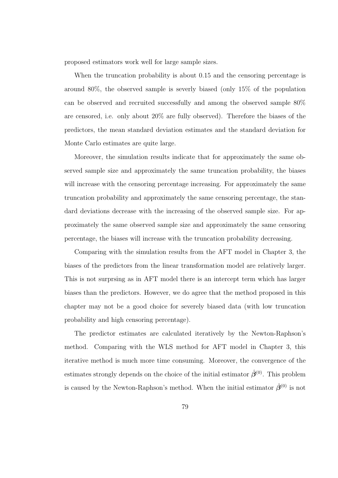proposed estimators work well for large sample sizes.

When the truncation probability is about 0.15 and the censoring percentage is around 80%, the observed sample is severly biased (only 15% of the population can be observed and recruited successfully and among the observed sample 80% are censored, i.e. only about 20% are fully observed). Therefore the biases of the predictors, the mean standard deviation estimates and the standard deviation for Monte Carlo estimates are quite large.

Moreover, the simulation results indicate that for approximately the same observed sample size and approximately the same truncation probability, the biases will increase with the censoring percentage increasing. For approximately the same truncation probability and approximately the same censoring percentage, the standard deviations decrease with the increasing of the observed sample size. For approximately the same observed sample size and approximately the same censoring percentage, the biases will increase with the truncation probability decreasing.

Comparing with the simulation results from the AFT model in Chapter 3, the biases of the predictors from the linear transformation model are relatively larger. This is not surprsing as in AFT model there is an intercept term which has larger biases than the predictors. However, we do agree that the method proposed in this chapter may not be a good choice for severely biased data (with low truncation probability and high censoring percentage).

The predictor estimates are calculated iteratively by the Newton-Raphson's method. Comparing with the WLS method for AFT model in Chapter 3, this iterative method is much more time consuming. Moreover, the convergence of the estimates strongly depends on the choice of the initial estimator  $\hat{\beta}^{(0)}$ . This problem is caused by the Newton-Raphson's method. When the initial estimator  $\hat{\beta}^{(0)}$  is not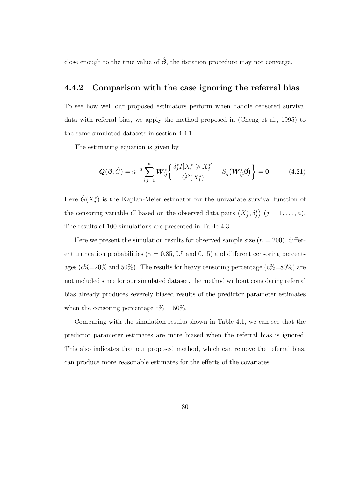close enough to the true value of  $\hat{\beta}$ , the iteration procedure may not converge.

#### 4.4.2 Comparison with the case ignoring the referral bias

To see how well our proposed estimators perform when handle censored survival data with referral bias, we apply the method proposed in (Cheng et al., 1995) to the same simulated datasets in section 4.4.1.

The estimating equation is given by

$$
\mathbf{Q}(\boldsymbol{\beta};\hat{G}) = n^{-2} \sum_{i,j=1}^{n} \mathbf{W}_{ij}^* \left\{ \frac{\delta_j^* I[X_i^* \ge X_j^*]}{\hat{G}^2(X_j^*)} - S_{\eta}(\mathbf{W}_{ij}^* \boldsymbol{\beta}) \right\} = \mathbf{0}.
$$
 (4.21)

Here  $\hat{G}(X_j^*)$  is the Kaplan-Meier estimator for the univariate survival function of the censoring variable C based on the observed data pairs  $(X_j^*, \delta_j^*)$   $(j = 1, \ldots, n)$ . The results of 100 simulations are presented in Table 4.3.

Here we present the simulation results for observed sample size  $(n = 200)$ , different truncation probabilities ( $\gamma = 0.85, 0.5$  and  $0.15$ ) and different censoring percentages ( $c\% = 20\%$  and  $50\%$ ). The results for heavy censoring percentage ( $c\% = 80\%$ ) are not included since for our simulated dataset, the method without considering referral bias already produces severely biased results of the predictor parameter estimates when the censoring percentage  $c\% = 50\%$ .

Comparing with the simulation results shown in Table 4.1, we can see that the predictor parameter estimates are more biased when the referral bias is ignored. This also indicates that our proposed method, which can remove the referral bias, can produce more reasonable estimates for the effects of the covariates.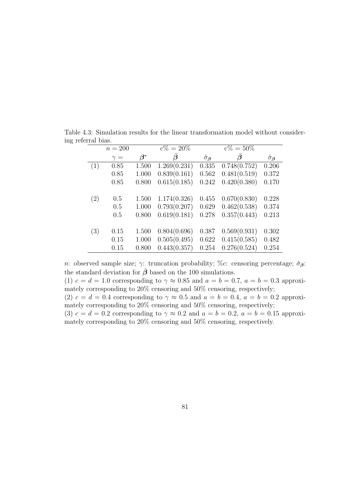|     | $n = 200$  |           | $\overline{c\%} = 20\%$ |                        | $\overline{c\%} = 50\%$ |                        |
|-----|------------|-----------|-------------------------|------------------------|-------------------------|------------------------|
|     | $\gamma =$ | $\beta^*$ | $\vec{\bm{\beta}}$      | $\hat{\sigma}_{\beta}$ | $\beta$                 | $\hat{\sigma}_{\beta}$ |
| (1) | 0.85       | 1.500     | 1.269(0.231)            | 0.335                  | 0.748(0.752)            | 0.206                  |
|     | 0.85       | 1.000     | 0.839(0.161)            | 0.562                  | 0.481(0.519)            | 0.372                  |
|     | 0.85       | 0.800     | 0.615(0.185)            | 0.242                  | 0.420(0.380)            | 0.170                  |
|     |            |           |                         |                        |                         |                        |
| (2) | 0.5        | 1.500     | 1.174(0.326)            | 0.455                  | 0.670(0.830)            | 0.228                  |
|     | 0.5        | 1.000     | 0.793(0.207)            | 0.629                  | 0.462(0.538)            | 0.374                  |
|     | 0.5        | 0.800     | 0.619(0.181)            | 0.278                  | 0.357(0.443)            | 0.213                  |
|     |            |           |                         |                        |                         |                        |
| (3) | 0.15       | 1.500     | 0.804(0.696)            | 0.387                  | 0.569(0.931)            | 0.302                  |
|     | 0.15       | 1.000     | 0.505(0.495)            | 0.622                  | 0.415(0.585)            | 0.482                  |
|     | 0.15       | 0.800     | 0.443(0.357)            | 0.254                  | 0.276(0.524)            | 0.254                  |

Table 4.3: Simulation results for the linear transformation model without considering referral bias.

n: observed sample size;  $\gamma$ : truncation probability; %c: censoring percentage;  $\hat{\sigma}_{\beta}$ : the standard deviation for  $\hat{\beta}$  based on the 100 simulations. (1)  $c = d = 1.0$  corresponding to  $\gamma \approx 0.85$  and  $a = b = 0.7$ ,  $a = b = 0.3$  approxi-

mately corresponding to 20% censoring and 50% censoring, respectively; (2)  $c = d = 0.4$  corresponding to  $\gamma \approx 0.5$  and  $a = b = 0.4$ ,  $a = b = 0.2$  approximately corresponding to 20% censoring and 50% censoring, respectively; (3)  $c = d = 0.2$  corresponding to  $\gamma \approx 0.2$  and  $a = b = 0.2$ ,  $a = b = 0.15$  approximately corresponding to 20% censoring and 50% censoring, respectively.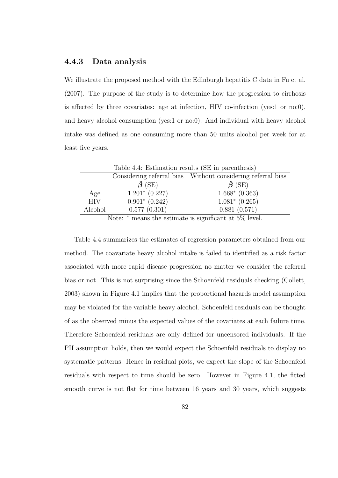#### 4.4.3 Data analysis

We illustrate the proposed method with the Edinburgh hepatitis C data in Fu et al. (2007). The purpose of the study is to determine how the progression to cirrhosis is affected by three covariates: age at infection, HIV co-infection (yes:1 or no:0), and heavy alcohol consumption (yes:1 or no:0). And individual with heavy alcohol intake was defined as one consuming more than 50 units alcohol per week for at least five years.

|            | Table 4.4: Estimation results (SE in parenthesis)          |                                                             |
|------------|------------------------------------------------------------|-------------------------------------------------------------|
|            |                                                            | Considering referral bias Without considering referral bias |
|            | $\beta$ (SE)                                               | $\ddot{\boldsymbol{\beta}}$ (SE)                            |
| Age        | $1.201^* (0.227)$                                          | $1.668*$ $(0.363)$                                          |
| <b>HIV</b> | $0.901*$ $(0.242)$                                         | $1.081*$ $(0.265)$                                          |
| Alcohol    | 0.577(0.301)                                               | 0.881(0.571)                                                |
|            | Note: $*$ means the estimate is significant at $5\%$ level |                                                             |

Note:  $*$  means the estimate is significant at 5% level.

Table 4.4 summarizes the estimates of regression parameters obtained from our method. The coavariate heavy alcohol intake is failed to identified as a risk factor associated with more rapid disease progression no matter we consider the referral bias or not. This is not surprising since the Schoenfeld residuals checking (Collett, 2003) shown in Figure 4.1 implies that the proportional hazards model assumption may be violated for the variable heavy alcohol. Schoenfeld residuals can be thought of as the observed minus the expected values of the covariates at each failure time. Therefore Schoenfeld residuals are only defined for uncensored individuals. If the PH assumption holds, then we would expect the Schoenfeld residuals to display no systematic patterns. Hence in residual plots, we expect the slope of the Schoenfeld residuals with respect to time should be zero. However in Figure 4.1, the fitted smooth curve is not flat for time between 16 years and 30 years, which suggests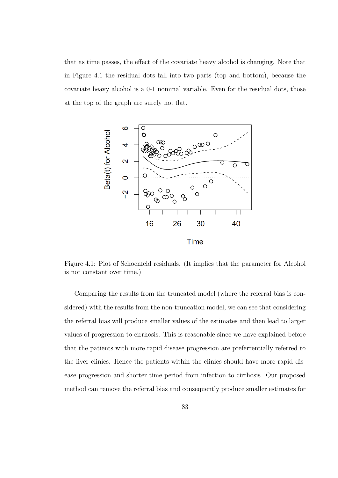that as time passes, the effect of the covariate heavy alcohol is changing. Note that in Figure 4.1 the residual dots fall into two parts (top and bottom), because the covariate heavy alcohol is a 0-1 nominal variable. Even for the residual dots, those at the top of the graph are surely not flat.



Figure 4.1: Plot of Schoenfeld residuals. (It implies that the parameter for Alcohol is not constant over time.)

Comparing the results from the truncated model (where the referral bias is considered) with the results from the non-truncation model, we can see that considering the referral bias will produce smaller values of the estimates and then lead to larger values of progression to cirrhosis. This is reasonable since we have explained before that the patients with more rapid disease progression are preferrentially referred to the liver clinics. Hence the patients within the clinics should have more rapid disease progression and shorter time period from infection to cirrhosis. Our proposed method can remove the referral bias and consequently produce smaller estimates for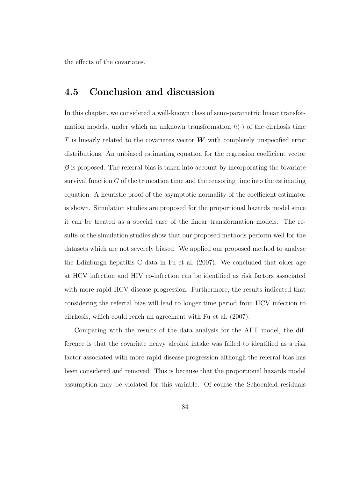the effects of the covariates.

#### 4.5 Conclusion and discussion

In this chapter, we considered a well-known class of semi-parametric linear transformation models, under which an unknown transformation  $h(\cdot)$  of the cirrhosis time T is linearly related to the covariates vector  $W$  with completely unspecified error distributions. An unbiased estimating equation for the regression coefficient vector  $\beta$  is proposed. The referral bias is taken into account by incorporating the bivariate survival function  $G$  of the truncation time and the censoring time into the estimating equation. A heuristic proof of the asymptotic normality of the coefficient estimator is shown. Simulation studies are proposed for the proportional hazards model since it can be treated as a special case of the linear transformation models. The results of the simulation studies show that our proposed methods perform well for the datasets which are not severely biased. We applied our proposed method to analyse the Edinburgh hepatitis C data in Fu et al. (2007). We concluded that older age at HCV infection and HIV co-infection can be identified as risk factors associated with more rapid HCV disease progression. Furthermore, the results indicated that considering the referral bias will lead to longer time period from HCV infection to cirrhosis, which could reach an agreement with Fu et al. (2007).

Comparing with the results of the data analysis for the AFT model, the difference is that the covariate heavy alcohol intake was failed to identified as a risk factor associated with more rapid disease progression although the referral bias has been considered and removed. This is because that the proportional hazards model assumption may be violated for this variable. Of course the Schoenfeld residuals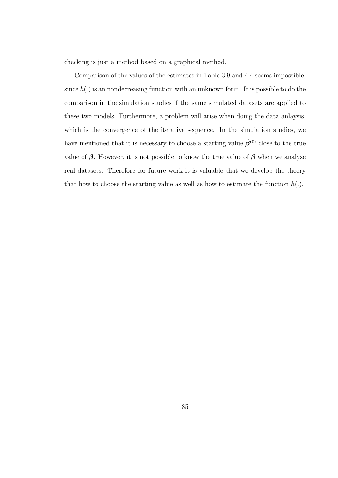checking is just a method based on a graphical method.

Comparison of the values of the estimates in Table 3.9 and 4.4 seems impossible, since  $h(.)$  is an nondecreasing function with an unknown form. It is possible to do the comparison in the simulation studies if the same simulated datasets are applied to these two models. Furthermore, a problem will arise when doing the data anlaysis, which is the convergence of the iterative sequence. In the simulation studies, we have mentioned that it is necessary to choose a starting value  $\hat{\beta}^{(0)}$  close to the true value of  $\beta$ . However, it is not possible to know the true value of  $\beta$  when we analyse real datasets. Therefore for future work it is valuable that we develop the theory that how to choose the starting value as well as how to estimate the function  $h(.)$ .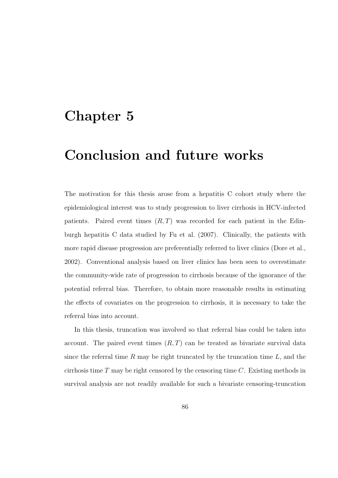## Chapter 5

### Conclusion and future works

The motivation for this thesis arose from a hepatitis C cohort study where the epidemiological interest was to study progression to liver cirrhosis in HCV-infected patients. Paired event times  $(R, T)$  was recorded for each patient in the Edinburgh hepatitis C data studied by Fu et al. (2007). Clinically, the patients with more rapid disease progression are preferentially referred to liver clinics (Dore et al., 2002). Conventional analysis based on liver clinics has been seen to overestimate the community-wide rate of progression to cirrhosis because of the ignorance of the potential referral bias. Therefore, to obtain more reasonable results in estimating the effects of covariates on the progression to cirrhosis, it is necessary to take the referral bias into account.

In this thesis, truncation was involved so that referral bias could be taken into account. The paired event times  $(R, T)$  can be treated as bivariate survival data since the referral time R may be right truncated by the truncation time  $L$ , and the cirrhosis time  $T$  may be right censored by the censoring time  $C$ . Existing methods in survival analysis are not readily available for such a bivariate censoring-truncation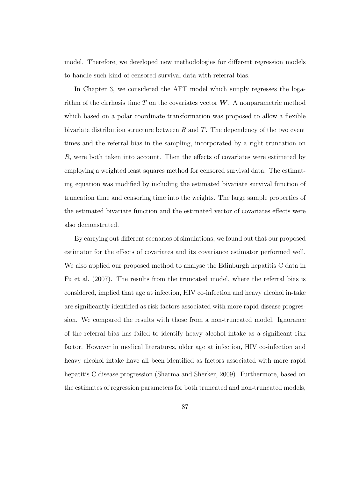model. Therefore, we developed new methodologies for different regression models to handle such kind of censored survival data with referral bias.

In Chapter 3, we considered the AFT model which simply regresses the logarithm of the cirrhosis time  $T$  on the covariates vector  $W$ . A nonparametric method which based on a polar coordinate transformation was proposed to allow a flexible bivariate distribution structure between  $R$  and  $T$ . The dependency of the two event times and the referral bias in the sampling, incorporated by a right truncation on R, were both taken into account. Then the effects of covariates were estimated by employing a weighted least squares method for censored survival data. The estimating equation was modified by including the estimated bivariate survival function of truncation time and censoring time into the weights. The large sample properties of the estimated bivariate function and the estimated vector of covariates effects were also demonstrated.

By carrying out different scenarios of simulations, we found out that our proposed estimator for the effects of covariates and its covariance estimator performed well. We also applied our proposed method to analyse the Edinburgh hepatitis C data in Fu et al. (2007). The results from the truncated model, where the referral bias is considered, implied that age at infection, HIV co-infection and heavy alcohol in-take are significantly identified as risk factors associated with more rapid disease progression. We compared the results with those from a non-truncated model. Ignorance of the referral bias has failed to identify heavy alcohol intake as a significant risk factor. However in medical literatures, older age at infection, HIV co-infection and heavy alcohol intake have all been identified as factors associated with more rapid hepatitis C disease progression (Sharma and Sherker, 2009). Furthermore, based on the estimates of regression parameters for both truncated and non-truncated models,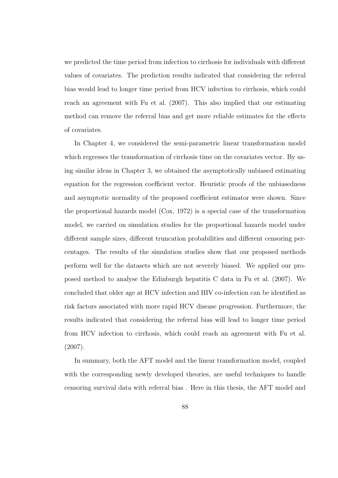we predicted the time period from infection to cirrhosis for individuals with different values of covariates. The prediction results indicated that considering the referral bias would lead to longer time period from HCV infection to cirrhosis, which could reach an agreement with Fu et al. (2007). This also implied that our estimating method can remove the referral bias and get more reliable estimates for the effects of covariates.

In Chapter 4, we considered the semi-parametric linear transformation model which regresses the transformation of cirrhosis time on the covariates vector. By using similar ideas in Chapter 3, we obtained the asymptotically unbiased estimating equation for the regression coefficient vector. Heuristic proofs of the unbiasedness and asymptotic normality of the proposed coefficient estimator were shown. Since the proportional hazards model (Cox, 1972) is a special case of the transformation model, we carried on simulation studies for the proportional hazards model under different sample sizes, different truncation probabilities and different censoring percentages. The results of the simulation studies show that our proposed methods perform well for the datasets which are not severely biased. We applied our proposed method to analyse the Edinburgh hepatitis C data in Fu et al. (2007). We concluded that older age at HCV infection and HIV co-infection can be identified as risk factors associated with more rapid HCV disease progression. Furthermore, the results indicated that considering the referral bias will lead to longer time period from HCV infection to cirrhosis, which could reach an agreement with Fu et al. (2007).

In summary, both the AFT model and the linear transformation model, coupled with the corresponding newly developed theories, are useful techniques to handle censoring survival data with referral bias . Here in this thesis, the AFT model and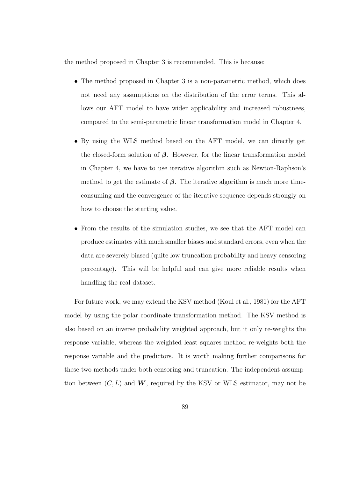the method proposed in Chapter 3 is recommended. This is because:

- The method proposed in Chapter 3 is a non-parametric method, which does not need any assumptions on the distribution of the error terms. This allows our AFT model to have wider applicability and increased robustnees, compared to the semi-parametric linear transformation model in Chapter 4.
- By using the WLS method based on the AFT model, we can directly get the closed-form solution of  $\beta$ . However, for the linear transformation model in Chapter 4, we have to use iterative algorithm such as Newton-Raphson's method to get the estimate of  $\beta$ . The iterative algorithm is much more timeconsuming and the convergence of the iterative sequence depends strongly on how to choose the starting value.
- From the results of the simulation studies, we see that the AFT model can produce estimates with much smaller biases and standard errors, even when the data are severely biased (quite low truncation probability and heavy censoring percentage). This will be helpful and can give more reliable results when handling the real dataset.

For future work, we may extend the KSV method (Koul et al., 1981) for the AFT model by using the polar coordinate transformation method. The KSV method is also based on an inverse probability weighted approach, but it only re-weights the response variable, whereas the weighted least squares method re-weights both the response variable and the predictors. It is worth making further comparisons for these two methods under both censoring and truncation. The independent assumption between  $(C, L)$  and W, required by the KSV or WLS estimator, may not be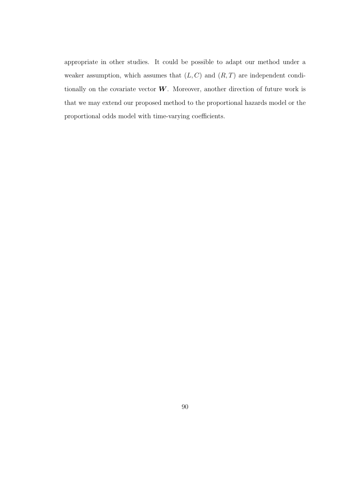appropriate in other studies. It could be possible to adapt our method under a weaker assumption, which assumes that  $(L, C)$  and  $(R, T)$  are independent conditionally on the covariate vector  $W$ . Moreover, another direction of future work is that we may extend our proposed method to the proportional hazards model or the proportional odds model with time-varying coefficients.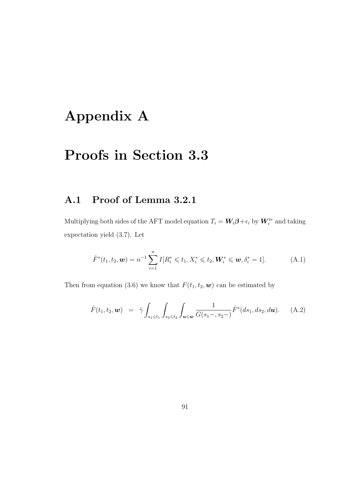# Appendix A

# Proofs in Section 3.3

### A.1 Proof of Lemma 3.2.1

Multiplying both sides of the AFT model equation  $T_i = W_i \beta + \epsilon_i$  by  $W_i^{tr}$  and taking expectation yield (3.7). Let

$$
\hat{F}^*(t_1, t_2, \mathbf{w}) = n^{-1} \sum_{i=1}^n I[R_i^* \leq t_1, X_i^* \leq t_2, \mathbf{W}_i^* \leq \mathbf{w}, \delta_i^* = 1].
$$
 (A.1)

Then from equation (3.6) we know that  $F(t_1, t_2, \mathbf{w})$  can be estimated by

$$
\hat{F}(t_1, t_2, \mathbf{w}) = \hat{\gamma} \int_{s_1 \leq t_1} \int_{s_2 \leq t_2} \int_{\mathbf{u} \leq \mathbf{w}} \frac{1}{G(s_1 - , s_2 -)} \hat{F}^*(ds_1, ds_2, d\mathbf{u}). \quad (A.2)
$$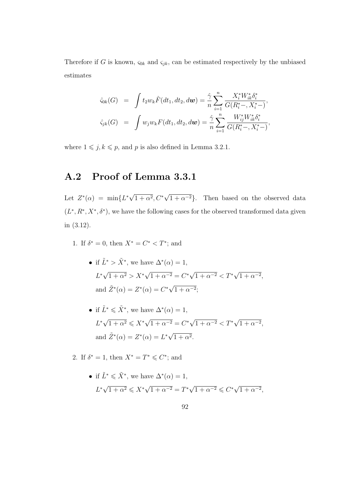Therefore if G is known,  $\varsigma_{0k}$  and  $\varsigma_{jk}$ , can be estimated respectively by the unbiased estimates

$$
\hat{\varsigma}_{0k}(G) = \int t_2 w_k \hat{F}(dt_1, dt_2, d\boldsymbol{w}) = \frac{\hat{\gamma}}{n} \sum_{i=1}^n \frac{X_i^* W_{ik}^* \delta_i^*}{G(R_i^* -, X_i^* -)},
$$
  

$$
\hat{\varsigma}_{jk}(G) = \int w_j w_k F(dt_1, dt_2, d\boldsymbol{w}) = \frac{\hat{\gamma}}{n} \sum_{i=1}^n \frac{W_{ij}^* W_{ik}^* \delta_i^*}{G(R_i^* -, X_i^* -)},
$$

where  $1 \leq j, k \leq p$ , and p is also defined in Lemma 3.2.1.

#### A.2 Proof of Lemma 3.3.1

Let  $Z^*(\alpha) = \min\{L^*\sqrt{\}$  $\overline{1+\alpha^2}, C^*$ √  $(1+\alpha^{-2})$ . Then based on the observed data  $(L^*, R^*, X^*, \delta^*)$ , we have the following cases for the observed transformed data given in (3.12).

- 1. If  $\delta^* = 0$ , then  $X^* = C^* < T^*$ ; and
	- if  $\tilde{L}^* > \tilde{X}^*$ , we have  $\Delta^*(\alpha) = 1$ , L ∗ √  $\sqrt{1 + \alpha^2} > X^*$ √  $\sqrt{1 + \alpha^{-2}} = C^* \sqrt{}$  $\sqrt{1 + \alpha^{-2}} < T^*$ √  $\sqrt{1 + \alpha^{-2}},$ and  $\tilde{Z}^*(\alpha) = Z^*(\alpha) = C^*\sqrt{\alpha}$  $1 + \alpha^{-2};$
	- if  $\tilde{L}^* \leq \tilde{X}^*$ , we have  $\Delta^*(\alpha) = 1$ ,  $L^*\sqrt{1+\alpha^2} \leqslant X^*\sqrt{}$  $\sqrt{1 + \alpha^{-2}} = C^* \sqrt{}$  $\sqrt{1 + \alpha^{-2}} < T^*$ √  $\sqrt{1 + \alpha^{-2}},$ and  $\tilde{Z}^*(\alpha) = Z^*(\alpha) = L^*\sqrt{\alpha}$  $1 + \alpha^2$ .

2. If  $\delta^* = 1$ , then  $X^* = T^* \leqslant C^*$ ; and

• if  $\tilde{L}^* \leq \tilde{X}^*$ , we have  $\Delta^*(\alpha) = 1$ ,  $L^*\sqrt{1+\alpha^2} \leqslant X^*\sqrt{}$  $\overline{1+\alpha^{-2}} = T^* \sqrt{1+\alpha^{-2}} \leq C^* \sqrt{1+\alpha^{-2}}$  $1 + \alpha^{-2},$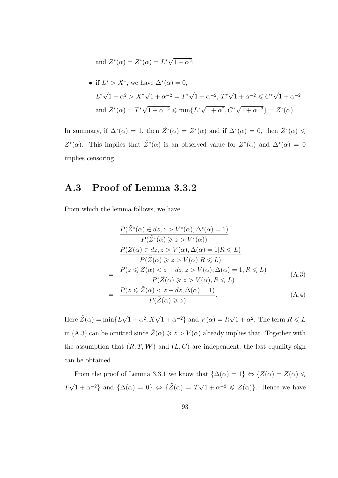and 
$$
\tilde{Z}^*(\alpha) = Z^*(\alpha) = L^*\sqrt{1+\alpha^2};
$$

• if 
$$
\tilde{L}^* > \tilde{X}^*
$$
, we have  $\Delta^*(\alpha) = 0$ ,  
\n $L^* \sqrt{1 + \alpha^2} > X^* \sqrt{1 + \alpha^{-2}} = T^* \sqrt{1 + \alpha^{-2}}, T^* \sqrt{1 + \alpha^{-2}} \le C^* \sqrt{1 + \alpha^{-2}},$   
\nand  $\tilde{Z}^*(\alpha) = T^* \sqrt{1 + \alpha^{-2}} \le \min\{L^* \sqrt{1 + \alpha^2}, C^* \sqrt{1 + \alpha^{-2}}\} = Z^*(\alpha).$ 

In summary, if  $\Delta^*(\alpha) = 1$ , then  $\tilde{Z}^*(\alpha) = Z^*(\alpha)$  and if  $\Delta^*(\alpha) = 0$ , then  $\tilde{Z}^*(\alpha) \leq$ Z<sup>\*</sup>( $\alpha$ ). This implies that  $\tilde{Z}^*(\alpha)$  is an observed value for  $Z^*(\alpha)$  and  $\Delta^*(\alpha) = 0$ implies censoring.

### A.3 Proof of Lemma 3.3.2

From which the lemma follows, we have

$$
\frac{P(\tilde{Z}^*(\alpha) \in dz, z > V^*(\alpha), \Delta^*(\alpha) = 1)}{P(\tilde{Z}^*(\alpha) \geq z > V^*(\alpha))}
$$
\n
$$
= \frac{P(\tilde{Z}(\alpha) \in dz, z > V(\alpha), \Delta(\alpha) = 1 | R \leq L)}{P(\tilde{Z}(\alpha) \geq z > V(\alpha) | R \leq L)}
$$
\n
$$
= \frac{P(z \leq \tilde{Z}(\alpha) < z + dz, z > V(\alpha), \Delta(\alpha) = 1, R \leq L)}{P(\tilde{Z}(\alpha) \geq z > V(\alpha), R \leq L)} \tag{A.3}
$$
\n
$$
= \frac{P(z \leq \tilde{Z}(\alpha) < z + dz, \Delta(\alpha) = 1)}{P(\tilde{Z}(\alpha) \geq z)} \tag{A.4}
$$

Here  $\tilde{Z}(\alpha) = \min\{L\sqrt{\alpha}\}$  $\overline{1+\alpha^2}$ ,  $X\sqrt{1+\alpha^{-2}}\}$  and  $V(\alpha) = R$ √  $\overline{1+\alpha^2}$ . The term  $R \leqslant L$ in (A.3) can be omitted since  $\tilde{Z}(\alpha) \geq z > V(\alpha)$  already implies that. Together with the assumption that  $(R, T, W)$  and  $(L, C)$  are independent, the last equality sign can be obtained.

From the proof of Lemma 3.3.1 we know that  $\{\Delta(\alpha) = 1\} \Leftrightarrow \{\tilde{Z}(\alpha) = Z(\alpha) \leq \alpha\}$ T  $\{\sqrt{1+\alpha^{-2}}\}$  and  $\{\Delta(\alpha) = 0\} \Leftrightarrow \{\tilde{Z}(\alpha) = T\sqrt{1+\alpha^{-2}} \leq Z(\alpha)\}\.$  Hence we have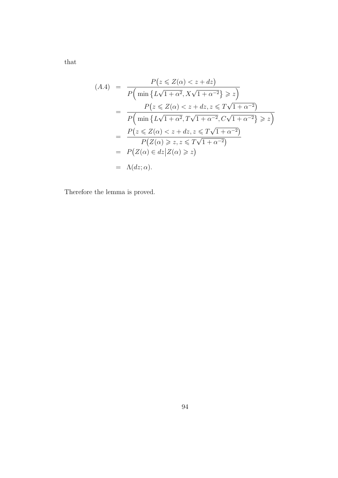that

$$
(A.4) = \frac{P(z \le Z(\alpha) < z + dz)}{P\left(\min\left\{L\sqrt{1 + \alpha^2}, X\sqrt{1 + \alpha^{-2}}\right\} \ge z\right)}
$$
\n
$$
= \frac{P(z \le Z(\alpha) < z + dz, z \le T\sqrt{1 + \alpha^{-2}})}{P\left(\min\left\{L\sqrt{1 + \alpha^2}, T\sqrt{1 + \alpha^{-2}}, C\sqrt{1 + \alpha^{-2}}\right\} \ge z\right)}
$$
\n
$$
= \frac{P(z \le Z(\alpha) < z + dz, z \le T\sqrt{1 + \alpha^{-2}})}{P(Z(\alpha) \ge z, z \le T\sqrt{1 + \alpha^{-2}})}
$$
\n
$$
= P(Z(\alpha) \in dz | Z(\alpha) \ge z)
$$
\n
$$
= \Lambda(dz; \alpha).
$$

Therefore the lemma is proved.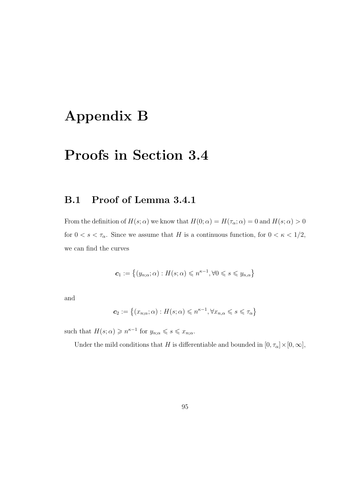# Appendix B

## Proofs in Section 3.4

### B.1 Proof of Lemma 3.4.1

From the definition of  $H(s; \alpha)$  we know that  $H(0; \alpha) = H(\tau_{\alpha}; \alpha) = 0$  and  $H(s; \alpha) > 0$ for  $0 < s < \tau_\alpha$ . Since we assume that H is a continuous function, for  $0 < \kappa < 1/2$ , we can find the curves

$$
\mathbf{c}_1 := \left\{ (y_{n;\alpha}; \alpha) : H(s; \alpha) \leqslant n^{\kappa - 1}, \forall 0 \leqslant s \leqslant y_{n,\alpha} \right\}
$$

and

$$
\mathbf{c}_2:=\left\{(x_{n;\alpha};\alpha):H(s;\alpha)\leqslant n^{\kappa-1},\forall x_{n,\alpha}\leqslant s\leqslant\tau_\alpha\right\}
$$

such that  $H(s; \alpha) \geq n^{\kappa-1}$  for  $y_{n; \alpha} \leq s \leq x_{n; \alpha}$ .

Under the mild conditions that H is differentiable and bounded in  $[0, \tau_{\alpha}] \times [0, \infty]$ ,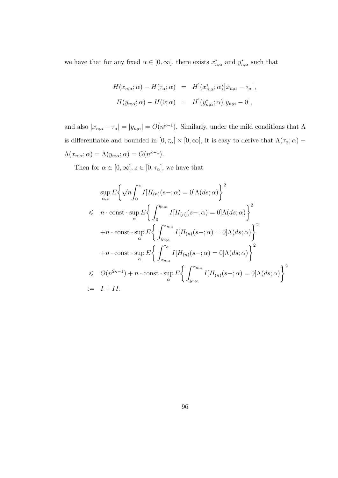we have that for any fixed  $\alpha \in [0, \infty]$ , there exists  $x_{n;\alpha}^*$  and  $y_{n;\alpha}^*$  such that

$$
H(x_{n;\alpha};\alpha) - H(\tau_{\alpha};\alpha) = H'(x_{n;\alpha}^*;\alpha)|x_{n;\alpha} - \tau_{\alpha}|,
$$
  

$$
H(y_{n;\alpha};\alpha) - H(0;\alpha) = H'(y_{n;\alpha}^*;\alpha)|y_{n;\alpha} - 0|,
$$

and also  $|x_{n;\alpha} - \tau_\alpha| = |y_{n;\alpha}| = O(n^{\kappa-1})$ . Similarly, under the mild conditions that  $\Lambda$ is differentiable and bounded in  $[0,\tau_\alpha]\times[0,\infty],$  it is easy to derive that  $\Lambda(\tau_\alpha;\alpha)$  –  $\Lambda(x_{n;\alpha};\alpha) = \Lambda(y_{n;\alpha};\alpha) = O(n^{\kappa-1}).$ 

Then for  $\alpha \in [0,\infty], z \in [0,\tau_\alpha],$  we have that

$$
\sup_{\alpha,z} E\left\{\sqrt{n} \int_0^z I[H_{(n)}(s-;\alpha) = 0] \Lambda(ds;\alpha)\right\}^2
$$
  
\n
$$
\leq n \cdot \text{const} \cdot \sup_{\alpha} E\left\{\int_0^{y_{n;\alpha}} I[H_{(n)}(s-;\alpha) = 0] \Lambda(ds;\alpha)\right\}^2
$$
  
\n
$$
+ n \cdot \text{const} \cdot \sup_{\alpha} E\left\{\int_{y_{n;\alpha}}^{x_{n;\alpha}} I[H_{(n)}(s-;\alpha) = 0] \Lambda(ds;\alpha)\right\}^2
$$
  
\n
$$
+ n \cdot \text{const} \cdot \sup_{\alpha} E\left\{\int_{x_{n;\alpha}}^{x_{\alpha}} I[H_{(n)}(s-;\alpha) = 0] \Lambda(ds;\alpha)\right\}^2
$$
  
\n
$$
\leq O(n^{2\kappa-1}) + n \cdot \text{const} \cdot \sup_{\alpha} E\left\{\int_{y_{n;\alpha}}^{x_{n;\alpha}} I[H_{(n)}(s-;\alpha) = 0] \Lambda(ds;\alpha)\right\}^2
$$
  
\n
$$
:= I + II.
$$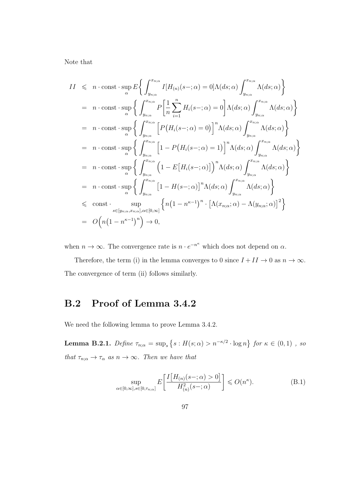Note that

$$
II \leq n \cdot \text{const} \cdot \sup_{\alpha} E \Biggl\{ \int_{y_{n;\alpha}}^{x_{n;\alpha}} I[H_{(n)}(s-;\alpha) = 0] \Lambda(ds; \alpha) \int_{y_{n;\alpha}}^{x_{n;\alpha}} \Lambda(ds; \alpha) \Biggr\}
$$
  
\n
$$
= n \cdot \text{const} \cdot \sup_{\alpha} \Biggl\{ \int_{y_{n;\alpha}}^{x_{n;\alpha}} P\Biggl[\frac{1}{n} \sum_{i=1}^{n} H_i(s-;\alpha) = 0 \Biggr] \Lambda(ds; \alpha) \int_{y_{n;\alpha}}^{x_{n;\alpha}} \Lambda(ds; \alpha) \Biggr\}
$$
  
\n
$$
= n \cdot \text{const} \cdot \sup_{\alpha} \Biggl\{ \int_{y_{n;\alpha}}^{x_{n;\alpha}} \Biggl[P\bigl(H_i(s-;\alpha) = 0\bigr] \Biggr]^n \Lambda(ds; \alpha) \int_{y_{n;\alpha}}^{x_{n;\alpha}} \Lambda(ds; \alpha) \Biggr\}
$$
  
\n
$$
= n \cdot \text{const} \cdot \sup_{\alpha} \Biggl\{ \int_{y_{n;\alpha}}^{x_{n;\alpha}} \Biggl[1 - P\bigl(H_i(s-;\alpha) = 1\bigr] \Biggr]^n \Lambda(ds; \alpha) \int_{y_{n;\alpha}}^{x_{n;\alpha}} \Lambda(ds; \alpha) \Biggr\}
$$
  
\n
$$
= n \cdot \text{const} \cdot \sup_{\alpha} \Biggl\{ \int_{y_{n;\alpha}}^{x_{n;\alpha}} \Biggl[1 - E\bigl[H_i(s-;\alpha)\bigr] \Biggr)^n \Lambda(ds; \alpha) \int_{y_{n;\alpha}}^{x_{n;\alpha}} \Lambda(ds; \alpha) \Biggr\}
$$
  
\n
$$
= n \cdot \text{const} \cdot \sup_{\alpha} \Biggl\{ \int_{y_{n;\alpha}}^{x_{n;\alpha}} \Biggl[1 - H(s-;\alpha) \Biggr]^n \Lambda(ds; \alpha) \int_{y_{n;\alpha}}^{x_{n;\alpha}} \Lambda(ds; \alpha) \Biggr\}
$$
  
\n
$$
\leq \text{const} \cdot \sup_{s \in [y_{n;\alpha}, x_{n;\alpha}], \alpha \in [0, \infty]} \Biggl\{ n \Biggl\{ n \Biggl(1 - n^{\kappa - 1} \Biggr)^n \cdot \Biggl[ \Lambda(x_{n;\alpha}; \alpha) - \Lambda(y_{n;\alpha}; \alpha) \Biggr]^2
$$

when  $n \to \infty$ . The convergence rate is  $n \cdot e^{-n^{\kappa}}$  which does not depend on  $\alpha$ .

Therefore, the term (i) in the lemma converges to 0 since  $I + II \rightarrow 0$  as  $n \rightarrow \infty$ . The convergence of term (ii) follows similarly.

### B.2 Proof of Lemma 3.4.2

We need the following lemma to prove Lemma 3.4.2.

**Lemma B.2.1.** Define  $\tau_{n;\alpha} = \sup_s \{ s : H(s; \alpha) > n^{-\kappa/2} \cdot \log n \}$  for  $\kappa \in (0,1)$ , so that  $\tau_{n;\alpha} \to \tau_\alpha$  as  $n \to \infty$ . Then we have that

$$
\sup_{\alpha \in [0,\infty], s \in [0,\tau_{n;\alpha}]} E\left[\frac{I\left[H_{(n)}(s-;\alpha) > 0\right]}{H_{(n)}^2(s-;\alpha)}\right] \leqslant O(n^{\kappa}).\tag{B.1}
$$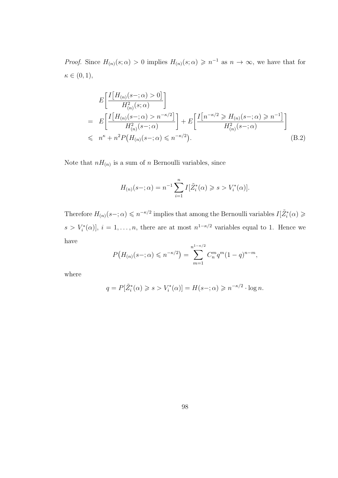*Proof.* Since  $H_{(n)}(s;\alpha) > 0$  implies  $H_{(n)}(s;\alpha) \geq n^{-1}$  as  $n \to \infty$ , we have that for  $\kappa \in (0,1),$ 

$$
E\left[\frac{I\left[H_{(n)}(s-;\alpha)>0\right]}{H_{(n)}^2(s;\alpha)}\right]
$$
\n
$$
= E\left[\frac{I\left[H_{(n)}(s-;\alpha)>n^{-\kappa/2}\right]}{H_{(n)}^2(s-;\alpha)}\right] + E\left[\frac{I\left[n^{-\kappa/2} \geq H_{(n)}(s-;\alpha) \geq n^{-1}\right]}{H_{(n)}^2(s-;\alpha)}\right]
$$
\n
$$
\leq n^{\kappa} + n^2 P\left(H_{(n)}(s-;\alpha) \leq n^{-\kappa/2}\right).
$$
\n(B.2)

Note that  $nH_{(n)}$  is a sum of n Bernoulli variables, since

$$
H_{(n)}(s-; \alpha) = n^{-1} \sum_{i=1}^{n} I[\tilde{Z}_{i}^{*}(\alpha) \geq s > V_{i}^{*}(\alpha)].
$$

Therefore  $H_{(n)}(s-;\alpha) \leqslant n^{-\kappa/2}$  implies that among the Bernoulli variables  $I[\tilde{Z}_{i}^{*}(\alpha) \geqslant$  $s > V_i^*(\alpha)$ ,  $i = 1, \ldots, n$ , there are at most  $n^{1-\kappa/2}$  variables equal to 1. Hence we have

$$
P\big(H_{(n)}(s-;\alpha)\leqslant n^{-\kappa/2}\big)=\sum_{m=1}^{n^{1-\kappa/2}}C_n^mq^m(1-q)^{n-m},
$$

where

$$
q = P[\tilde{Z}_i^*(\alpha) \ge s > V_i^*(\alpha)] = H(s-;\alpha) \ge n^{-\kappa/2} \cdot \log n.
$$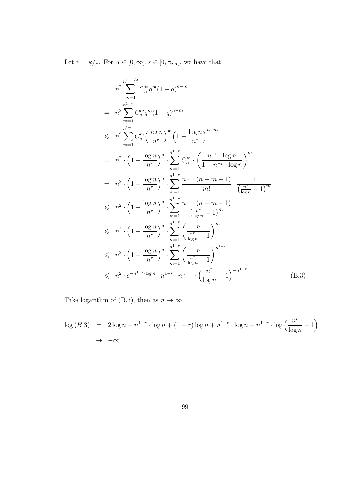Let  $r = \kappa/2$ . For  $\alpha \in [0, \infty], s \in [0, \tau_{n;\alpha}]$ , we have that

$$
n^{2} \sum_{m=1}^{n^{1-\kappa/2}} C_{n}^{m} q^{m} (1-q)^{n-m}
$$
\n
$$
= n^{2} \sum_{m=1}^{n^{1-\kappa}} C_{n}^{m} q^{m} (1-q)^{n-m}
$$
\n
$$
\leq n^{2} \sum_{m=1}^{n^{1-\kappa}} C_{n}^{m} \left(\frac{\log n}{n^{r}}\right)^{m} \left(1 - \frac{\log n}{n^{r}}\right)^{n-m}
$$
\n
$$
= n^{2} \cdot \left(1 - \frac{\log n}{n^{r}}\right)^{n} \cdot \sum_{m=1}^{n^{1-\kappa}} C_{n}^{m} \cdot \left(\frac{n^{-r} \cdot \log n}{1 - n^{-r} \cdot \log n}\right)^{m}
$$
\n
$$
= n^{2} \cdot \left(1 - \frac{\log n}{n^{r}}\right)^{n} \cdot \sum_{m=1}^{n^{1-\kappa}} \frac{n \cdots (n-m+1)}{m!} \cdot \frac{1}{\left(\frac{n^{r}}{\log n} - 1\right)^{m}}
$$
\n
$$
\leq n^{2} \cdot \left(1 - \frac{\log n}{n^{r}}\right)^{n} \cdot \sum_{m=1}^{n^{1-\kappa}} \frac{n \cdots (n-m+1)}{\left(\frac{n^{r}}{\log n} - 1\right)^{m}}
$$
\n
$$
\leq n^{2} \cdot \left(1 - \frac{\log n}{n^{r}}\right)^{n} \cdot \sum_{m=1}^{n^{1-\kappa}} \left(\frac{n}{\frac{n^{r}}{\log n} - 1}\right)^{m}
$$
\n
$$
\leq n^{2} \cdot \left(1 - \frac{\log n}{n^{r}}\right)^{n} \cdot \sum_{m=1}^{n^{1-\kappa}} \left(\frac{n}{\log n} - 1\right)^{n^{1-\kappa}}
$$
\n
$$
\leq n^{2} \cdot e^{-n^{1-r} \cdot \log n} \cdot n^{1-r} \cdot n^{n^{1-r}} \cdot \left(\frac{n^{r}}{\log n} - 1\right)^{-n^{1-r}}.
$$
\n(B.3)

Take logarithm of (B.3), then as  $n\to\infty,$ 

$$
\log(B.3) = 2\log n - n^{1-r} \cdot \log n + (1-r)\log n + n^{1-r} \cdot \log n - n^{1-r} \cdot \log \left(\frac{n^r}{\log n} - 1\right) \to -\infty.
$$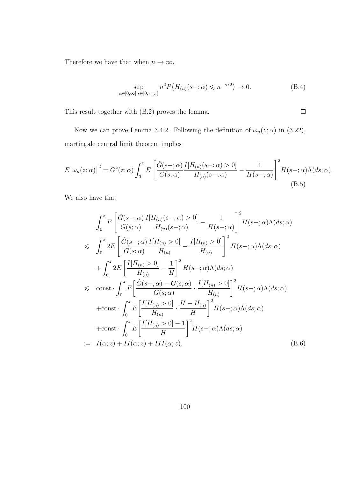Therefore we have that when  $n\to\infty,$ 

$$
\sup_{\alpha \in [0,\infty], s \in [0,\tau_{n;\alpha}]} n^2 P\big(H_{(n)}(s-;\alpha) \leqslant n^{-\kappa/2}\big) \to 0. \tag{B.4}
$$

 $\Box$ 

This result together with (B.2) proves the lemma.

Now we can prove Lemma 3.4.2. Following the definition of  $\omega_n(z;\alpha)$  in (3.22), martingale central limit theorem implies

$$
E\big[\omega_n(z;\alpha)\big]^2 = G^2(z;\alpha) \int_0^z E\left[\frac{\hat{G}(s-\alpha)}{G(s;\alpha)} \frac{I[H_{(n)}(s-\alpha) > 0]}{H_{(n)}(s-\alpha)} - \frac{1}{H(s-\alpha)}\right]^2 H(s-\alpha) \Lambda(ds;\alpha).
$$
\n(B.5)

We also have that

$$
\int_{0}^{z} E\left[\frac{\hat{G}(s-;\alpha)}{G(s;\alpha)} \frac{I[H_{(n)}(s-;\alpha)>0]}{H_{(n)}(s-;\alpha)} - \frac{1}{H(s-;\alpha)}\right]^{2} H(s-;\alpha)\Lambda(ds;\alpha)
$$
  
\n
$$
\leq \int_{0}^{z} 2E\left[\frac{\hat{G}(s-;\alpha)}{G(s;\alpha)} \frac{I[H_{(n)} >0]}{H_{(n)}} - \frac{I[H_{(n)} >0]}{H_{(n)}}\right]^{2} H(s-;\alpha)\Lambda(ds;\alpha)
$$
  
\n
$$
+ \int_{0}^{z} 2E\left[\frac{I[H_{(n)} >0]}{H_{(n)}} - \frac{1}{H}\right]^{2} H(s-;\alpha)\Lambda(ds;\alpha)
$$
  
\n
$$
\leq \text{ const} \cdot \int_{0}^{z} E\left[\frac{\hat{G}(s-;\alpha) - G(s;\alpha)}{G(s;\alpha)} \cdot \frac{I[H_{(n)} >0]}{H_{(n)}}\right]^{2} H(s-;\alpha)\Lambda(ds;\alpha)
$$
  
\n
$$
+ \text{const} \cdot \int_{0}^{z} E\left[\frac{I[H_{(n)} >0]}{H_{(n)}} \cdot \frac{H - H_{(n)}}{H}\right]^{2} H(s-;\alpha)\Lambda(ds;\alpha)
$$
  
\n
$$
+ \text{const} \cdot \int_{0}^{z} E\left[\frac{I[H_{(n)} >0] - 1}{H}\right]^{2} H(s-;\alpha)\Lambda(ds;\alpha)
$$
  
\n
$$
= I(\alpha; z) + II(\alpha; z) + III(\alpha; z). \tag{B.6}
$$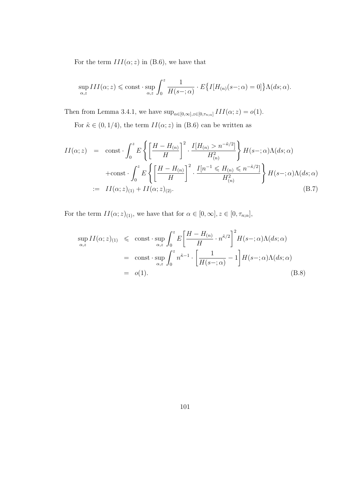For the term  $III(\alpha; z)$  in (B.6), we have that

$$
\sup_{\alpha,z} III(\alpha;z) \leqslant \text{const} \cdot \sup_{\alpha,z} \int_0^z \frac{1}{H(s-;\alpha)} \cdot E\big\{I[H_{(n)}(s-;\alpha) = 0]\big\} \Lambda(ds;\alpha).
$$

Then from Lemma 3.4.1, we have  $\sup_{\alpha \in [0,\infty], z \in [0,\tau_{n;\alpha}]} III(\alpha; z) = o(1)$ .

For  $\tilde{\kappa} \in (0,1/4)$ , the term  $II(\alpha;z)$  in (B.6) can be written as

$$
II(\alpha; z) = \text{const} \cdot \int_0^z E\left\{ \left[ \frac{H - H_{(n)}}{H} \right]^2 \cdot \frac{I[H_{(n)} > n^{-\tilde{\kappa}/2}]}{H_{(n)}^2} \right\} H(s -; \alpha) \Lambda(ds; \alpha)
$$
  
+ const  $\cdot \int_0^z E\left\{ \left[ \frac{H - H_{(n)}}{H} \right]^2 \cdot \frac{I[n^{-1} \le H_{(n)} \le n^{-\tilde{\kappa}/2}]}{H_{(n)}^2} \right\} H(s -; \alpha) \Lambda(ds; \alpha)$   
:= 
$$
II(\alpha; z)_{(1)} + II(\alpha; z)_{(2)}.
$$
 (B.7)

For the term  $II(\alpha; z)_{(1)}$ , we have that for  $\alpha \in [0, \infty]$ ,  $z \in [0, \tau_{n;\alpha}]$ ,

$$
\sup_{\alpha,z} II(\alpha;z)_{(1)} \leq \text{const} \cdot \sup_{\alpha,z} \int_0^z E\left[\frac{H - H_{(n)}}{H} \cdot n^{\tilde{\kappa}/2}\right]^2 H(s - ; \alpha) \Lambda(ds; \alpha)
$$
  
\n
$$
= \text{const} \cdot \sup_{\alpha,z} \int_0^z n^{\tilde{\kappa}-1} \cdot \left[\frac{1}{H(s - ; \alpha)} - 1\right] H(s - ; \alpha) \Lambda(ds; \alpha)
$$
  
\n
$$
= o(1). \tag{B.8}
$$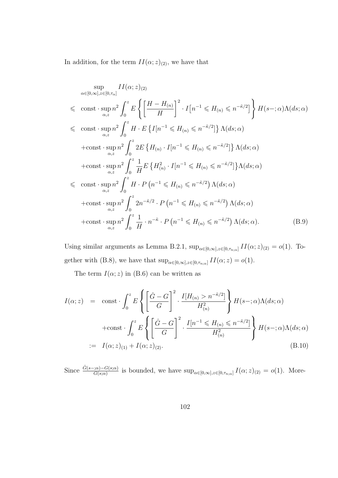In addition, for the term  $II(\alpha; z)_{(2)}$ , we have that

$$
\sup_{\alpha \in [0,\infty], z \in [0,\tau_{\alpha}]} II(\alpha; z)_{(2)}
$$
  
\n
$$
\leq \text{ const} \cdot \sup_{\alpha,z} n^2 \int_0^z E \left\{ \left[ \frac{H - H_{(n)}}{H} \right]^2 \cdot I[n^{-1} \leq H_{(n)} \leq n^{-\tilde{\kappa}/2}] \right\} H(s -; \alpha) \Lambda(ds; \alpha)
$$
  
\n
$$
\leq \text{ const} \cdot \sup_{\alpha,z} n^2 \int_0^z H \cdot E \left\{ I[n^{-1} \leq H_{(n)} \leq n^{-\tilde{\kappa}/2}] \right\} \Lambda(ds; \alpha)
$$
  
\n
$$
+ \text{const} \cdot \sup_{\alpha,z} n^2 \int_0^z 2E \left\{ H_{(n)} \cdot I[n^{-1} \leq H_{(n)} \leq n^{-\tilde{\kappa}/2}] \right\} \Lambda(ds; \alpha)
$$
  
\n
$$
+ \text{const} \cdot \sup_{\alpha,z} n^2 \int_0^z \frac{1}{H} E \left\{ H_{(n)}^2 \cdot I[n^{-1} \leq H_{(n)} \leq n^{-\tilde{\kappa}/2}] \right\} \Lambda(ds; \alpha)
$$
  
\n
$$
\leq \text{ const} \cdot \sup_{\alpha,z} n^2 \int_0^z H \cdot P \left( n^{-1} \leq H_{(n)} \leq n^{-\tilde{\kappa}/2} \right) \Lambda(ds; \alpha)
$$
  
\n
$$
+ \text{const} \cdot \sup_{\alpha,z} n^2 \int_0^z 2n^{-\tilde{\kappa}/2} \cdot P \left( n^{-1} \leq H_{(n)} \leq n^{-\tilde{\kappa}/2} \right) \Lambda(ds; \alpha)
$$
  
\n
$$
+ \text{const} \cdot \sup_{\alpha,z} n^2 \int_0^z \frac{1}{H} \cdot n^{-\tilde{\kappa}} \cdot P \left( n^{-1} \leq H_{(n)} \leq n^{-\tilde{\kappa}/2} \right) \Lambda(ds; \alpha).
$$
 (B.9)

Using similar arguments as Lemma B.2.1,  $\sup_{\alpha \in [0,\infty], z \in [0,\tau_{n,\alpha}]} II(\alpha; z)_{(2)} = o(1)$ . Together with (B.8), we have that  $\sup_{\alpha \in [0,\infty], z \in [0,\tau_{n,\alpha}]} II(\alpha; z) = o(1)$ .

The term  $I(\alpha; z)$  in (B.6) can be written as

$$
I(\alpha; z) = \text{const} \cdot \int_0^z E \left\{ \left[ \frac{\hat{G} - G}{G} \right]^2 \cdot \frac{I[H_{(n)} > n^{-\tilde{\kappa}/2}]}{H_{(n)}^2} \right\} H(s - ; \alpha) \Lambda(ds; \alpha)
$$
  
+ const  $\cdot \int_0^z E \left\{ \left[ \frac{\hat{G} - G}{G} \right]^2 \cdot \frac{I[n^{-1} \leq H_{(n)} \leq n^{-\tilde{\kappa}/2}]}{H_{(n)}^2} \right\} H(s - ; \alpha) \Lambda(ds; \alpha)$   
:=  $I(\alpha; z)_{(1)} + I(\alpha; z)_{(2)}.$  (B.10)

Since  $\frac{\hat{G}(s-1, \alpha)-G(s, \alpha)}{G(s, \alpha)}$  is bounded, we have  $\sup_{\alpha \in [0, \infty], z \in [0, \tau_{n, \alpha}]} I(\alpha; z)_{(2)} = o(1)$ . More-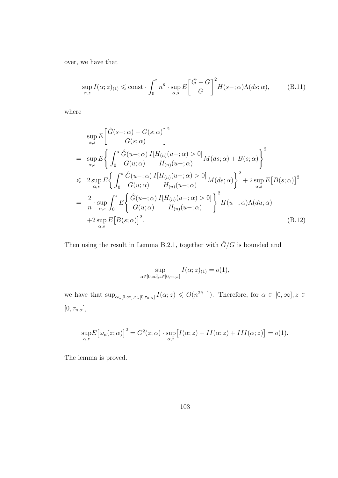over, we have that

$$
\sup_{\alpha,z} I(\alpha;z)_{(1)} \leqslant \text{const} \cdot \int_0^z n^{\tilde{\kappa}} \cdot \sup_{\alpha,s} E\left[\frac{\hat{G} - G}{G}\right]^2 H(s - \tilde{\kappa}) \Lambda(ds;\alpha),\tag{B.11}
$$

where

$$
\sup_{\alpha,s} E\left[\frac{\hat{G}(s-;\alpha)-G(s;\alpha)}{G(s;\alpha)}\right]^2
$$
\n
$$
= \sup_{\alpha,s} E\left\{\int_0^s \frac{\hat{G}(u-;\alpha)}{G(u;\alpha)} \frac{I[H_{(n)}(u-;\alpha)>0]}{H_{(n)}(u-;\alpha)} M(ds;\alpha) + B(s;\alpha)\right\}^2
$$
\n
$$
\leq 2 \sup_{\alpha,s} E\left\{\int_0^s \frac{\hat{G}(u-;\alpha)}{G(u;\alpha)} \frac{I[H_{(n)}(u-;\alpha)>0]}{H_{(n)}(u-;\alpha)} M(ds;\alpha)\right\}^2 + 2 \sup_{\alpha,s} E[B(s;\alpha)]^2
$$
\n
$$
= \frac{2}{n} \cdot \sup_{\alpha,s} \int_0^s E\left\{\frac{\hat{G}(u-;\alpha)}{G(u;\alpha)} \frac{I[H_{(n)}(u-;\alpha)>0]}{H_{(n)}(u-;\alpha)}\right\}^2 H(u-;\alpha) \Lambda(du;\alpha)
$$
\n
$$
+2 \sup_{\alpha,s} E[B(s;\alpha)]^2. \tag{B.12}
$$

Then using the result in Lemma B.2.1, together with  $\hat{G}/G$  is bounded and

$$
\sup_{\alpha \in [0,\infty], z \in [0,\tau_{n;\alpha}]} I(\alpha;z)_{(1)} = o(1),
$$

we have that  $\sup_{\alpha\in[0,\infty],z\in[0,\tau_{n;\alpha}]} I(\alpha;z)\leqslant O(n^{2\tilde{\kappa}-1})$ . Therefore, for  $\alpha\in[0,\infty],z\in\mathbb{C}$  $[0, \tau_{n;\alpha}],$ 

$$
\sup_{\alpha,z} E\big[\omega_n(z;\alpha)\big]^2 = G^2(z;\alpha) \cdot \sup_{\alpha,z} \big[I(\alpha;z) + II(\alpha;z) + III(\alpha;z)\big] = o(1).
$$

The lemma is proved.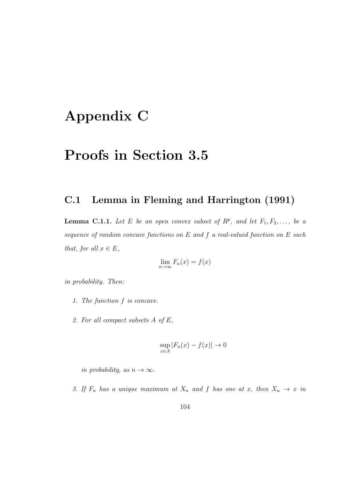## Appendix C

### Proofs in Section 3.5

#### C.1 Lemma in Fleming and Harrington (1991)

**Lemma C.1.1.** Let E be an open convex subset of  $R^p$ , and let  $F_1, F_2, \ldots$ , be a sequence of random concave functions on E and f a real-valued function on E such that, for all  $x \in E$ ,

$$
\lim_{n \to \infty} F_n(x) = f(x)
$$

in probability. Then:

- 1. The function f is concave.
- 2. For all compact subsets A of E,

$$
\sup_{x \in A} |F_n(x) - f(x)| \to 0
$$

in probability, as  $n \to \infty$ .

3. If  $F_n$  has a unique maximum at  $X_n$  and f has one at x, then  $X_n \to x$  in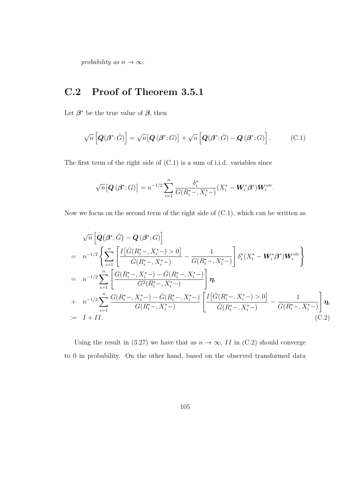probability as  $n \to \infty$ .

### C.2 Proof of Theorem 3.5.1

Let  $\beta^*$  be the true value of  $\beta$ , then

$$
\sqrt{n}\left[\boldsymbol{Q}(\boldsymbol{\beta}^*;\hat{G})\right] = \sqrt{n}\big[\boldsymbol{Q}\left(\boldsymbol{\beta}^*;G\right)\big] + \sqrt{n}\left[\boldsymbol{Q}(\boldsymbol{\beta}^*;\hat{G}) - \boldsymbol{Q}\left(\boldsymbol{\beta}^*;G\right)\right].
$$
 (C.1)

The first term of the right side of (C.1) is a sum of i.i.d. variables since

$$
\sqrt{n} \big[ \mathbf{Q} \left( \mathbf{\beta}^*; G \right) \big] = n^{-1/2} \sum_{i=1}^n \frac{\delta_i^*}{G(R_i^* -, X_i^* -)} (X_i^* - \mathbf{W}_i^* \mathbf{\beta}^*) \mathbf{W}_i^{*tr}.
$$

Now we focus on the second term of the right side of (C.1), which can be written as

$$
\sqrt{n}\left[\mathbf{Q}(\boldsymbol{\beta}^{*};\hat{G})-\mathbf{Q}(\boldsymbol{\beta}^{*};G)\right]
$$
\n
$$
= n^{-1/2}\left\{\sum_{i=1}^{n}\left[\frac{I\left[\hat{G}(R_{i}^{*}-,X_{i}^{*}-)>0\right]}{\hat{G}(R_{i}^{*}-,X_{i}^{*}-)}-\frac{1}{G(R_{i}^{*}-,X_{i}^{*}-)}\right]\delta_{i}^{*}(X_{i}^{*}-\mathbf{W}_{i}^{*}\boldsymbol{\beta}^{*})\mathbf{W}_{i}^{*tr}\right\}
$$
\n
$$
= n^{-1/2}\sum_{i=1}^{n}\left[\frac{G(R_{i}^{*}-,X_{i}^{*}-)-\hat{G}(R_{i}^{*}-,X_{i}^{*}-)}{G^{2}(R_{i}^{*}-,X_{i}^{*}-)}\right]\boldsymbol{\eta}_{i}
$$
\n
$$
+ n^{-1/2}\sum_{i=1}^{n}\frac{G(R_{i}^{*}-,X_{i}^{*}-)-\hat{G}(R_{i}^{*}-,X_{i}^{*}-)}{G(R_{i}^{*}-,X_{i}^{*}-)}\left[\frac{I\left[\hat{G}(R_{i}^{*}-,X_{i}^{*}-)>0\right]}{\hat{G}(R_{i}^{*}-,X_{i}^{*}-)}-\frac{1}{G(R_{i}^{*}-,X_{i}^{*}-)}\right]\boldsymbol{\eta}_{i}
$$
\n
$$
:= I + II.
$$
\n(C.2)

Using the result in (3.27) we have that as  $n \to \infty$ , II in (C.2) should converge to 0 in probability. On the other hand, based on the observed transformed data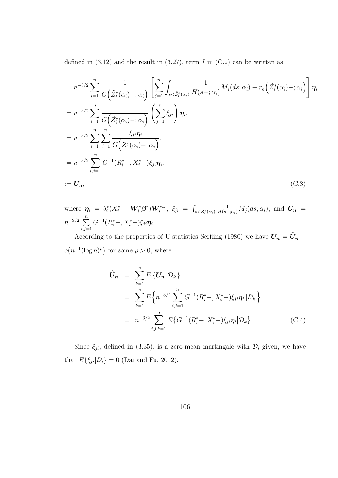defined in  $(3.12)$  and the result in  $(3.27)$ , term I in  $(C.2)$  can be written as

$$
n^{-3/2} \sum_{i=1}^{n} \frac{1}{G(\tilde{Z}_{i}^{*}(\alpha_{i}) -; \alpha_{i})} \left[ \sum_{j=1}^{n} \int_{s < \tilde{Z}_{i}^{*}(\alpha_{i})} \frac{1}{H(s -; \alpha_{i})} M_{j}(ds; \alpha_{i}) + r_{n}(\tilde{Z}_{i}^{*}(\alpha_{i}) -; \alpha_{i}) \right] \eta_{i}
$$
  
\n
$$
= n^{-3/2} \sum_{i=1}^{n} \frac{1}{G(\tilde{Z}_{i}^{*}(\alpha_{i}) -; \alpha_{i})} \left( \sum_{j=1}^{n} \xi_{ji} \right) \eta_{i},
$$
  
\n
$$
= n^{-3/2} \sum_{i=1}^{n} \sum_{j=1}^{n} \frac{\xi_{ji} \eta_{i}}{G(\tilde{Z}_{i}^{*}(\alpha_{i}) -; \alpha_{i})},
$$
  
\n
$$
= n^{-3/2} \sum_{i,j=1}^{n} G^{-1}(R_{i}^{*} -, X_{i}^{*} -) \xi_{ji} \eta_{i},
$$
  
\n
$$
:= U_{n}, \qquad (C.3)
$$

where  $\bm{\eta}_i~=~\delta_i^*(X_i^*-\bm{W}_i^*\bm{\beta}^*)\bm{W}_i^{*tr},~\xi_{ji}~=~\int_{s<\tilde{Z}_i^*(\alpha_i)}$  $\frac{1}{H(s-\alpha_i)}M_j(ds;\alpha_i),$  and  $\boldsymbol{U_n} =$  $n^{-3/2}$   $\sum_{n=1}^{n}$  $i,j=1$  $G^{-1}(R_i^*-, X_i^*)\xi_{ji}\eta_i.$ 

According to the properties of U-statistics Serfling (1980) we have  $\boldsymbol{U_n} = \boldsymbol{\widehat{U}_n} + \boldsymbol{U_n}$  $o(n^{-1}(\log n)^{\rho})$  for some  $\rho > 0$ , where

$$
\widehat{U}_n = \sum_{k=1}^n E\{U_n | \mathcal{D}_k\} \n= \sum_{k=1}^n E\{n^{-3/2} \sum_{i,j=1}^n G^{-1}(R_i^*-, X_i^*)\xi_{ji}\eta_i | \mathcal{D}_k\} \n= n^{-3/2} \sum_{i,j,k=1}^n E\{G^{-1}(R_i^*, X_i^*)\xi_{ji}\eta_i | \mathcal{D}_k\}.
$$
\n(C.4)

Since  $\xi_{ji}$ , defined in (3.35), is a zero-mean martingale with  $\mathcal{D}_i$  given, we have that  $E\{\xi_{ji}|\mathcal{D}_i\} = 0$  (Dai and Fu, 2012).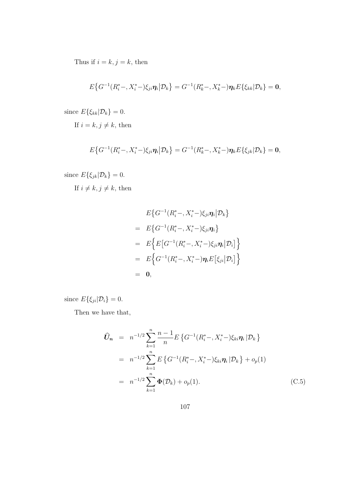Thus if  $i = k, j = k$ , then

$$
E\big\{G^{-1}(R_i^*-,X_i^*)\xi_{ji}\eta_i\big|\mathcal{D}_k\big\}=G^{-1}(R_k^*-,X_k^*)\eta_kE\{\xi_{kk}|\mathcal{D}_k\}=0,
$$

since  $E\{\xi_{kk}|\mathcal{D}_k\}=0$ .

If  $i = k, j \neq k$ , then

$$
E\big\{G^{-1}(R_i^*-,X_i^*)\xi_{ji}\eta_i\big|\mathcal{D}_k\big\}=G^{-1}(R_k^*-,X_k^*)\eta_kE\{\xi_{jk}|\mathcal{D}_k\}=0,
$$

since  $E\{\xi_{jk}|\mathcal{D}_k\}=0$ .

If  $i \neq k, j \neq k$ , then

$$
E\{G^{-1}(R_i^*-, X_i^*)\xi_{ji}\eta_i|\mathcal{D}_k\}
$$
  
=  $E\{G^{-1}(R_i^*-, X_i^*)\xi_{ji}\eta_i\}$   
=  $E\{E[G^{-1}(R_i^*-, X_i^*)\xi_{ji}\eta_i|\mathcal{D}_i]\}$   
=  $E\{G^{-1}(R_i^*-, X_i^*)\eta_iE[\xi_{ji}|\mathcal{D}_i]\}$   
= 0,

since  $E\{\xi_{ji}|\mathcal{D}_i\}=0$ .

Then we have that,

$$
\widehat{U}_n = n^{-1/2} \sum_{k=1}^n \frac{n-1}{n} E\left\{ G^{-1}(R_i^*-, X_i^*) \xi_{ki} \eta_i | \mathcal{D}_k \right\}
$$
  
\n
$$
= n^{-1/2} \sum_{k=1}^n E\left\{ G^{-1}(R_i^*-, X_i^*) \xi_{ki} \eta_i | \mathcal{D}_k \right\} + o_p(1)
$$
  
\n
$$
= n^{-1/2} \sum_{k=1}^n \Phi(\mathcal{D}_k) + o_p(1).
$$
\n(C.5)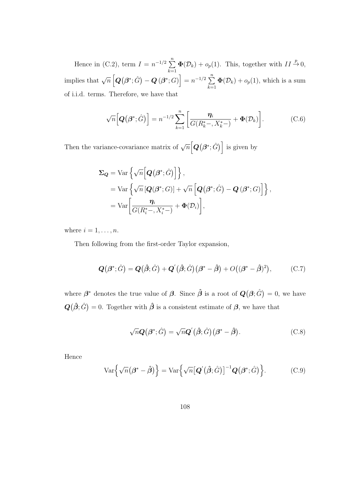Hence in (C.2), term  $I = n^{-1/2} \sum_{n=1}^{\infty}$  $k=1$  $\Phi(\mathcal{D}_k) + o_p(1)$ . This, together with  $II \stackrel{p}{\rightarrow} 0$ , implies that  $\sqrt{n} \left[ \boldsymbol{Q}(\boldsymbol{\beta}^*; \hat{G}) - \boldsymbol{Q}(\boldsymbol{\beta}^*; G) \right] = n^{-1/2} \sum_{i=1}^n$  $k=1$  $\mathbf{\Phi}(\mathcal{D}_k) + o_p(1)$ , which is a sum of i.i.d. terms. Therefore, we have that

$$
\sqrt{n}\Big[\boldsymbol{Q}\big(\boldsymbol{\beta}^*;\hat{G}\big)\Big] = n^{-1/2}\sum_{k=1}^n \bigg[\frac{\boldsymbol{\eta}_i}{G(R_k^*-,X_k^*)} + \boldsymbol{\Phi}(\mathcal{D}_k)\bigg].\tag{C.6}
$$

Then the variance-covariance matrix of  $\sqrt{n} [\mathbf{Q}(\beta^*; \hat{G})]$  is given by

$$
\Sigma_{\mathbf{Q}} = \text{Var}\left\{\sqrt{n}\Big[\mathbf{Q}\big(\boldsymbol{\beta}^*; \hat{G}\big)\Big]\right\},
$$
  
\n
$$
= \text{Var}\left\{\sqrt{n}\big[\mathbf{Q}\big(\boldsymbol{\beta}^*; G\big)\big] + \sqrt{n}\big[\mathbf{Q}\big(\boldsymbol{\beta}^*; \hat{G}\big) - \mathbf{Q}\left(\boldsymbol{\beta}^*; G\right)\big]\right\},
$$
  
\n
$$
= \text{Var}\bigg[\frac{\eta_i}{G(R_i^*-, X_i^*)} + \Phi(D_i)\bigg],
$$

where  $i = 1, \ldots, n$ .

Then following from the first-order Taylor expansion,

$$
\mathbf{Q}(\boldsymbol{\beta}^*,\hat{G}) = \mathbf{Q}(\hat{\boldsymbol{\beta}};\hat{G}) + \mathbf{Q}'(\hat{\boldsymbol{\beta}};\hat{G})(\boldsymbol{\beta}^* - \hat{\boldsymbol{\beta}}) + O((\boldsymbol{\beta}^* - \hat{\boldsymbol{\beta}})^2), \tag{C.7}
$$

where  $\beta^*$  denotes the true value of  $\beta$ . Since  $\hat{\beta}$  is a root of  $Q(\beta; \hat{G}) = 0$ , we have  $\mathbf{Q}(\hat{\boldsymbol{\beta}};\hat{G})=0.$  Together with  $\hat{\boldsymbol{\beta}}$  is a consistent estimate of  $\boldsymbol{\beta}$ , we have that

$$
\sqrt{n}\mathbf{Q}\big(\boldsymbol{\beta}^*;\hat{G}\big) = \sqrt{n}\mathbf{Q}'\big(\hat{\boldsymbol{\beta}};\hat{G}\big)\big(\boldsymbol{\beta}^*-\hat{\boldsymbol{\beta}}\big). \tag{C.8}
$$

Hence

$$
\text{Var}\left\{\sqrt{n}(\boldsymbol{\beta}^*-\hat{\boldsymbol{\beta}})\right\}=\text{Var}\left\{\sqrt{n}[\mathbf{Q}'(\hat{\boldsymbol{\beta}};\hat{G})]^{-1}\mathbf{Q}(\boldsymbol{\beta}^*;\hat{G})\right\}.
$$
 (C.9)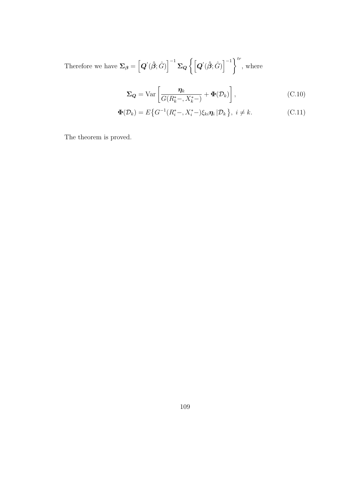Therefore we have  $\mathbf{\Sigma}_{\boldsymbol{\beta}}=\left[\boldsymbol{Q}'(\boldsymbol{\hat{\beta}};\hat{G})\right]^{-1}\mathbf{\Sigma}_{\boldsymbol{Q}}\left\{\left[\boldsymbol{Q}'(\boldsymbol{\hat{\beta}};\hat{G})\right]^{-1}\right\}^{tr}$ , where

$$
\Sigma_{\mathbf{Q}} = \text{Var}\left[\frac{\eta_k}{G(R_k^* -, X_k^*)} + \Phi(\mathcal{D}_k)\right],\tag{C.10}
$$

$$
\mathbf{\Phi}(\mathcal{D}_k) = E\big\{G^{-1}(R_i^*-, X_i^*)\xi_{ki}\boldsymbol{\eta}_i \,|\mathcal{D}_k\big\},\ i \neq k. \tag{C.11}
$$

The theorem is proved.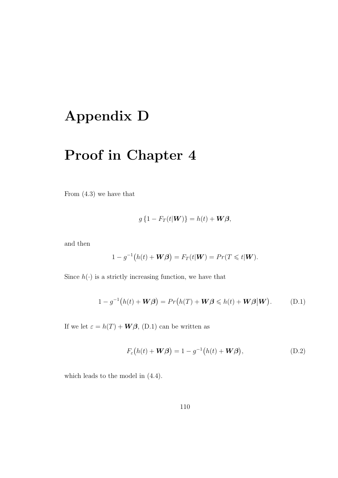# Appendix D

# Proof in Chapter 4

From (4.3) we have that

$$
g\left\{1 - F_T(t|\mathbf{W})\right\} = h(t) + \mathbf{W}\boldsymbol{\beta},
$$

and then

$$
1 - g^{-1}(h(t) + \mathbf{W}\boldsymbol{\beta}) = F_T(t|\mathbf{W}) = Pr(T \leq t|\mathbf{W}).
$$

Since  $h(\cdot)$  is a strictly increasing function, we have that

$$
1 - g^{-1}(h(t) + \mathbf{W}\boldsymbol{\beta}) = Pr(h(T) + \mathbf{W}\boldsymbol{\beta} \leq h(t) + \mathbf{W}\boldsymbol{\beta}|\mathbf{W}).
$$
 (D.1)

If we let  $\varepsilon = h(T) + \mathbf{W}\boldsymbol{\beta}$ , (D.1) can be written as

$$
F_{\varepsilon}(h(t) + \mathbf{W}\boldsymbol{\beta}) = 1 - g^{-1}(h(t) + \mathbf{W}\boldsymbol{\beta}), \tag{D.2}
$$

which leads to the model in (4.4).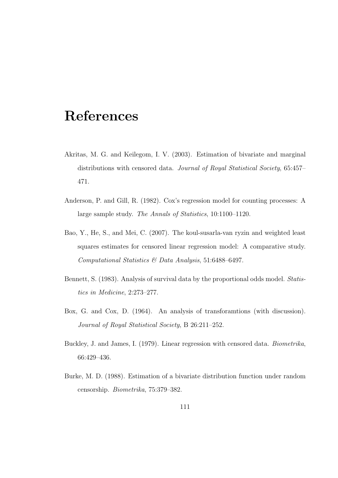### References

- Akritas, M. G. and Keilegom, I. V. (2003). Estimation of bivariate and marginal distributions with censored data. Journal of Royal Statistical Society, 65:457– 471.
- Anderson, P. and Gill, R. (1982). Cox's regression model for counting processes: A large sample study. The Annals of Statistics, 10:1100–1120.
- Bao, Y., He, S., and Mei, C. (2007). The koul-susarla-van ryzin and weighted least squares estimates for censored linear regression model: A comparative study. Computational Statistics & Data Analysis, 51:6488–6497.
- Bennett, S. (1983). Analysis of survival data by the proportional odds model. Statistics in Medicine, 2:273–277.
- Box, G. and Cox, D. (1964). An analysis of transforamtions (with discussion). Journal of Royal Statistical Society, B 26:211–252.
- Buckley, J. and James, I. (1979). Linear regression with censored data. Biometrika, 66:429–436.
- Burke, M. D. (1988). Estimation of a bivariate distribution function under random censorship. Biometrika, 75:379–382.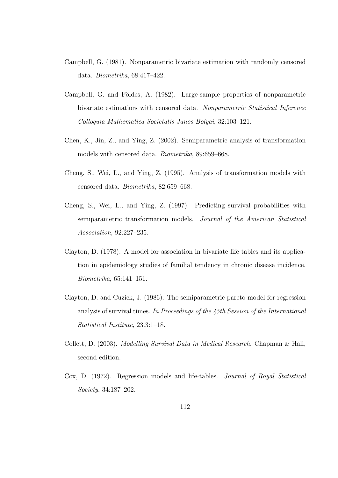- Campbell, G. (1981). Nonparametric bivariate estimation with randomly censored data. Biometrika, 68:417–422.
- Campbell, G. and Földes, A. (1982). Large-sample properties of nonparametric bivariate estimatiors with censored data. Nonparametric Statistical Inference Colloquia Mathematica Societatis Janos Bolyai, 32:103–121.
- Chen, K., Jin, Z., and Ying, Z. (2002). Semiparametric analysis of transformation models with censored data. Biometrika, 89:659–668.
- Cheng, S., Wei, L., and Ying, Z. (1995). Analysis of transformation models with censored data. Biometrika, 82:659–668.
- Cheng, S., Wei, L., and Ying, Z. (1997). Predicting survival probabilities with semiparametric transformation models. Journal of the American Statistical Association, 92:227–235.
- Clayton, D. (1978). A model for association in bivariate life tables and its application in epidemiology studies of familial tendency in chronic disease incidence. Biometrika, 65:141–151.
- Clayton, D. and Cuzick, J. (1986). The semiparametric pareto model for regression analysis of survival times. In Proceedings of the 45th Session of the International Statistical Institute, 23.3:1–18.
- Collett, D. (2003). Modelling Survival Data in Medical Research. Chapman & Hall, second edition.
- Cox, D. (1972). Regression models and life-tables. Journal of Royal Statistical Society, 34:187–202.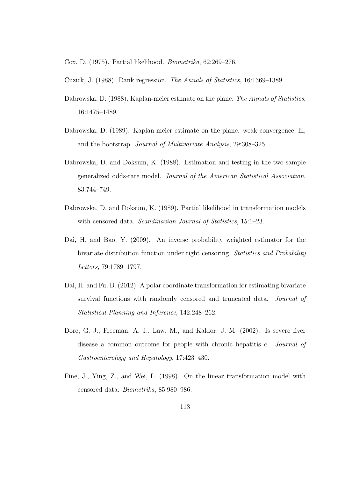Cox, D. (1975). Partial likelihood. Biometrika, 62:269–276.

Cuzick, J. (1988). Rank regression. The Annals of Statistics, 16:1369–1389.

- Dabrowska, D. (1988). Kaplan-meier estimate on the plane. The Annals of Statistics, 16:1475–1489.
- Dabrowska, D. (1989). Kaplan-meier estimate on the plane: weak convergence, lil, and the bootstrap. Journal of Multivariate Analysis, 29:308–325.
- Dabrowska, D. and Doksum, K. (1988). Estimation and testing in the two-sample generalized odds-rate model. Journal of the American Statistical Association, 83:744–749.
- Dabrowska, D. and Doksum, K. (1989). Partial likelihood in transformation models with censored data. *Scandinavian Journal of Statistics*, 15:1–23.
- Dai, H. and Bao, Y. (2009). An inverse probability weighted estimator for the bivariate distribution function under right censoring. Statistics and Probability Letters, 79:1789–1797.
- Dai, H. and Fu, B. (2012). A polar coordinate transformation for estimating bivariate survival functions with randomly censored and truncated data. *Journal of* Statistical Planning and Inference, 142:248–262.
- Dore, G. J., Freeman, A. J., Law, M., and Kaldor, J. M. (2002). Is severe liver disease a common outcome for people with chronic hepatitis c. Journal of Gastroenterology and Hepatology, 17:423–430.
- Fine, J., Ying, Z., and Wei, L. (1998). On the linear transformation model with censored data. Biometrika, 85:980–986.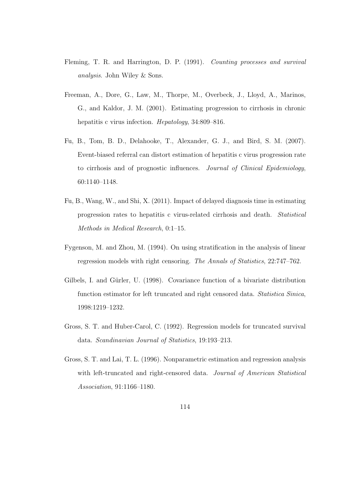- Fleming, T. R. and Harrington, D. P. (1991). Counting processes and survival analysis. John Wiley & Sons.
- Freeman, A., Dore, G., Law, M., Thorpe, M., Overbeck, J., Lloyd, A., Marinos, G., and Kaldor, J. M. (2001). Estimating progression to cirrhosis in chronic hepatitis c virus infection. *Hepatology*, 34:809–816.
- Fu, B., Tom, B. D., Delahooke, T., Alexander, G. J., and Bird, S. M. (2007). Event-biased referral can distort estimation of hepatitis c virus progression rate to cirrhosis and of prognostic influences. Journal of Clinical Epidemiology, 60:1140–1148.
- Fu, B., Wang, W., and Shi, X. (2011). Impact of delayed diagnosis time in estimating progression rates to hepatitis c virus-related cirrhosis and death. Statistical Methods in Medical Research, 0:1–15.
- Fygenson, M. and Zhou, M. (1994). On using stratification in the analysis of linear regression models with right censoring. The Annals of Statistics, 22:747–762.
- Gilbels, I. and Gürler, U. (1998). Covariance function of a bivariate distribution function estimator for left truncated and right censored data. Statistica Sinica, 1998:1219–1232.
- Gross, S. T. and Huber-Carol, C. (1992). Regression models for truncated survival data. Scandinavian Journal of Statistics, 19:193–213.
- Gross, S. T. and Lai, T. L. (1996). Nonparametric estimation and regression analysis with left-truncated and right-censored data. Journal of American Statistical Association, 91:1166–1180.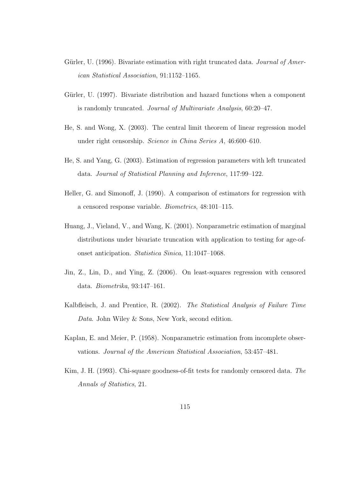- Gürler, U. (1996). Bivariate estimation with right truncated data. Journal of American Statistical Association, 91:1152–1165.
- Gürler, U. (1997). Bivariate distribution and hazard functions when a component is randomly truncated. Journal of Multivariate Analysis, 60:20–47.
- He, S. and Wong, X. (2003). The central limit theorem of linear regression model under right censorship. Science in China Series A, 46:600–610.
- He, S. and Yang, G. (2003). Estimation of regression parameters with left truncated data. Journal of Statistical Planning and Inference, 117:99–122.
- Heller, G. and Simonoff, J. (1990). A comparison of estimators for regression with a censored response variable. Biometrics, 48:101–115.
- Huang, J., Vieland, V., and Wang, K. (2001). Nonparametric estimation of marginal distributions under bivariate truncation with application to testing for age-ofonset anticipation. Statistica Sinica, 11:1047–1068.
- Jin, Z., Lin, D., and Ying, Z. (2006). On least-squares regression with censored data. Biometrika, 93:147–161.
- Kalbfleisch, J. and Prentice, R. (2002). The Statistical Analysis of Failure Time Data. John Wiley & Sons, New York, second edition.
- Kaplan, E. and Meier, P. (1958). Nonparametric estimation from incomplete observations. Journal of the American Statistical Association, 53:457–481.
- Kim, J. H. (1993). Chi-square goodness-of-fit tests for randomly censored data. The Annals of Statistics, 21.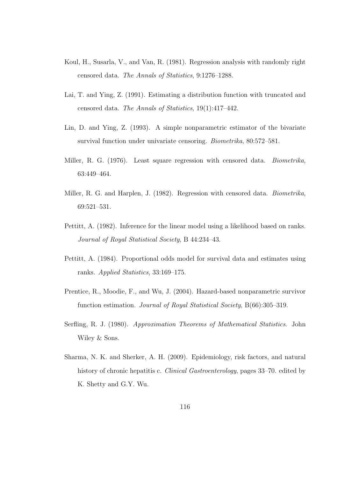- Koul, H., Susarla, V., and Van, R. (1981). Regression analysis with randomly right censored data. The Annals of Statistics, 9:1276–1288.
- Lai, T. and Ying, Z. (1991). Estimating a distribution function with truncated and censored data. The Annals of Statistics, 19(1):417–442.
- Lin, D. and Ying, Z. (1993). A simple nonparametric estimator of the bivariate survival function under univariate censoring. Biometrika, 80:572–581.
- Miller, R. G. (1976). Least square regression with censored data. *Biometrika*, 63:449–464.
- Miller, R. G. and Harplen, J. (1982). Regression with censored data. Biometrika, 69:521–531.
- Pettitt, A. (1982). Inference for the linear model using a likelihood based on ranks. Journal of Royal Statistical Society, B 44:234–43.
- Pettitt, A. (1984). Proportional odds model for survival data and estimates using ranks. Applied Statistics, 33:169–175.
- Prentice, R., Moodie, F., and Wu, J. (2004). Hazard-based nonparametric survivor function estimation. Journal of Royal Statistical Society, B(66):305–319.
- Serfling, R. J. (1980). Approximation Theorems of Mathematical Statistics. John Wiley & Sons.
- Sharma, N. K. and Sherker, A. H. (2009). Epidemiology, risk factors, and natural history of chronic hepatitis c. *Clinical Gastroenterology*, pages 33–70. edited by K. Shetty and G.Y. Wu.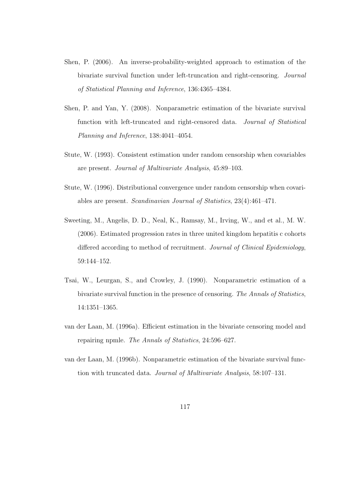- Shen, P. (2006). An inverse-probability-weighted approach to estimation of the bivariate survival function under left-truncation and right-censoring. Journal of Statistical Planning and Inference, 136:4365–4384.
- Shen, P. and Yan, Y. (2008). Nonparametric estimation of the bivariate survival function with left-truncated and right-censored data. Journal of Statistical Planning and Inference, 138:4041–4054.
- Stute, W. (1993). Consistent estimation under random censorship when covariables are present. Journal of Multivariate Analysis, 45:89–103.
- Stute, W. (1996). Distributional convergence under random censorship when covariables are present. Scandinavian Journal of Statistics, 23(4):461–471.
- Sweeting, M., Angelis, D. D., Neal, K., Ramsay, M., Irving, W., and et al., M. W. (2006). Estimated progression rates in three united kingdom hepatitis c cohorts differed according to method of recruitment. Journal of Clinical Epidemiology, 59:144–152.
- Tsai, W., Leurgan, S., and Crowley, J. (1990). Nonparametric estimation of a bivariate survival function in the presence of censoring. The Annals of Statistics, 14:1351–1365.
- van der Laan, M. (1996a). Efficient estimation in the bivariate censoring model and repairing npmle. The Annals of Statistics, 24:596–627.
- van der Laan, M. (1996b). Nonparametric estimation of the bivariate survival function with truncated data. Journal of Multivariate Analysis, 58:107–131.